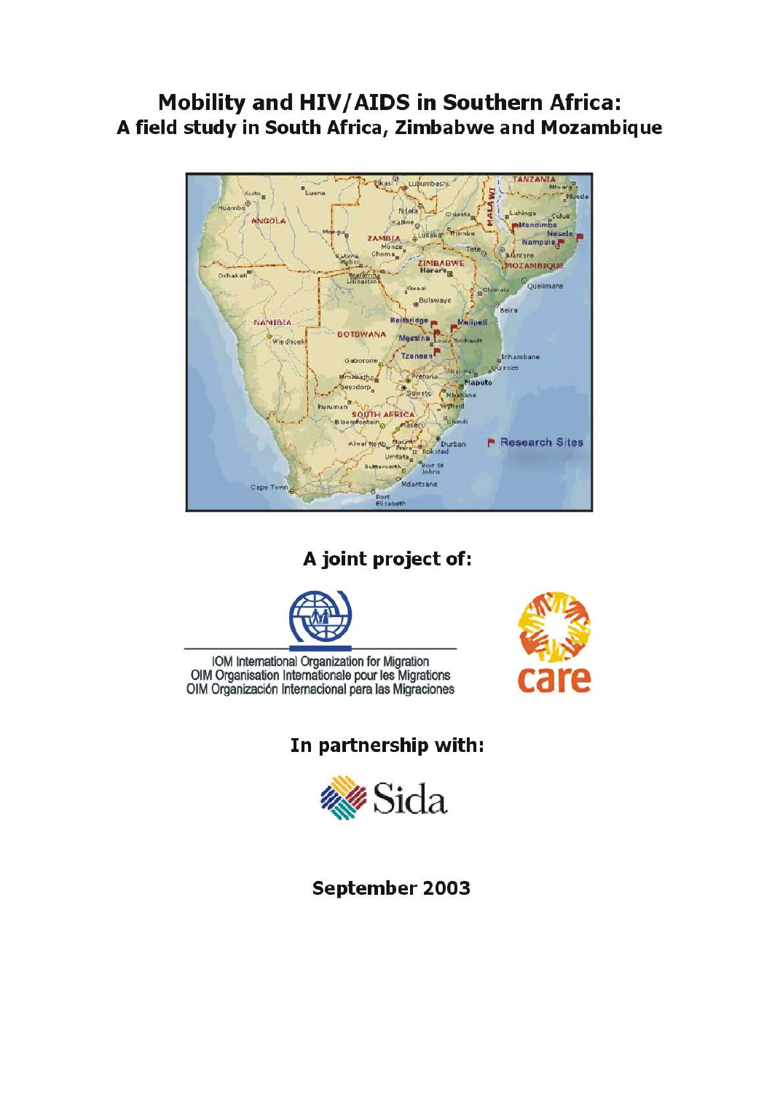# **Mobility and HIV/AIDS in Southern Africa:** A field study in South Africa, Zimbabwe and Mozambique



A joint project of:



IOM International Organization for Migration OIM Organisation Internationale pour les Migrations OIM Organización Internacional para las Migraciones



In partnership with:



September 2003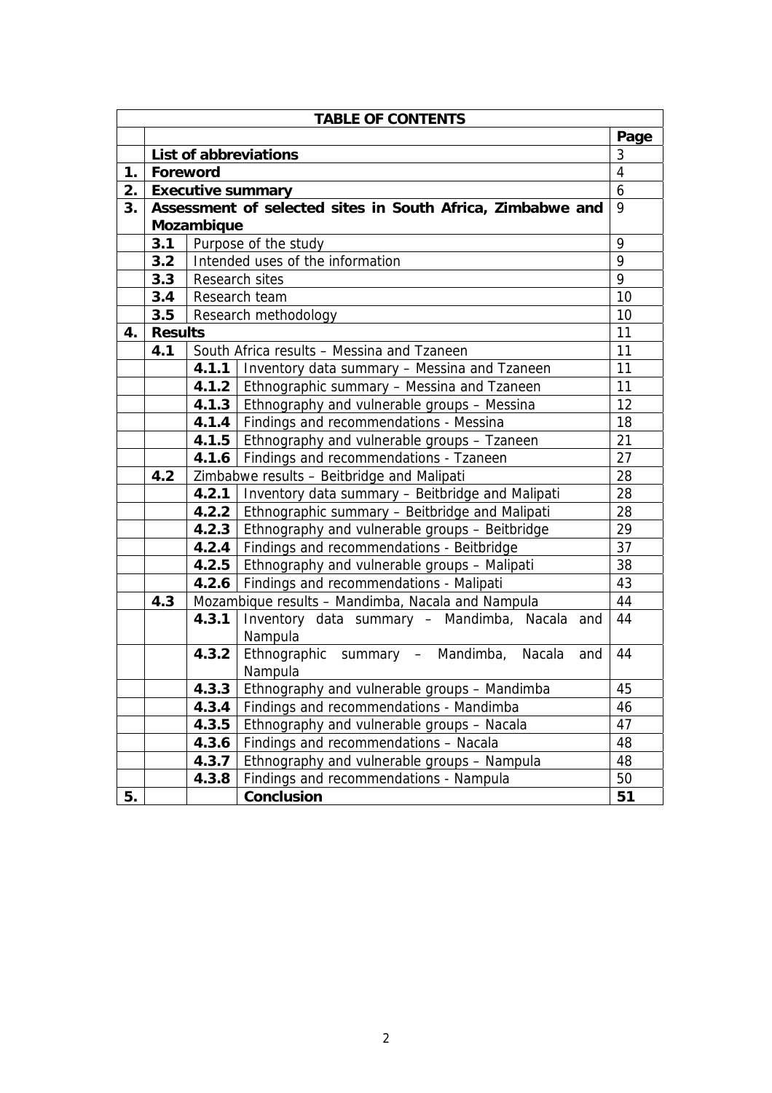| <b>TABLE OF CONTENTS</b> |                                                         |                                                         |                                                            |                |  |  |
|--------------------------|---------------------------------------------------------|---------------------------------------------------------|------------------------------------------------------------|----------------|--|--|
|                          |                                                         |                                                         |                                                            | Page           |  |  |
|                          | List of abbreviations                                   |                                                         |                                                            | 3              |  |  |
| 1.                       | Foreword                                                |                                                         |                                                            | $\overline{4}$ |  |  |
| 2.                       |                                                         |                                                         | <b>Executive summary</b>                                   | 6              |  |  |
| 3.                       |                                                         |                                                         | Assessment of selected sites in South Africa, Zimbabwe and | 9              |  |  |
|                          |                                                         | Mozambique                                              |                                                            |                |  |  |
|                          | 3.1                                                     |                                                         | Purpose of the study                                       | 9              |  |  |
|                          | 3.2                                                     |                                                         | Intended uses of the information                           | 9              |  |  |
|                          | 3.3                                                     |                                                         | Research sites                                             | 9              |  |  |
|                          | 3.4                                                     |                                                         | Research team                                              | 10             |  |  |
|                          | 3.5                                                     |                                                         | Research methodology                                       | 10             |  |  |
| 4.                       | <b>Results</b>                                          |                                                         |                                                            | 11             |  |  |
|                          | 4.1                                                     |                                                         | South Africa results - Messina and Tzaneen                 | 11             |  |  |
|                          |                                                         |                                                         | 4.1.1   Inventory data summary - Messina and Tzaneen       | 11             |  |  |
|                          |                                                         |                                                         | 4.1.2   Ethnographic summary – Messina and Tzaneen         | 11             |  |  |
|                          |                                                         |                                                         | 4.1.3   Ethnography and vulnerable groups - Messina        | 12             |  |  |
|                          |                                                         |                                                         | 4.1.4   Findings and recommendations - Messina             | 18             |  |  |
|                          |                                                         |                                                         | 21<br>4.1.5   Ethnography and vulnerable groups - Tzaneen  |                |  |  |
|                          |                                                         |                                                         | 27<br>4.1.6   Findings and recommendations - Tzaneen       |                |  |  |
|                          | Zimbabwe results - Beitbridge and Malipati<br>4.2       |                                                         | 28                                                         |                |  |  |
|                          |                                                         | 4.2.1                                                   | Inventory data summary - Beitbridge and Malipati           | 28             |  |  |
|                          |                                                         | Ethnographic summary - Beitbridge and Malipati<br>4.2.2 |                                                            | 28             |  |  |
|                          | 4.2.3<br>Ethnography and vulnerable groups - Beitbridge |                                                         | 29                                                         |                |  |  |
|                          |                                                         |                                                         | 4.2.4 Findings and recommendations - Beitbridge            | 37             |  |  |
|                          |                                                         |                                                         | 4.2.5   Ethnography and vulnerable groups - Malipati       | 38             |  |  |
|                          |                                                         |                                                         | 4.2.6   Findings and recommendations - Malipati            | 43             |  |  |
|                          | 4.3                                                     |                                                         | Mozambique results - Mandimba, Nacala and Nampula          | 44             |  |  |
|                          |                                                         | 4.3.1                                                   | Inventory data summary - Mandimba, Nacala and              | 44             |  |  |
|                          |                                                         |                                                         | Nampula                                                    |                |  |  |
|                          |                                                         |                                                         | 4.3.2 Ethnographic summary - Mandimba, Nacala<br>and       | 44             |  |  |
|                          | Nampula                                                 |                                                         |                                                            |                |  |  |
|                          | 4.3.3 Ethnography and vulnerable groups - Mandimba      |                                                         | 45                                                         |                |  |  |
|                          | 4.3.4<br>Findings and recommendations - Mandimba        |                                                         | 46                                                         |                |  |  |
|                          | 4.3.5<br>Ethnography and vulnerable groups - Nacala     |                                                         | 47                                                         |                |  |  |
|                          | 4.3.6<br>Findings and recommendations - Nacala          |                                                         | 48                                                         |                |  |  |
|                          | Ethnography and vulnerable groups - Nampula<br>4.3.7    |                                                         | 48                                                         |                |  |  |
|                          |                                                         | 4.3.8                                                   | Findings and recommendations - Nampula                     | 50             |  |  |
| 5.                       |                                                         |                                                         | Conclusion                                                 | 51             |  |  |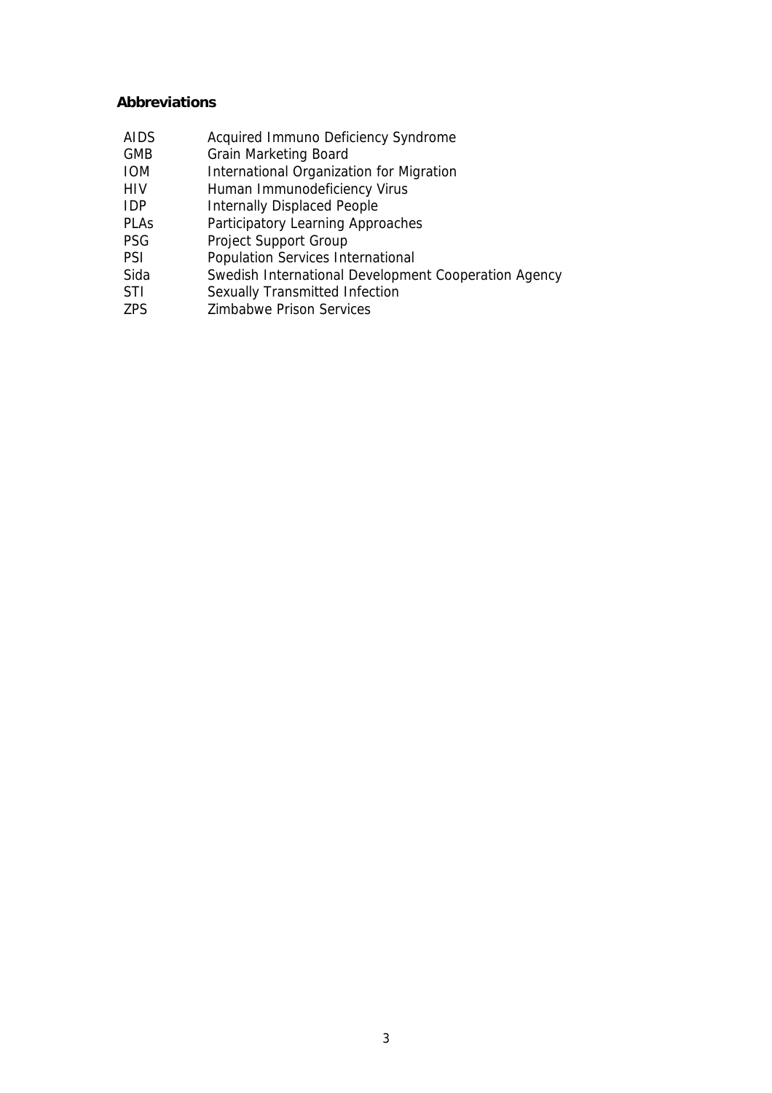#### **Abbreviations**

- AIDS Acquired Immuno Deficiency Syndrome GMB Grain Marketing Board IOM International Organization for Migration HIV Human Immunodeficiency Virus IDP Internally Displaced People **PLAs Participatory Learning Approaches<br>PSG Project Support Group** Project Support Group PSI Population Services International Sida Swedish International Development Cooperation Agency<br>STI Sexually Transmitted Infection
- Sexually Transmitted Infection
- ZPS Zimbabwe Prison Services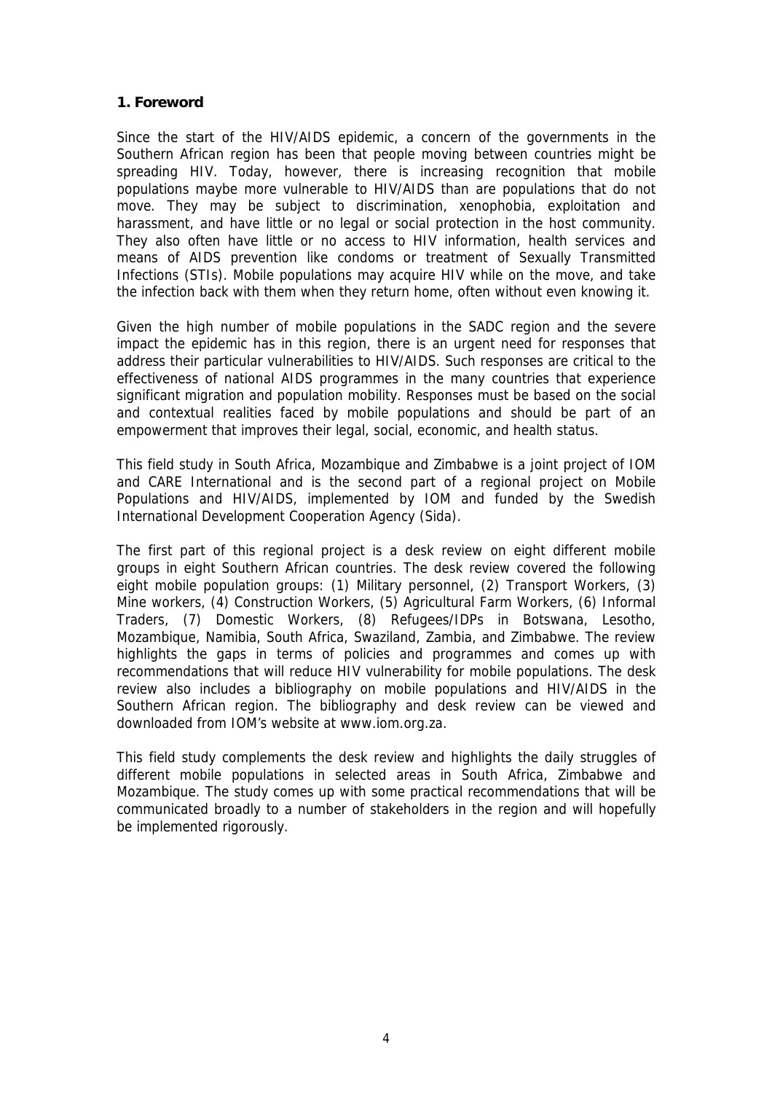#### **1. Foreword**

Since the start of the HIV/AIDS epidemic, a concern of the governments in the Southern African region has been that people moving between countries might be spreading HIV. Today, however, there is increasing recognition that mobile populations maybe more vulnerable to HIV/AIDS than are populations that do not move. They may be subject to discrimination, xenophobia, exploitation and harassment, and have little or no legal or social protection in the host community. They also often have little or no access to HIV information, health services and means of AIDS prevention like condoms or treatment of Sexually Transmitted Infections (STIs). Mobile populations may acquire HIV while on the move, and take the infection back with them when they return home, often without even knowing it.

Given the high number of mobile populations in the SADC region and the severe impact the epidemic has in this region, there is an urgent need for responses that address their particular vulnerabilities to HIV/AIDS. Such responses are critical to the effectiveness of national AIDS programmes in the many countries that experience significant migration and population mobility. Responses must be based on the social and contextual realities faced by mobile populations and should be part of an empowerment that improves their legal, social, economic, and health status.

This field study in South Africa, Mozambique and Zimbabwe is a joint project of IOM and CARE International and is the second part of a regional project on Mobile Populations and HIV/AIDS, implemented by IOM and funded by the Swedish International Development Cooperation Agency (Sida).

The first part of this regional project is a desk review on eight different mobile groups in eight Southern African countries. The desk review covered the following eight mobile population groups: (1) Military personnel, (2) Transport Workers, (3) Mine workers, (4) Construction Workers, (5) Agricultural Farm Workers, (6) Informal Traders, (7) Domestic Workers, (8) Refugees/IDPs in Botswana, Lesotho, Mozambique, Namibia, South Africa, Swaziland, Zambia, and Zimbabwe. The review highlights the gaps in terms of policies and programmes and comes up with recommendations that will reduce HIV vulnerability for mobile populations. The desk review also includes a bibliography on mobile populations and HIV/AIDS in the Southern African region. The bibliography and desk review can be viewed and downloaded from IOM's website at www.iom.org.za.

This field study complements the desk review and highlights the daily struggles of different mobile populations in selected areas in South Africa, Zimbabwe and Mozambique. The study comes up with some practical recommendations that will be communicated broadly to a number of stakeholders in the region and will hopefully be implemented rigorously.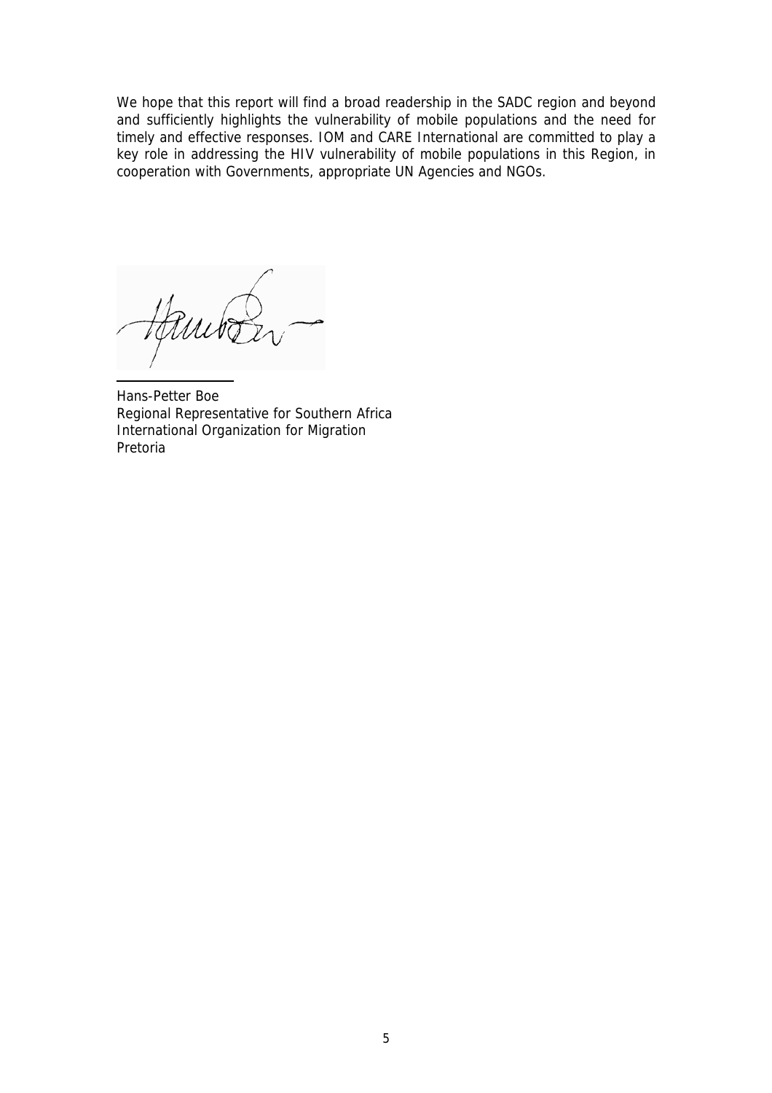We hope that this report will find a broad readership in the SADC region and beyond and sufficiently highlights the vulnerability of mobile populations and the need for timely and effective responses. IOM and CARE International are committed to play a key role in addressing the HIV vulnerability of mobile populations in this Region, in cooperation with Governments, appropriate UN Agencies and NGOs.

Hans-Petter Boe Regional Representative for Southern Africa International Organization for Migration Pretoria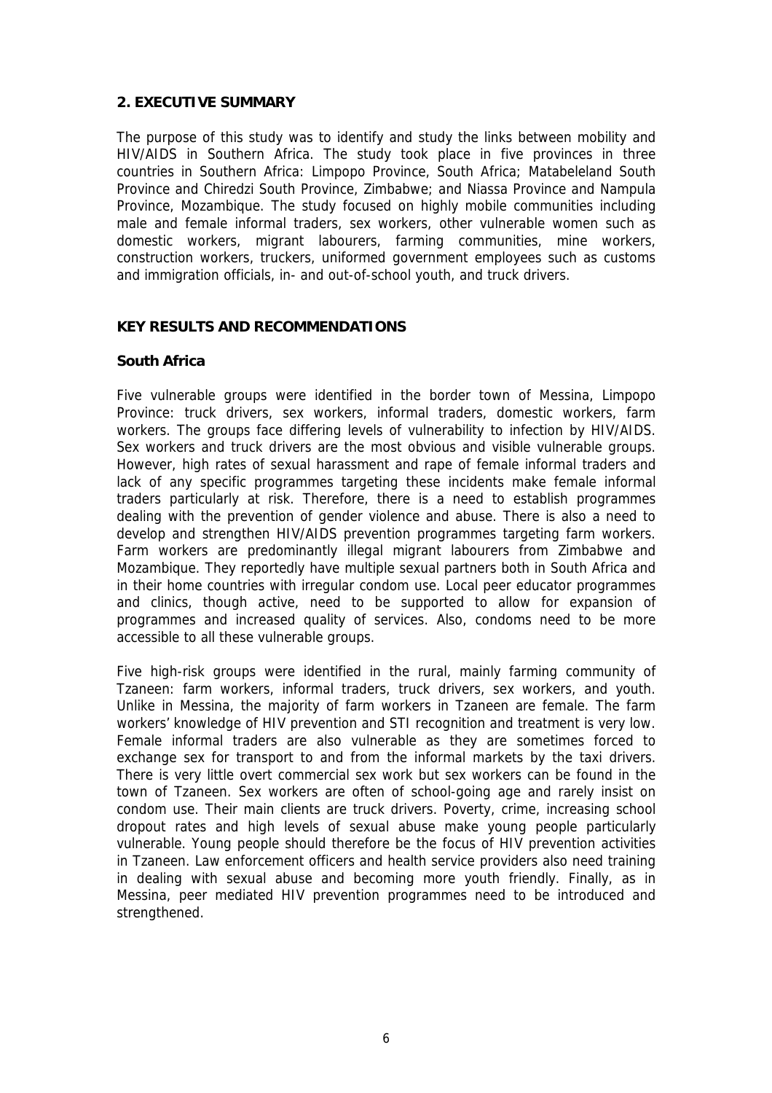#### **2. EXECUTIVE SUMMARY**

The purpose of this study was to identify and study the links between mobility and HIV/AIDS in Southern Africa. The study took place in five provinces in three countries in Southern Africa: Limpopo Province, South Africa; Matabeleland South Province and Chiredzi South Province, Zimbabwe; and Niassa Province and Nampula Province, Mozambique. The study focused on highly mobile communities including male and female informal traders, sex workers, other vulnerable women such as domestic workers, migrant labourers, farming communities, mine workers, construction workers, truckers, uniformed government employees such as customs and immigration officials, in- and out-of-school youth, and truck drivers.

#### **KEY RESULTS AND RECOMMENDATIONS**

## **South Africa**

Five vulnerable groups were identified in the border town of Messina, Limpopo Province: truck drivers, sex workers, informal traders, domestic workers, farm workers. The groups face differing levels of vulnerability to infection by HIV/AIDS. Sex workers and truck drivers are the most obvious and visible vulnerable groups. However, high rates of sexual harassment and rape of female informal traders and lack of any specific programmes targeting these incidents make female informal traders particularly at risk. Therefore, there is a need to establish programmes dealing with the prevention of gender violence and abuse. There is also a need to develop and strengthen HIV/AIDS prevention programmes targeting farm workers. Farm workers are predominantly illegal migrant labourers from Zimbabwe and Mozambique. They reportedly have multiple sexual partners both in South Africa and in their home countries with irregular condom use. Local peer educator programmes and clinics, though active, need to be supported to allow for expansion of programmes and increased quality of services. Also, condoms need to be more accessible to all these vulnerable groups.

Five high-risk groups were identified in the rural, mainly farming community of Tzaneen: farm workers, informal traders, truck drivers, sex workers, and youth. Unlike in Messina, the majority of farm workers in Tzaneen are female. The farm workers' knowledge of HIV prevention and STI recognition and treatment is very low. Female informal traders are also vulnerable as they are sometimes forced to exchange sex for transport to and from the informal markets by the taxi drivers. There is very little overt commercial sex work but sex workers can be found in the town of Tzaneen. Sex workers are often of school-going age and rarely insist on condom use. Their main clients are truck drivers. Poverty, crime, increasing school dropout rates and high levels of sexual abuse make young people particularly vulnerable. Young people should therefore be the focus of HIV prevention activities in Tzaneen. Law enforcement officers and health service providers also need training in dealing with sexual abuse and becoming more youth friendly. Finally, as in Messina, peer mediated HIV prevention programmes need to be introduced and strengthened.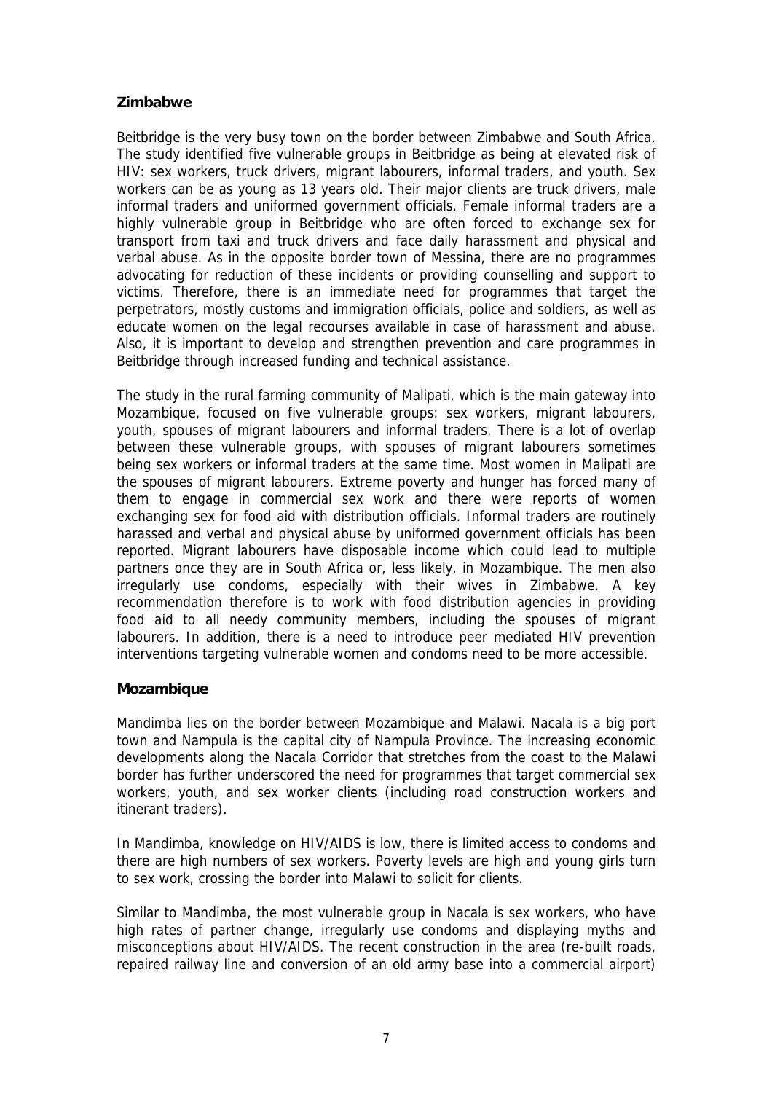## **Zimbabwe**

Beitbridge is the very busy town on the border between Zimbabwe and South Africa. The study identified five vulnerable groups in Beitbridge as being at elevated risk of HIV: sex workers, truck drivers, migrant labourers, informal traders, and youth. Sex workers can be as young as 13 years old. Their major clients are truck drivers, male informal traders and uniformed government officials. Female informal traders are a highly vulnerable group in Beitbridge who are often forced to exchange sex for transport from taxi and truck drivers and face daily harassment and physical and verbal abuse. As in the opposite border town of Messina, there are no programmes advocating for reduction of these incidents or providing counselling and support to victims. Therefore, there is an immediate need for programmes that target the perpetrators, mostly customs and immigration officials, police and soldiers, as well as educate women on the legal recourses available in case of harassment and abuse. Also, it is important to develop and strengthen prevention and care programmes in Beitbridge through increased funding and technical assistance.

The study in the rural farming community of Malipati, which is the main gateway into Mozambique, focused on five vulnerable groups: sex workers, migrant labourers, youth, spouses of migrant labourers and informal traders. There is a lot of overlap between these vulnerable groups, with spouses of migrant labourers sometimes being sex workers or informal traders at the same time. Most women in Malipati are the spouses of migrant labourers. Extreme poverty and hunger has forced many of them to engage in commercial sex work and there were reports of women exchanging sex for food aid with distribution officials. Informal traders are routinely harassed and verbal and physical abuse by uniformed government officials has been reported. Migrant labourers have disposable income which could lead to multiple partners once they are in South Africa or, less likely, in Mozambique. The men also irregularly use condoms, especially with their wives in Zimbabwe. A key recommendation therefore is to work with food distribution agencies in providing food aid to all needy community members, including the spouses of migrant labourers. In addition, there is a need to introduce peer mediated HIV prevention interventions targeting vulnerable women and condoms need to be more accessible.

#### **Mozambique**

Mandimba lies on the border between Mozambique and Malawi. Nacala is a big port town and Nampula is the capital city of Nampula Province. The increasing economic developments along the Nacala Corridor that stretches from the coast to the Malawi border has further underscored the need for programmes that target commercial sex workers, youth, and sex worker clients (including road construction workers and itinerant traders).

In Mandimba, knowledge on HIV/AIDS is low, there is limited access to condoms and there are high numbers of sex workers. Poverty levels are high and young girls turn to sex work, crossing the border into Malawi to solicit for clients.

Similar to Mandimba, the most vulnerable group in Nacala is sex workers, who have high rates of partner change, irregularly use condoms and displaying myths and misconceptions about HIV/AIDS. The recent construction in the area (re-built roads, repaired railway line and conversion of an old army base into a commercial airport)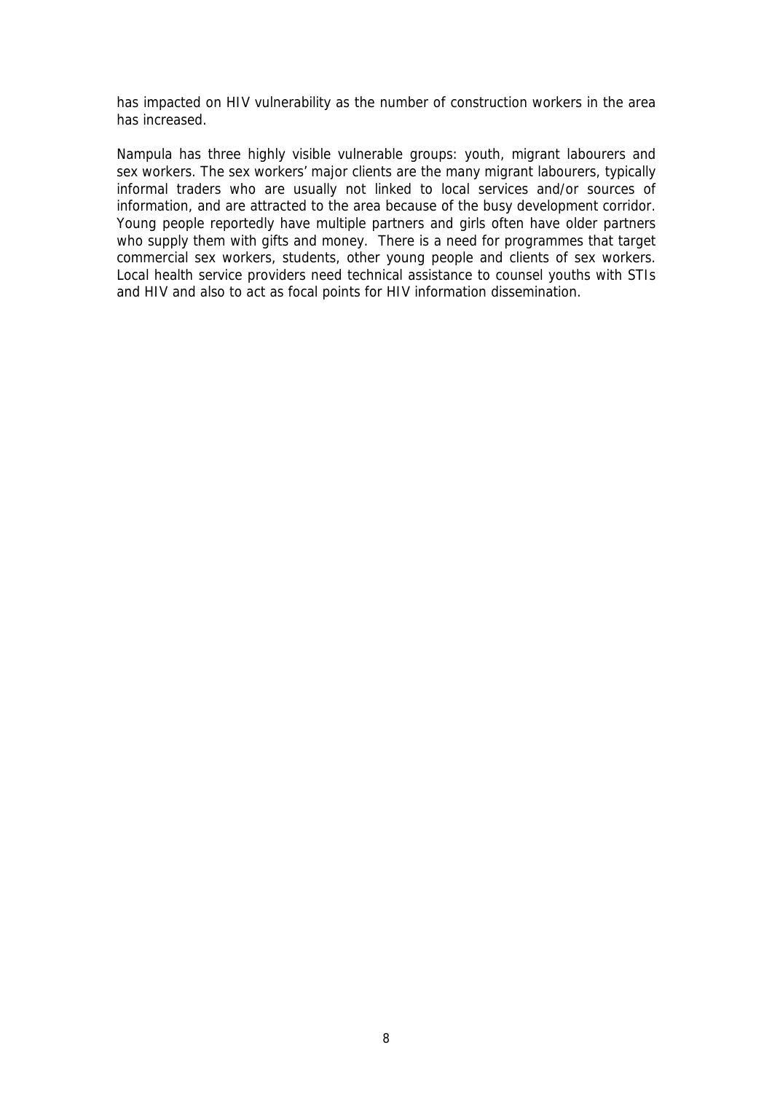has impacted on HIV vulnerability as the number of construction workers in the area has increased.

Nampula has three highly visible vulnerable groups: youth, migrant labourers and sex workers. The sex workers' major clients are the many migrant labourers, typically informal traders who are usually not linked to local services and/or sources of information, and are attracted to the area because of the busy development corridor. Young people reportedly have multiple partners and girls often have older partners who supply them with gifts and money. There is a need for programmes that target commercial sex workers, students, other young people and clients of sex workers. Local health service providers need technical assistance to counsel youths with STIs and HIV and also to act as focal points for HIV information dissemination.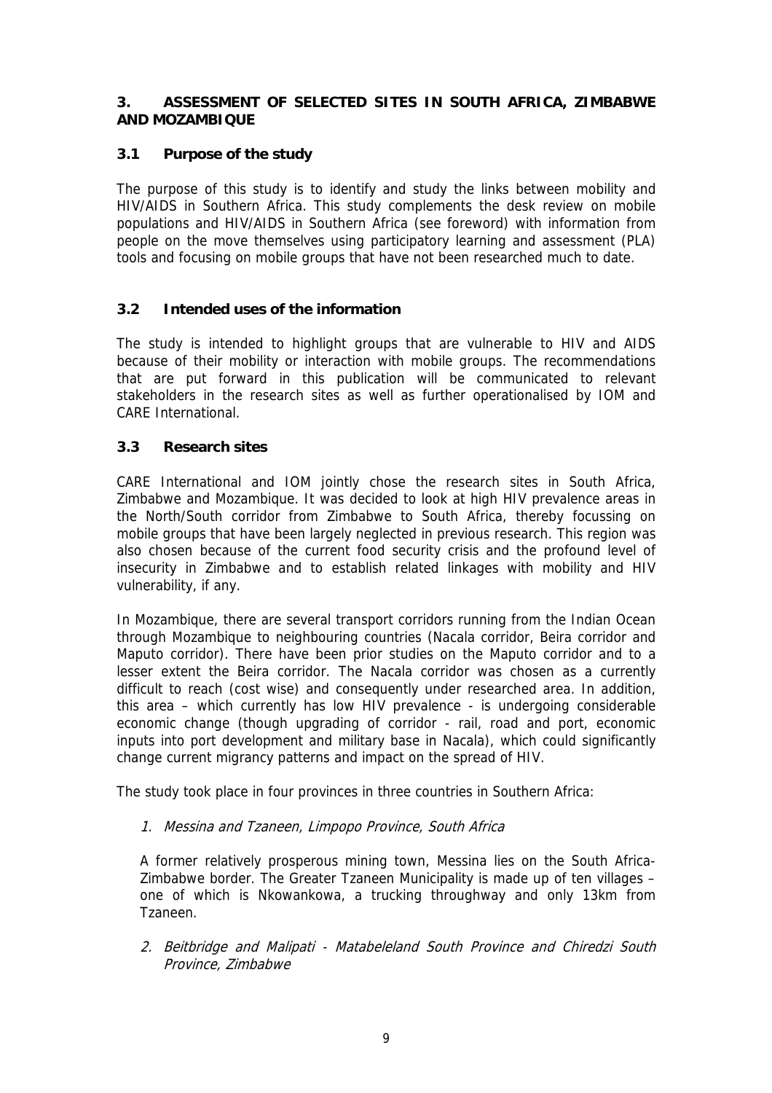#### **3. ASSESSMENT OF SELECTED SITES IN SOUTH AFRICA, ZIMBABWE AND MOZAMBIQUE**

## **3.1 Purpose of the study**

The purpose of this study is to identify and study the links between mobility and HIV/AIDS in Southern Africa. This study complements the desk review on mobile populations and HIV/AIDS in Southern Africa (see foreword) with information from people on the move themselves using participatory learning and assessment (PLA) tools and focusing on mobile groups that have not been researched much to date.

## **3.2 Intended uses of the information**

The study is intended to highlight groups that are vulnerable to HIV and AIDS because of their mobility or interaction with mobile groups. The recommendations that are put forward in this publication will be communicated to relevant stakeholders in the research sites as well as further operationalised by IOM and CARE International.

#### **3.3 Research sites**

CARE International and IOM jointly chose the research sites in South Africa, Zimbabwe and Mozambique. It was decided to look at high HIV prevalence areas in the North/South corridor from Zimbabwe to South Africa, thereby focussing on mobile groups that have been largely neglected in previous research. This region was also chosen because of the current food security crisis and the profound level of insecurity in Zimbabwe and to establish related linkages with mobility and HIV vulnerability, if any.

In Mozambique, there are several transport corridors running from the Indian Ocean through Mozambique to neighbouring countries (Nacala corridor, Beira corridor and Maputo corridor). There have been prior studies on the Maputo corridor and to a lesser extent the Beira corridor. The Nacala corridor was chosen as a currently difficult to reach (cost wise) and consequently under researched area. In addition, this area – which currently has low HIV prevalence - is undergoing considerable economic change (though upgrading of corridor - rail, road and port, economic inputs into port development and military base in Nacala), which could significantly change current migrancy patterns and impact on the spread of HIV.

The study took place in four provinces in three countries in Southern Africa:

1. Messina and Tzaneen, Limpopo Province, South Africa

A former relatively prosperous mining town, Messina lies on the South Africa-Zimbabwe border. The Greater Tzaneen Municipality is made up of ten villages – one of which is Nkowankowa, a trucking throughway and only 13km from Tzaneen.

2. Beitbridge and Malipati - Matabeleland South Province and Chiredzi South Province, Zimbabwe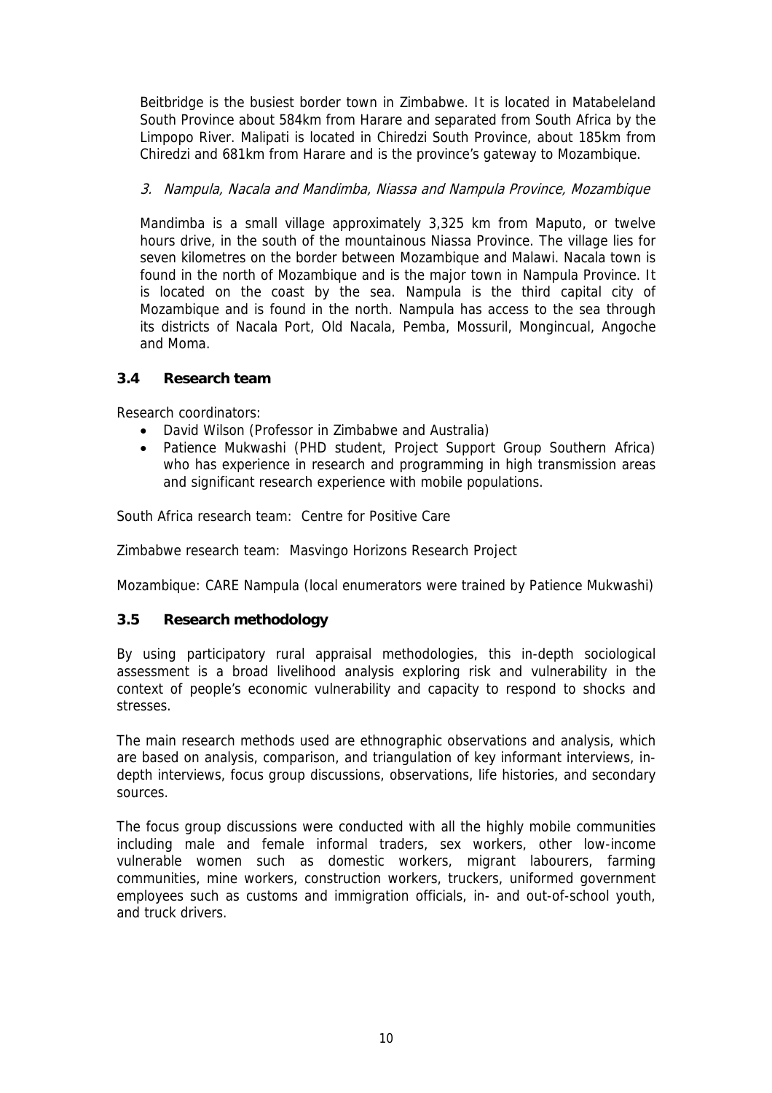Beitbridge is the busiest border town in Zimbabwe. It is located in Matabeleland South Province about 584km from Harare and separated from South Africa by the Limpopo River. Malipati is located in Chiredzi South Province, about 185km from Chiredzi and 681km from Harare and is the province's gateway to Mozambique.

## 3. Nampula, Nacala and Mandimba, Niassa and Nampula Province, Mozambique

Mandimba is a small village approximately 3,325 km from Maputo, or twelve hours drive, in the south of the mountainous Niassa Province. The village lies for seven kilometres on the border between Mozambique and Malawi. Nacala town is found in the north of Mozambique and is the major town in Nampula Province. It is located on the coast by the sea. Nampula is the third capital city of Mozambique and is found in the north. Nampula has access to the sea through its districts of Nacala Port, Old Nacala, Pemba, Mossuril, Mongincual, Angoche and Moma.

## **3.4 Research team**

Research coordinators:

- David Wilson (Professor in Zimbabwe and Australia)
- Patience Mukwashi (PHD student, Project Support Group Southern Africa) who has experience in research and programming in high transmission areas and significant research experience with mobile populations.

South Africa research team: Centre for Positive Care

Zimbabwe research team: Masvingo Horizons Research Project

Mozambique: CARE Nampula (local enumerators were trained by Patience Mukwashi)

## **3.5 Research methodology**

By using participatory rural appraisal methodologies, this in-depth sociological assessment is a broad livelihood analysis exploring risk and vulnerability in the context of people's economic vulnerability and capacity to respond to shocks and stresses.

The main research methods used are ethnographic observations and analysis, which are based on analysis, comparison, and triangulation of key informant interviews, indepth interviews, focus group discussions, observations, life histories, and secondary sources.

The focus group discussions were conducted with all the highly mobile communities including male and female informal traders, sex workers, other low-income vulnerable women such as domestic workers, migrant labourers, farming communities, mine workers, construction workers, truckers, uniformed government employees such as customs and immigration officials, in- and out-of-school youth, and truck drivers.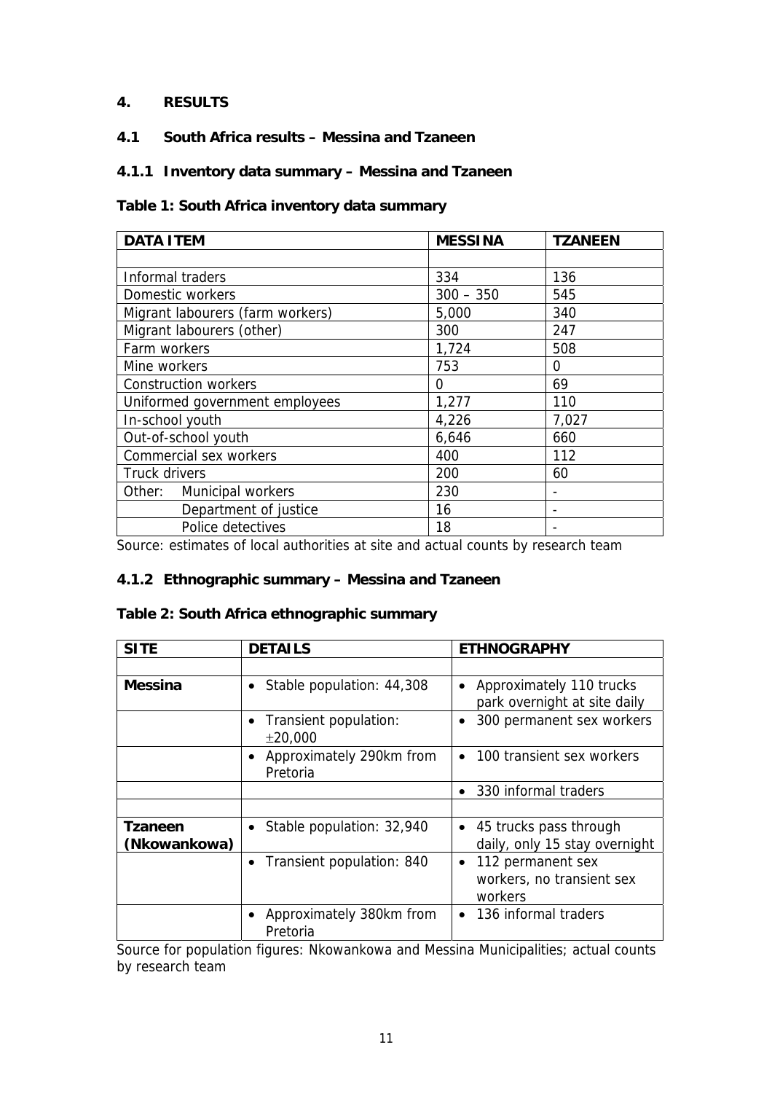## **4. RESULTS**

## **4.1 South Africa results – Messina and Tzaneen**

## **4.1.1 Inventory data summary – Messina and Tzaneen**

#### **Table 1: South Africa inventory data summary**

| <b>DATA ITEM</b>                 | <b>MESSINA</b> | <b>TZANEEN</b> |
|----------------------------------|----------------|----------------|
|                                  |                |                |
| Informal traders                 | 334            | 136            |
| Domestic workers                 | $300 - 350$    | 545            |
| Migrant labourers (farm workers) | 5,000          | 340            |
| Migrant labourers (other)        | 300            | 247            |
| Farm workers                     | 1,724          | 508            |
| Mine workers                     | 753            | 0              |
| <b>Construction workers</b>      | 0              | 69             |
| Uniformed government employees   | 1,277          | 110            |
| In-school youth                  | 4,226          | 7,027          |
| Out-of-school youth              | 6,646          | 660            |
| Commercial sex workers           | 400            | 112            |
| Truck drivers                    | 200            | 60             |
| Other: Municipal workers         | 230            |                |
| Department of justice            | 16             |                |
| Police detectives                | 18             |                |

Source: estimates of local authorities at site and actual counts by research team

#### **4.1.2 Ethnographic summary – Messina and Tzaneen**

#### **Table 2: South Africa ethnographic summary**

| <b>SITE</b>             | <b>DETAILS</b>                                    | <b>ETHNOGRAPHY</b>                                                     |
|-------------------------|---------------------------------------------------|------------------------------------------------------------------------|
|                         |                                                   |                                                                        |
| Messina                 | Stable population: 44,308<br>$\bullet$            | Approximately 110 trucks<br>park overnight at site daily               |
|                         | Transient population:<br>$\bullet$<br>±20,000     | 300 permanent sex workers<br>$\bullet$                                 |
|                         | Approximately 290km from<br>$\bullet$<br>Pretoria | 100 transient sex workers<br>$\bullet$                                 |
|                         |                                                   | 330 informal traders                                                   |
|                         |                                                   |                                                                        |
| Tzaneen<br>(Nkowankowa) | Stable population: 32,940<br>$\bullet$            | • 45 trucks pass through<br>daily, only 15 stay overnight              |
|                         | Transient population: 840                         | 112 permanent sex<br>$\bullet$<br>workers, no transient sex<br>workers |
|                         | Approximately 380km from<br>Pretoria              | • 136 informal traders                                                 |

Source for population figures: Nkowankowa and Messina Municipalities; actual counts by research team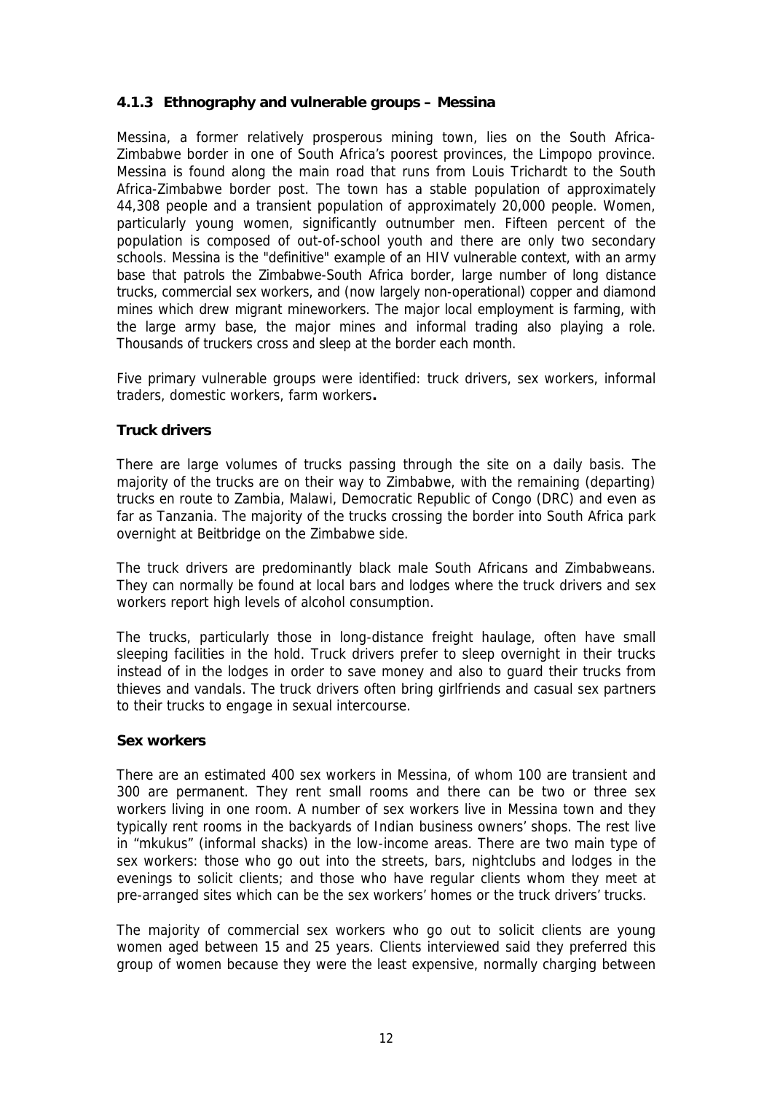## **4.1.3 Ethnography and vulnerable groups – Messina**

Messina, a former relatively prosperous mining town, lies on the South Africa-Zimbabwe border in one of South Africa's poorest provinces, the Limpopo province. Messina is found along the main road that runs from Louis Trichardt to the South Africa-Zimbabwe border post. The town has a stable population of approximately 44,308 people and a transient population of approximately 20,000 people. Women, particularly young women, significantly outnumber men. Fifteen percent of the population is composed of out-of-school youth and there are only two secondary schools. Messina is the "definitive" example of an HIV vulnerable context, with an army base that patrols the Zimbabwe-South Africa border, large number of long distance trucks, commercial sex workers, and (now largely non-operational) copper and diamond mines which drew migrant mineworkers. The major local employment is farming, with the large army base, the major mines and informal trading also playing a role. Thousands of truckers cross and sleep at the border each month.

Five primary vulnerable groups were identified: truck drivers, sex workers, informal traders, domestic workers, farm workers**.**

## **Truck drivers**

There are large volumes of trucks passing through the site on a daily basis. The majority of the trucks are on their way to Zimbabwe, with the remaining (departing) trucks en route to Zambia, Malawi, Democratic Republic of Congo (DRC) and even as far as Tanzania. The majority of the trucks crossing the border into South Africa park overnight at Beitbridge on the Zimbabwe side.

The truck drivers are predominantly black male South Africans and Zimbabweans. They can normally be found at local bars and lodges where the truck drivers and sex workers report high levels of alcohol consumption.

The trucks, particularly those in long-distance freight haulage, often have small sleeping facilities in the hold. Truck drivers prefer to sleep overnight in their trucks instead of in the lodges in order to save money and also to guard their trucks from thieves and vandals. The truck drivers often bring girlfriends and casual sex partners to their trucks to engage in sexual intercourse.

#### **Sex workers**

There are an estimated 400 sex workers in Messina, of whom 100 are transient and 300 are permanent. They rent small rooms and there can be two or three sex workers living in one room. A number of sex workers live in Messina town and they typically rent rooms in the backyards of Indian business owners' shops. The rest live in "mkukus" (informal shacks) in the low-income areas. There are two main type of sex workers: those who go out into the streets, bars, nightclubs and lodges in the evenings to solicit clients; and those who have regular clients whom they meet at pre-arranged sites which can be the sex workers' homes or the truck drivers' trucks.

The majority of commercial sex workers who go out to solicit clients are young women aged between 15 and 25 years. Clients interviewed said they preferred this group of women because they were the least expensive, normally charging between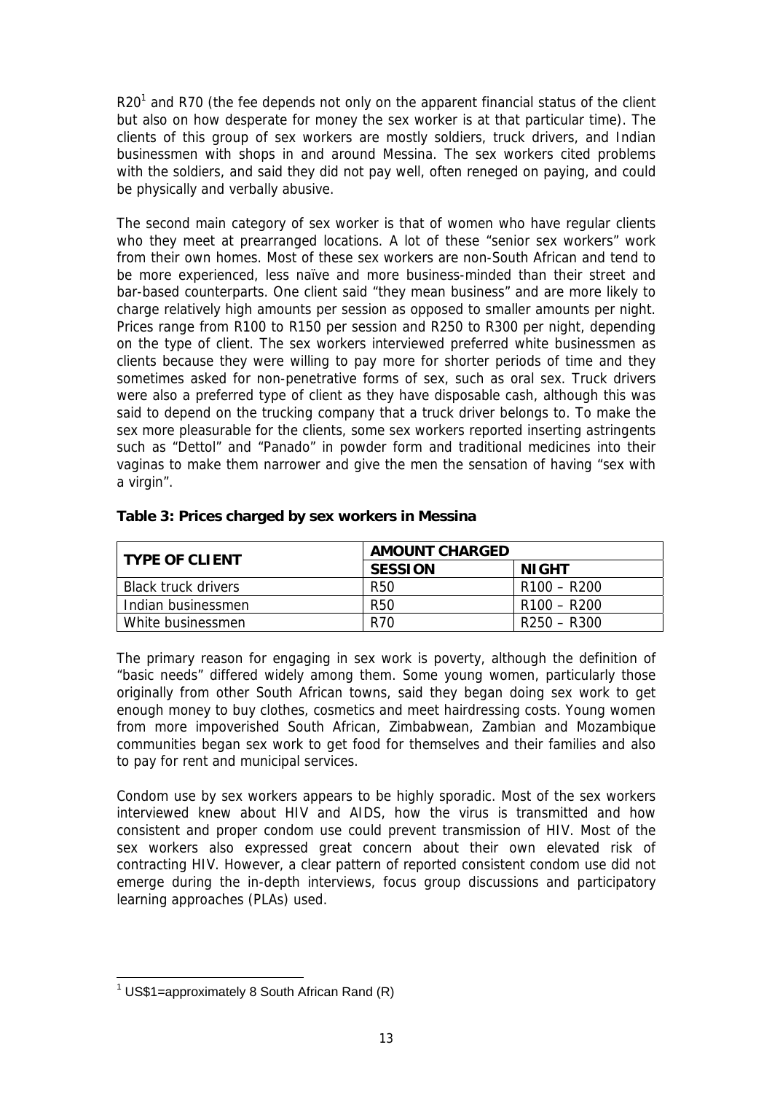R20<sup>[1](#page-12-0)</sup> and R70 (the fee depends not only on the apparent financial status of the client but also on how desperate for money the sex worker is at that particular time). The clients of this group of sex workers are mostly soldiers, truck drivers, and Indian businessmen with shops in and around Messina. The sex workers cited problems with the soldiers, and said they did not pay well, often reneged on paying, and could be physically and verbally abusive.

The second main category of sex worker is that of women who have regular clients who they meet at prearranged locations. A lot of these "senior sex workers" work from their own homes. Most of these sex workers are non-South African and tend to be more experienced, less naïve and more business-minded than their street and bar-based counterparts. One client said "they mean business" and are more likely to charge relatively high amounts per session as opposed to smaller amounts per night. Prices range from R100 to R150 per session and R250 to R300 per night, depending on the type of client. The sex workers interviewed preferred white businessmen as clients because they were willing to pay more for shorter periods of time and they sometimes asked for non-penetrative forms of sex, such as oral sex. Truck drivers were also a preferred type of client as they have disposable cash, although this was said to depend on the trucking company that a truck driver belongs to. To make the sex more pleasurable for the clients, some sex workers reported inserting astringents such as "Dettol" and "Panado" in powder form and traditional medicines into their vaginas to make them narrower and give the men the sensation of having "sex with a virgin".

| <b>TYPE OF CLIENT</b>      | <b>AMOUNT CHARGED</b> |                                     |  |
|----------------------------|-----------------------|-------------------------------------|--|
|                            | <b>SESSION</b>        | NIGHT                               |  |
| <b>Black truck drivers</b> | R <sub>50</sub>       | R100 – R200                         |  |
| Indian businessmen         | R <sub>50</sub>       | R <sub>100</sub> – R <sub>200</sub> |  |
| White businessmen          | R70                   | R250 – R300                         |  |

#### **Table 3: Prices charged by sex workers in Messina**

The primary reason for engaging in sex work is poverty, although the definition of "basic needs" differed widely among them. Some young women, particularly those originally from other South African towns, said they began doing sex work to get enough money to buy clothes, cosmetics and meet hairdressing costs. Young women from more impoverished South African, Zimbabwean, Zambian and Mozambique communities began sex work to get food for themselves and their families and also to pay for rent and municipal services.

Condom use by sex workers appears to be highly sporadic. Most of the sex workers interviewed knew about HIV and AIDS, how the virus is transmitted and how consistent and proper condom use could prevent transmission of HIV. Most of the sex workers also expressed great concern about their own elevated risk of contracting HIV. However, a clear pattern of reported consistent condom use did not emerge during the in-depth interviews, focus group discussions and participatory learning approaches (PLAs) used.

<span id="page-12-0"></span>1 US\$1=approximately 8 South African Rand (R)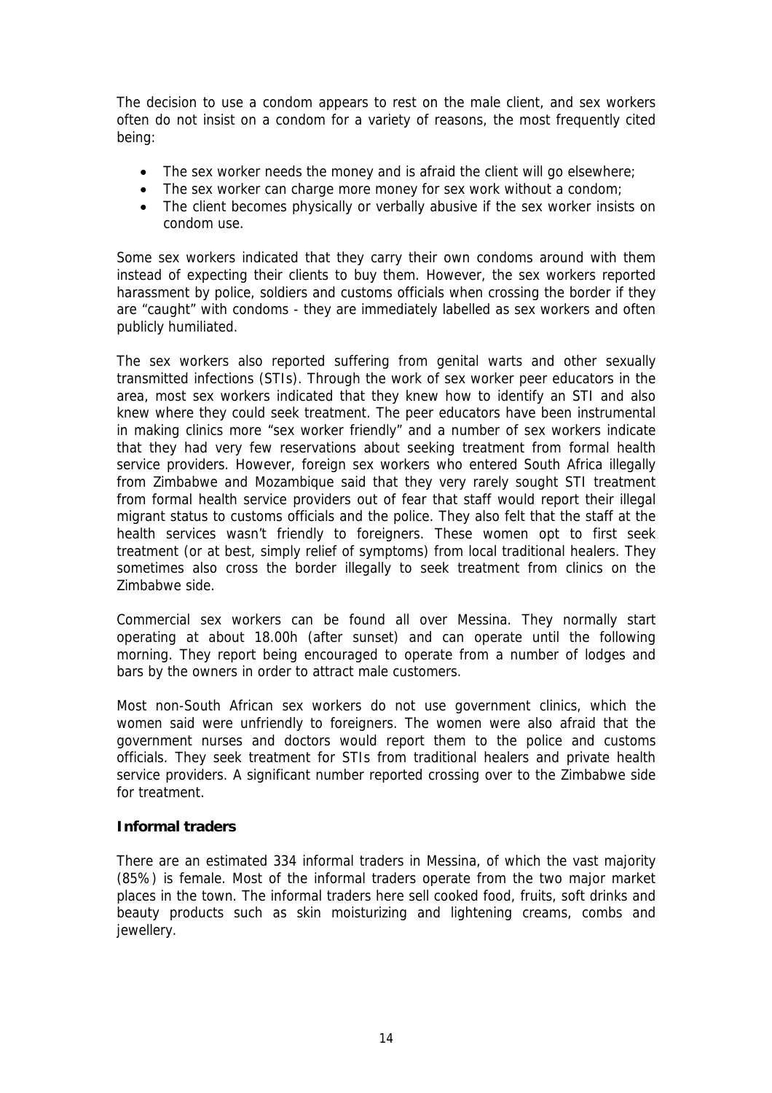The decision to use a condom appears to rest on the male client, and sex workers often do not insist on a condom for a variety of reasons, the most frequently cited being:

- The sex worker needs the money and is afraid the client will go elsewhere;
- The sex worker can charge more money for sex work without a condom;
- The client becomes physically or verbally abusive if the sex worker insists on condom use.

Some sex workers indicated that they carry their own condoms around with them instead of expecting their clients to buy them. However, the sex workers reported harassment by police, soldiers and customs officials when crossing the border if they are "caught" with condoms - they are immediately labelled as sex workers and often publicly humiliated.

The sex workers also reported suffering from genital warts and other sexually transmitted infections (STIs). Through the work of sex worker peer educators in the area, most sex workers indicated that they knew how to identify an STI and also knew where they could seek treatment. The peer educators have been instrumental in making clinics more "sex worker friendly" and a number of sex workers indicate that they had very few reservations about seeking treatment from formal health service providers. However, foreign sex workers who entered South Africa illegally from Zimbabwe and Mozambique said that they very rarely sought STI treatment from formal health service providers out of fear that staff would report their illegal migrant status to customs officials and the police. They also felt that the staff at the health services wasn't friendly to foreigners. These women opt to first seek treatment (or at best, simply relief of symptoms) from local traditional healers. They sometimes also cross the border illegally to seek treatment from clinics on the Zimbabwe side.

Commercial sex workers can be found all over Messina. They normally start operating at about 18.00h (after sunset) and can operate until the following morning. They report being encouraged to operate from a number of lodges and bars by the owners in order to attract male customers.

Most non-South African sex workers do not use government clinics, which the women said were unfriendly to foreigners. The women were also afraid that the government nurses and doctors would report them to the police and customs officials. They seek treatment for STIs from traditional healers and private health service providers. A significant number reported crossing over to the Zimbabwe side for treatment.

#### **Informal traders**

There are an estimated 334 informal traders in Messina, of which the vast majority (85%) is female. Most of the informal traders operate from the two major market places in the town. The informal traders here sell cooked food, fruits, soft drinks and beauty products such as skin moisturizing and lightening creams, combs and jewellery.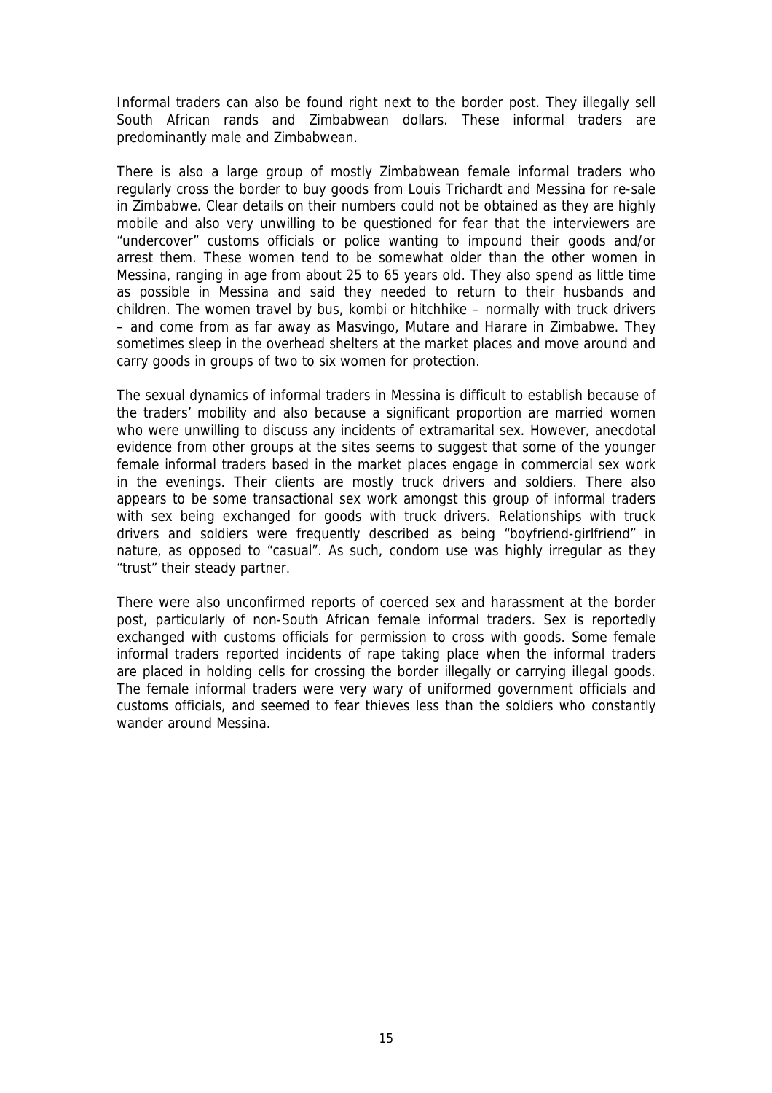Informal traders can also be found right next to the border post. They illegally sell South African rands and Zimbabwean dollars. These informal traders are predominantly male and Zimbabwean.

There is also a large group of mostly Zimbabwean female informal traders who regularly cross the border to buy goods from Louis Trichardt and Messina for re-sale in Zimbabwe. Clear details on their numbers could not be obtained as they are highly mobile and also very unwilling to be questioned for fear that the interviewers are "undercover" customs officials or police wanting to impound their goods and/or arrest them. These women tend to be somewhat older than the other women in Messina, ranging in age from about 25 to 65 years old. They also spend as little time as possible in Messina and said they needed to return to their husbands and children. The women travel by bus, kombi or hitchhike – normally with truck drivers – and come from as far away as Masvingo, Mutare and Harare in Zimbabwe. They sometimes sleep in the overhead shelters at the market places and move around and carry goods in groups of two to six women for protection.

The sexual dynamics of informal traders in Messina is difficult to establish because of the traders' mobility and also because a significant proportion are married women who were unwilling to discuss any incidents of extramarital sex. However, anecdotal evidence from other groups at the sites seems to suggest that some of the younger female informal traders based in the market places engage in commercial sex work in the evenings. Their clients are mostly truck drivers and soldiers. There also appears to be some transactional sex work amongst this group of informal traders with sex being exchanged for goods with truck drivers. Relationships with truck drivers and soldiers were frequently described as being "boyfriend-girlfriend" in nature, as opposed to "casual". As such, condom use was highly irregular as they "trust" their steady partner.

There were also unconfirmed reports of coerced sex and harassment at the border post, particularly of non-South African female informal traders. Sex is reportedly exchanged with customs officials for permission to cross with goods. Some female informal traders reported incidents of rape taking place when the informal traders are placed in holding cells for crossing the border illegally or carrying illegal goods. The female informal traders were very wary of uniformed government officials and customs officials, and seemed to fear thieves less than the soldiers who constantly wander around Messina.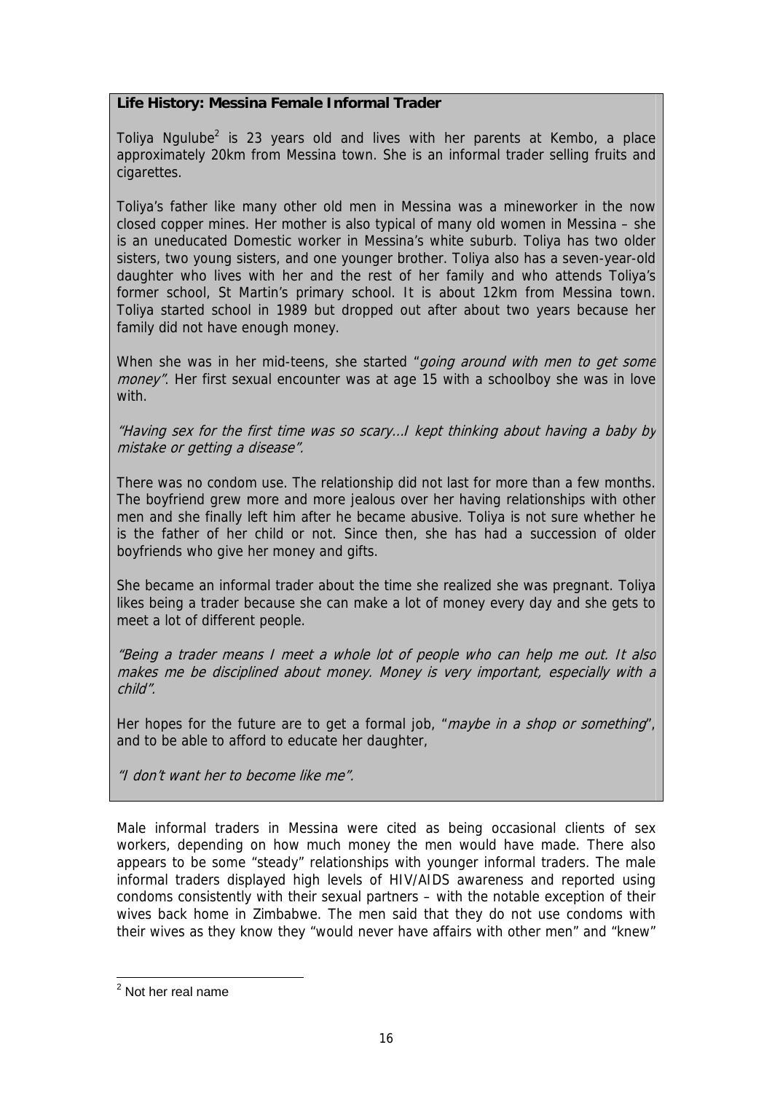## **Life History: Messina Female Informal Trader**

Toliya Ngulube<sup>[2](#page-15-0)</sup> is 23 years old and lives with her parents at Kembo, a place approximately 20km from Messina town. She is an informal trader selling fruits and cigarettes.

Toliya's father like many other old men in Messina was a mineworker in the now closed copper mines. Her mother is also typical of many old women in Messina – she is an uneducated Domestic worker in Messina's white suburb. Toliya has two older sisters, two young sisters, and one younger brother. Toliya also has a seven-year-old daughter who lives with her and the rest of her family and who attends Toliya's former school, St Martin's primary school. It is about 12km from Messina town. Toliya started school in 1989 but dropped out after about two years because her family did not have enough money.

When she was in her mid-teens, she started "going around with men to get some money". Her first sexual encounter was at age 15 with a schoolboy she was in love with.

"Having sex for the first time was so scary…I kept thinking about having a baby by mistake or getting a disease".

There was no condom use. The relationship did not last for more than a few months. The boyfriend grew more and more jealous over her having relationships with other men and she finally left him after he became abusive. Toliya is not sure whether he is the father of her child or not. Since then, she has had a succession of older boyfriends who give her money and gifts.

She became an informal trader about the time she realized she was pregnant. Toliya likes being a trader because she can make a lot of money every day and she gets to meet a lot of different people.

"Being a trader means I meet a whole lot of people who can help me out. It also makes me be disciplined about money. Money is very important, especially with a child".

Her hopes for the future are to get a formal job, "*maybe in a shop or something*", and to be able to afford to educate her daughter,

"I don't want her to become like me".

Male informal traders in Messina were cited as being occasional clients of sex workers, depending on how much money the men would have made. There also appears to be some "steady" relationships with younger informal traders. The male informal traders displayed high levels of HIV/AIDS awareness and reported using condoms consistently with their sexual partners – with the notable exception of their wives back home in Zimbabwe. The men said that they do not use condoms with their wives as they know they "would never have affairs with other men" and "knew"

<span id="page-15-0"></span><sup>&</sup>lt;sup>2</sup> Not her real name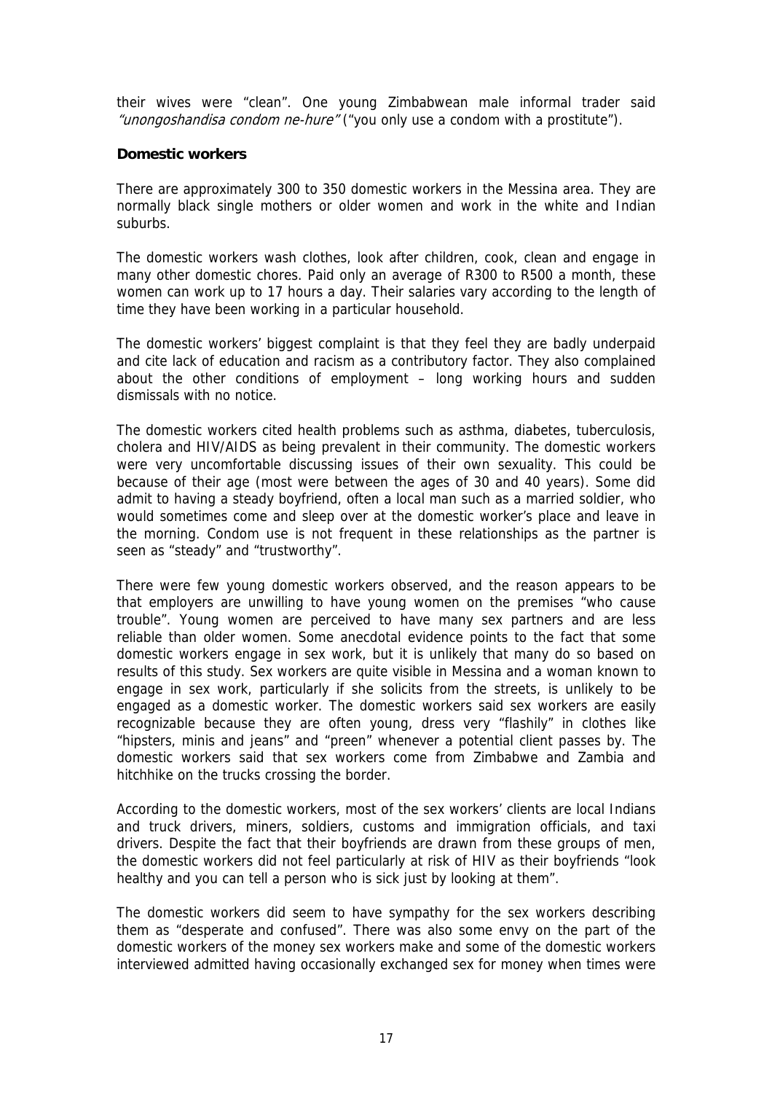their wives were "clean". One young Zimbabwean male informal trader said "unongoshandisa condom ne-hure" ("you only use a condom with a prostitute").

#### **Domestic workers**

There are approximately 300 to 350 domestic workers in the Messina area. They are normally black single mothers or older women and work in the white and Indian suburbs.

The domestic workers wash clothes, look after children, cook, clean and engage in many other domestic chores. Paid only an average of R300 to R500 a month, these women can work up to 17 hours a day. Their salaries vary according to the length of time they have been working in a particular household.

The domestic workers' biggest complaint is that they feel they are badly underpaid and cite lack of education and racism as a contributory factor. They also complained about the other conditions of employment – long working hours and sudden dismissals with no notice.

The domestic workers cited health problems such as asthma, diabetes, tuberculosis, cholera and HIV/AIDS as being prevalent in their community. The domestic workers were very uncomfortable discussing issues of their own sexuality. This could be because of their age (most were between the ages of 30 and 40 years). Some did admit to having a steady boyfriend, often a local man such as a married soldier, who would sometimes come and sleep over at the domestic worker's place and leave in the morning. Condom use is not frequent in these relationships as the partner is seen as "steady" and "trustworthy".

There were few young domestic workers observed, and the reason appears to be that employers are unwilling to have young women on the premises "who cause trouble". Young women are perceived to have many sex partners and are less reliable than older women. Some anecdotal evidence points to the fact that some domestic workers engage in sex work, but it is unlikely that many do so based on results of this study. Sex workers are quite visible in Messina and a woman known to engage in sex work, particularly if she solicits from the streets, is unlikely to be engaged as a domestic worker. The domestic workers said sex workers are easily recognizable because they are often young, dress very "flashily" in clothes like "hipsters, minis and jeans" and "preen" whenever a potential client passes by. The domestic workers said that sex workers come from Zimbabwe and Zambia and hitchhike on the trucks crossing the border.

According to the domestic workers, most of the sex workers' clients are local Indians and truck drivers, miners, soldiers, customs and immigration officials, and taxi drivers. Despite the fact that their boyfriends are drawn from these groups of men, the domestic workers did not feel particularly at risk of HIV as their boyfriends "look healthy and you can tell a person who is sick just by looking at them".

The domestic workers did seem to have sympathy for the sex workers describing them as "desperate and confused". There was also some envy on the part of the domestic workers of the money sex workers make and some of the domestic workers interviewed admitted having occasionally exchanged sex for money when times were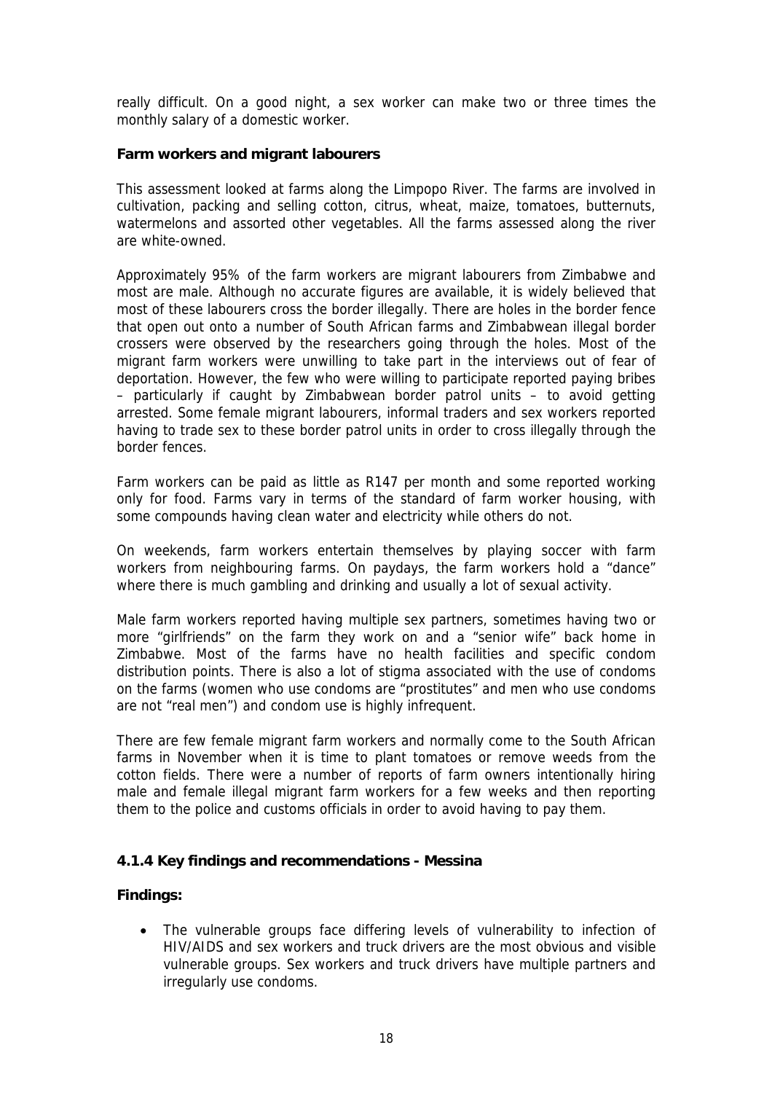really difficult. On a good night, a sex worker can make two or three times the monthly salary of a domestic worker.

#### **Farm workers and migrant labourers**

This assessment looked at farms along the Limpopo River. The farms are involved in cultivation, packing and selling cotton, citrus, wheat, maize, tomatoes, butternuts, watermelons and assorted other vegetables. All the farms assessed along the river are white-owned.

Approximately 95% of the farm workers are migrant labourers from Zimbabwe and most are male. Although no accurate figures are available, it is widely believed that most of these labourers cross the border illegally. There are holes in the border fence that open out onto a number of South African farms and Zimbabwean illegal border crossers were observed by the researchers going through the holes. Most of the migrant farm workers were unwilling to take part in the interviews out of fear of deportation. However, the few who were willing to participate reported paying bribes – particularly if caught by Zimbabwean border patrol units – to avoid getting arrested. Some female migrant labourers, informal traders and sex workers reported having to trade sex to these border patrol units in order to cross illegally through the border fences.

Farm workers can be paid as little as R147 per month and some reported working only for food. Farms vary in terms of the standard of farm worker housing, with some compounds having clean water and electricity while others do not.

On weekends, farm workers entertain themselves by playing soccer with farm workers from neighbouring farms. On paydays, the farm workers hold a "dance" where there is much gambling and drinking and usually a lot of sexual activity.

Male farm workers reported having multiple sex partners, sometimes having two or more "girlfriends" on the farm they work on and a "senior wife" back home in Zimbabwe. Most of the farms have no health facilities and specific condom distribution points. There is also a lot of stigma associated with the use of condoms on the farms (women who use condoms are "prostitutes" and men who use condoms are not "real men") and condom use is highly infrequent.

There are few female migrant farm workers and normally come to the South African farms in November when it is time to plant tomatoes or remove weeds from the cotton fields. There were a number of reports of farm owners intentionally hiring male and female illegal migrant farm workers for a few weeks and then reporting them to the police and customs officials in order to avoid having to pay them.

#### **4.1.4 Key findings and recommendations - Messina**

#### **Findings:**

• The vulnerable groups face differing levels of vulnerability to infection of HIV/AIDS and sex workers and truck drivers are the most obvious and visible vulnerable groups. Sex workers and truck drivers have multiple partners and irregularly use condoms.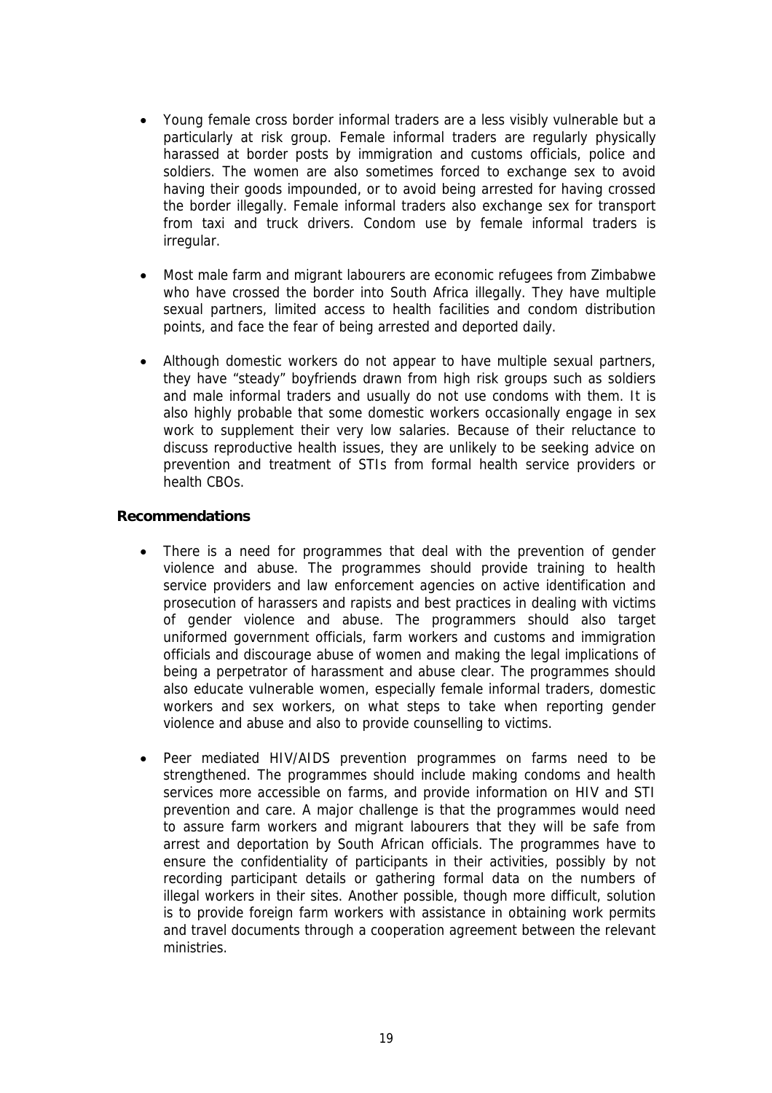- Young female cross border informal traders are a less visibly vulnerable but a particularly at risk group. Female informal traders are regularly physically harassed at border posts by immigration and customs officials, police and soldiers. The women are also sometimes forced to exchange sex to avoid having their goods impounded, or to avoid being arrested for having crossed the border illegally. Female informal traders also exchange sex for transport from taxi and truck drivers. Condom use by female informal traders is irregular.
- Most male farm and migrant labourers are economic refugees from Zimbabwe who have crossed the border into South Africa illegally. They have multiple sexual partners, limited access to health facilities and condom distribution points, and face the fear of being arrested and deported daily.
- Although domestic workers do not appear to have multiple sexual partners, they have "steady" boyfriends drawn from high risk groups such as soldiers and male informal traders and usually do not use condoms with them. It is also highly probable that some domestic workers occasionally engage in sex work to supplement their very low salaries. Because of their reluctance to discuss reproductive health issues, they are unlikely to be seeking advice on prevention and treatment of STIs from formal health service providers or health CBOs.

#### **Recommendations**

- There is a need for programmes that deal with the prevention of gender violence and abuse. The programmes should provide training to health service providers and law enforcement agencies on active identification and prosecution of harassers and rapists and best practices in dealing with victims of gender violence and abuse. The programmers should also target uniformed government officials, farm workers and customs and immigration officials and discourage abuse of women and making the legal implications of being a perpetrator of harassment and abuse clear. The programmes should also educate vulnerable women, especially female informal traders, domestic workers and sex workers, on what steps to take when reporting gender violence and abuse and also to provide counselling to victims.
- Peer mediated HIV/AIDS prevention programmes on farms need to be strengthened. The programmes should include making condoms and health services more accessible on farms, and provide information on HIV and STI prevention and care. A major challenge is that the programmes would need to assure farm workers and migrant labourers that they will be safe from arrest and deportation by South African officials. The programmes have to ensure the confidentiality of participants in their activities, possibly by not recording participant details or gathering formal data on the numbers of illegal workers in their sites. Another possible, though more difficult, solution is to provide foreign farm workers with assistance in obtaining work permits and travel documents through a cooperation agreement between the relevant ministries.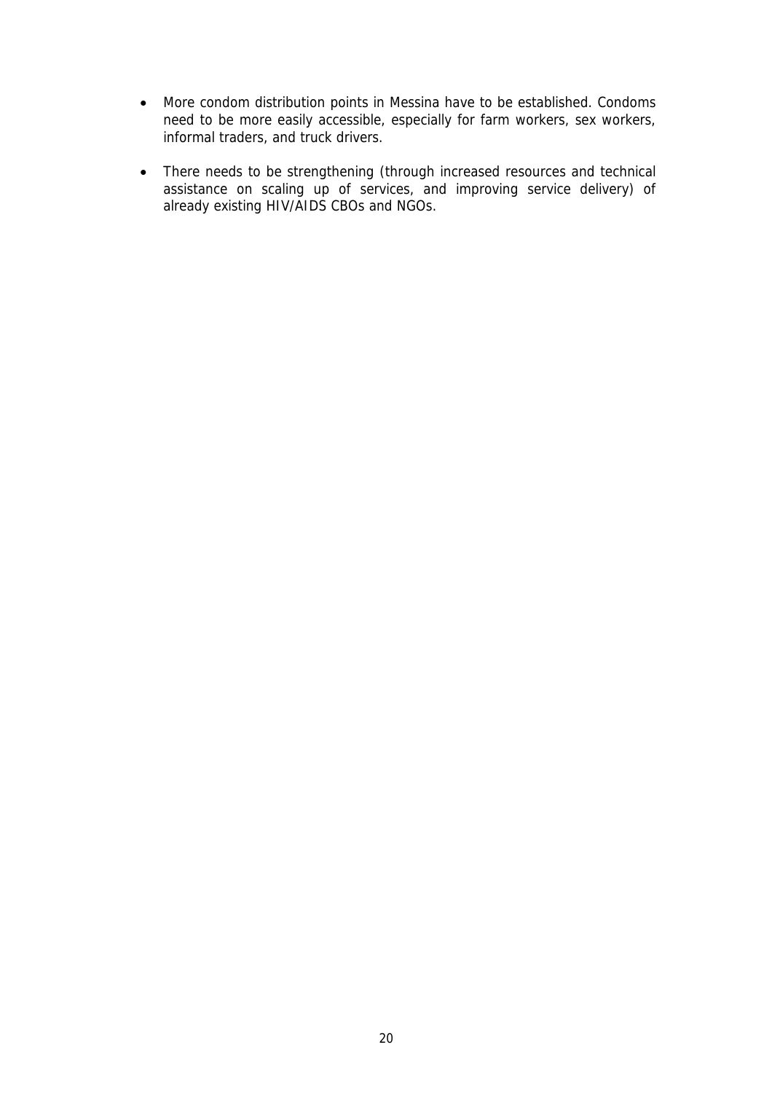- More condom distribution points in Messina have to be established. Condoms need to be more easily accessible, especially for farm workers, sex workers, informal traders, and truck drivers.
- There needs to be strengthening (through increased resources and technical assistance on scaling up of services, and improving service delivery) of already existing HIV/AIDS CBOs and NGOs.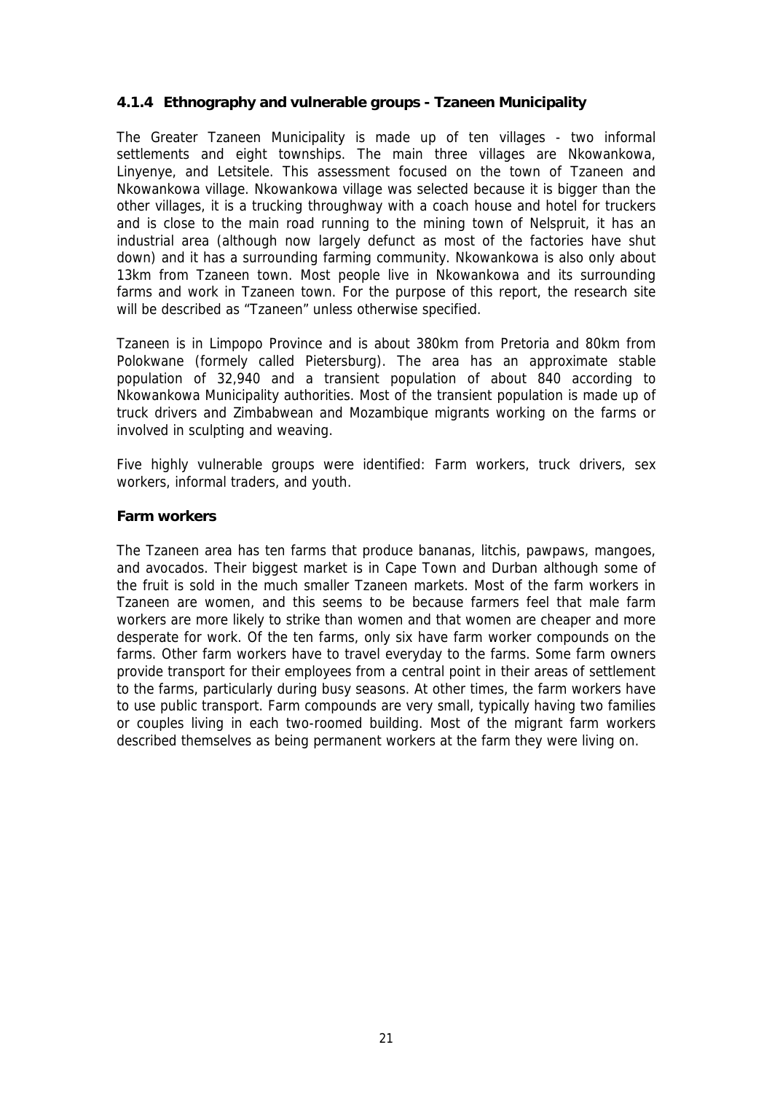## **4.1.4 Ethnography and vulnerable groups - Tzaneen Municipality**

The Greater Tzaneen Municipality is made up of ten villages - two informal settlements and eight townships. The main three villages are Nkowankowa, Linyenye, and Letsitele. This assessment focused on the town of Tzaneen and Nkowankowa village. Nkowankowa village was selected because it is bigger than the other villages, it is a trucking throughway with a coach house and hotel for truckers and is close to the main road running to the mining town of Nelspruit, it has an industrial area (although now largely defunct as most of the factories have shut down) and it has a surrounding farming community. Nkowankowa is also only about 13km from Tzaneen town. Most people live in Nkowankowa and its surrounding farms and work in Tzaneen town. For the purpose of this report, the research site will be described as "Tzaneen" unless otherwise specified.

Tzaneen is in Limpopo Province and is about 380km from Pretoria and 80km from Polokwane (formely called Pietersburg). The area has an approximate stable population of 32,940 and a transient population of about 840 according to Nkowankowa Municipality authorities. Most of the transient population is made up of truck drivers and Zimbabwean and Mozambique migrants working on the farms or involved in sculpting and weaving.

Five highly vulnerable groups were identified: Farm workers, truck drivers, sex workers, informal traders, and youth.

#### **Farm workers**

The Tzaneen area has ten farms that produce bananas, litchis, pawpaws, mangoes, and avocados. Their biggest market is in Cape Town and Durban although some of the fruit is sold in the much smaller Tzaneen markets. Most of the farm workers in Tzaneen are women, and this seems to be because farmers feel that male farm workers are more likely to strike than women and that women are cheaper and more desperate for work. Of the ten farms, only six have farm worker compounds on the farms. Other farm workers have to travel everyday to the farms. Some farm owners provide transport for their employees from a central point in their areas of settlement to the farms, particularly during busy seasons. At other times, the farm workers have to use public transport. Farm compounds are very small, typically having two families or couples living in each two-roomed building. Most of the migrant farm workers described themselves as being permanent workers at the farm they were living on.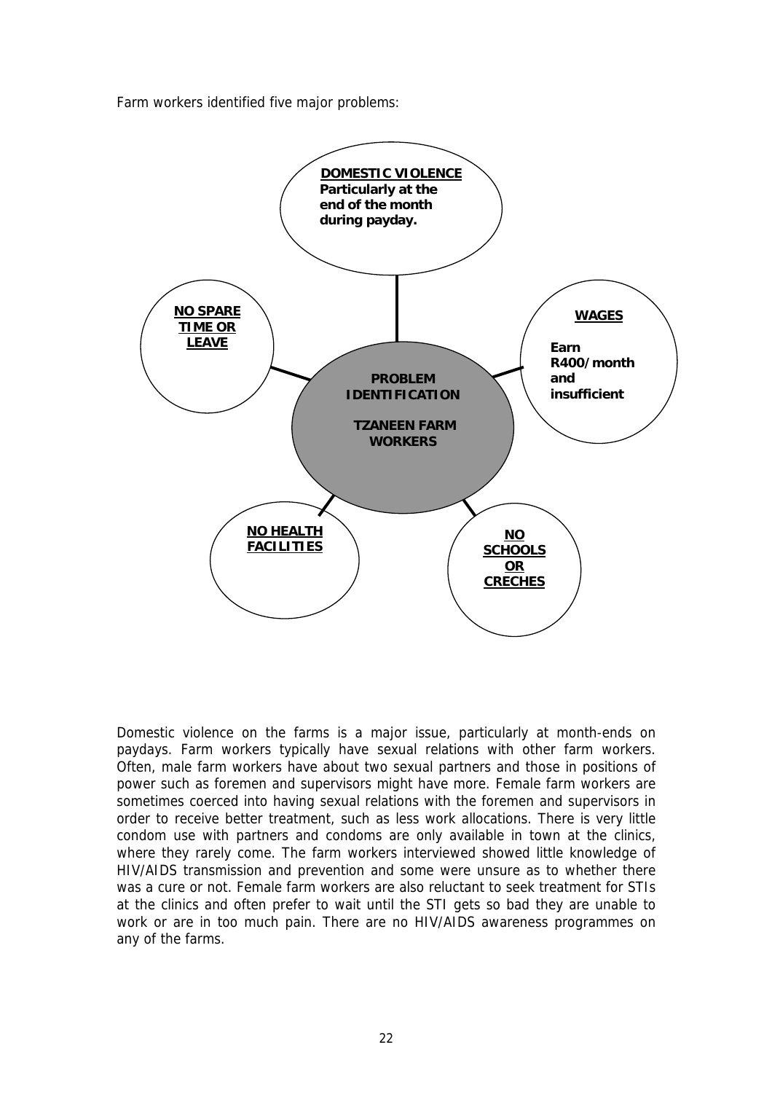Farm workers identified five major problems:



Domestic violence on the farms is a major issue, particularly at month-ends on paydays. Farm workers typically have sexual relations with other farm workers. Often, male farm workers have about two sexual partners and those in positions of power such as foremen and supervisors might have more. Female farm workers are sometimes coerced into having sexual relations with the foremen and supervisors in order to receive better treatment, such as less work allocations. There is very little condom use with partners and condoms are only available in town at the clinics, where they rarely come. The farm workers interviewed showed little knowledge of HIV/AIDS transmission and prevention and some were unsure as to whether there was a cure or not. Female farm workers are also reluctant to seek treatment for STIs at the clinics and often prefer to wait until the STI gets so bad they are unable to work or are in too much pain. There are no HIV/AIDS awareness programmes on any of the farms.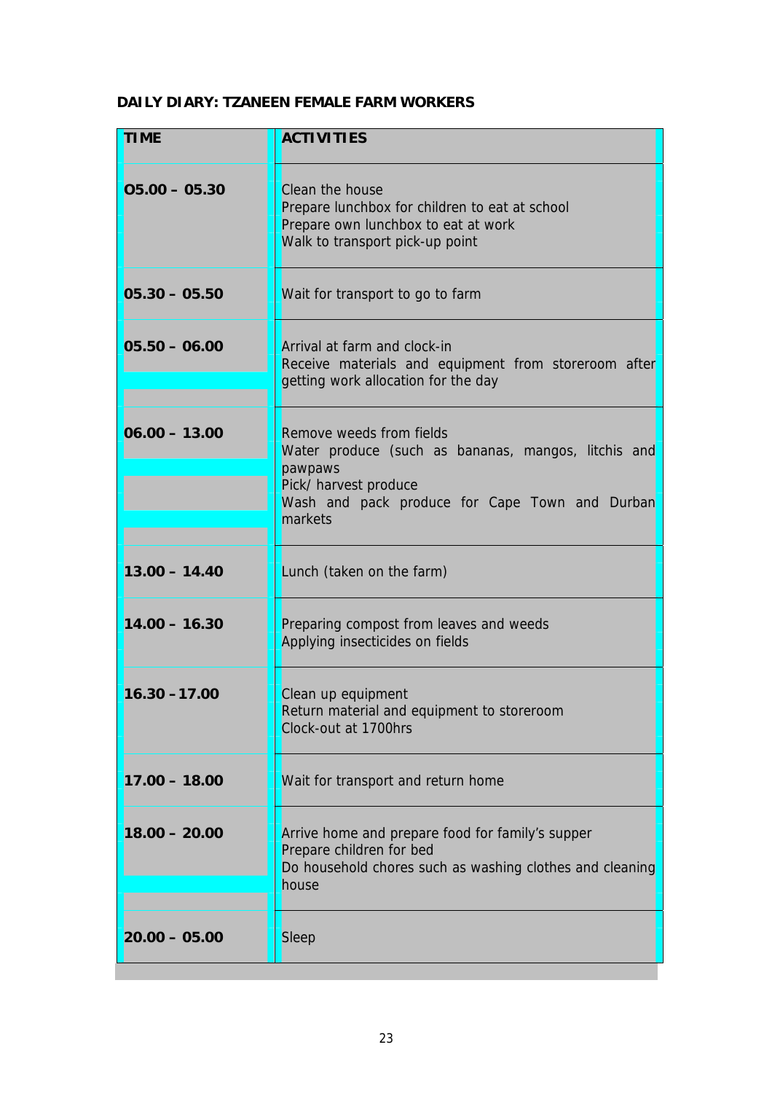## **DAILY DIARY: TZANEEN FEMALE FARM WORKERS**

| <b>TIME</b>                                                                                                                                                                                         | <b>ACTIVITIES</b>                                                                                                                                 |
|-----------------------------------------------------------------------------------------------------------------------------------------------------------------------------------------------------|---------------------------------------------------------------------------------------------------------------------------------------------------|
| $05.00 - 05.30$                                                                                                                                                                                     | Clean the house<br>Prepare lunchbox for children to eat at school<br>Prepare own lunchbox to eat at work<br>Walk to transport pick-up point       |
| $05.30 - 05.50$                                                                                                                                                                                     | Wait for transport to go to farm                                                                                                                  |
| $05.50 - 06.00$                                                                                                                                                                                     | Arrival at farm and clock-in<br>Receive materials and equipment from storeroom after<br>getting work allocation for the day                       |
| $06.00 - 13.00$<br>Remove weeds from fields<br>Water produce (such as bananas, mangos, litchis and<br>pawpaws<br>Pick/ harvest produce<br>Wash and pack produce for Cape Town and Durban<br>markets |                                                                                                                                                   |
| $13.00 - 14.40$                                                                                                                                                                                     | Lunch (taken on the farm)                                                                                                                         |
| $14.00 - 16.30$                                                                                                                                                                                     | Preparing compost from leaves and weeds<br>Applying insecticides on fields                                                                        |
| $16.30 - 17.00$                                                                                                                                                                                     | Clean up equipment<br>Return material and equipment to storeroom<br>Clock-out at 1700hrs                                                          |
| $17.00 - 18.00$                                                                                                                                                                                     | Wait for transport and return home                                                                                                                |
| $18.00 - 20.00$                                                                                                                                                                                     | Arrive home and prepare food for family's supper<br>Prepare children for bed<br>Do household chores such as washing clothes and cleaning<br>house |
| $20.00 - 05.00$                                                                                                                                                                                     | Sleep                                                                                                                                             |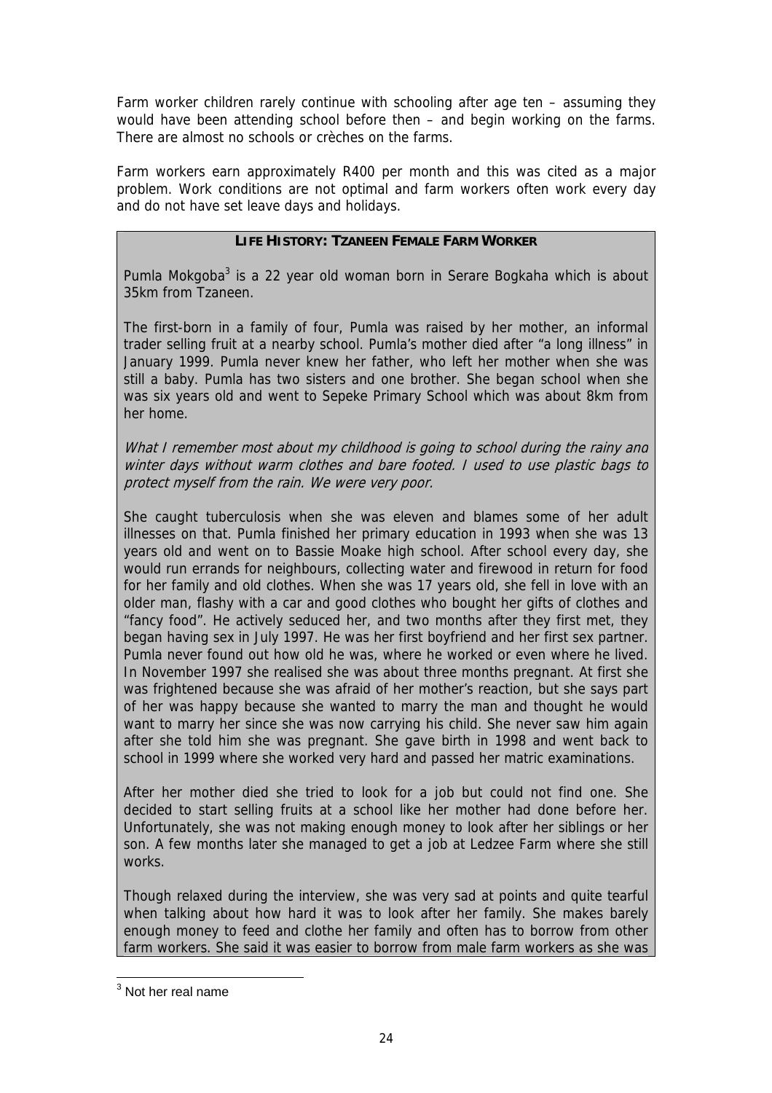Farm worker children rarely continue with schooling after age ten – assuming they would have been attending school before then – and begin working on the farms. There are almost no schools or crèches on the farms.

Farm workers earn approximately R400 per month and this was cited as a major problem. Work conditions are not optimal and farm workers often work every day and do not have set leave days and holidays.

## **LIFE HISTORY: TZANEEN FEMALE FARM WORKER**

Pumla Mokgoba<sup>[3](#page-23-0)</sup> is a 22 year old woman born in Serare Bogkaha which is about 35km from Tzaneen.

The first-born in a family of four, Pumla was raised by her mother, an informal trader selling fruit at a nearby school. Pumla's mother died after "a long illness" in January 1999. Pumla never knew her father, who left her mother when she was still a baby. Pumla has two sisters and one brother. She began school when she was six years old and went to Sepeke Primary School which was about 8km from her home.

What I remember most about my childhood is going to school during the rainy and winter days without warm clothes and bare footed. I used to use plastic bags to protect myself from the rain. We were very poor.

She caught tuberculosis when she was eleven and blames some of her adult illnesses on that. Pumla finished her primary education in 1993 when she was 13 years old and went on to Bassie Moake high school. After school every day, she would run errands for neighbours, collecting water and firewood in return for food for her family and old clothes. When she was 17 years old, she fell in love with an older man, flashy with a car and good clothes who bought her gifts of clothes and "fancy food". He actively seduced her, and two months after they first met, they began having sex in July 1997. He was her first boyfriend and her first sex partner. Pumla never found out how old he was, where he worked or even where he lived. In November 1997 she realised she was about three months pregnant. At first she was frightened because she was afraid of her mother's reaction, but she says part of her was happy because she wanted to marry the man and thought he would want to marry her since she was now carrying his child. She never saw him again after she told him she was pregnant. She gave birth in 1998 and went back to school in 1999 where she worked very hard and passed her matric examinations.

After her mother died she tried to look for a job but could not find one. She decided to start selling fruits at a school like her mother had done before her. Unfortunately, she was not making enough money to look after her siblings or her son. A few months later she managed to get a job at Ledzee Farm where she still works.

Though relaxed during the interview, she was very sad at points and quite tearful when talking about how hard it was to look after her family. She makes barely enough money to feed and clothe her family and often has to borrow from other farm workers. She said it was easier to borrow from male farm workers as she was

<span id="page-23-0"></span>3 Not her real name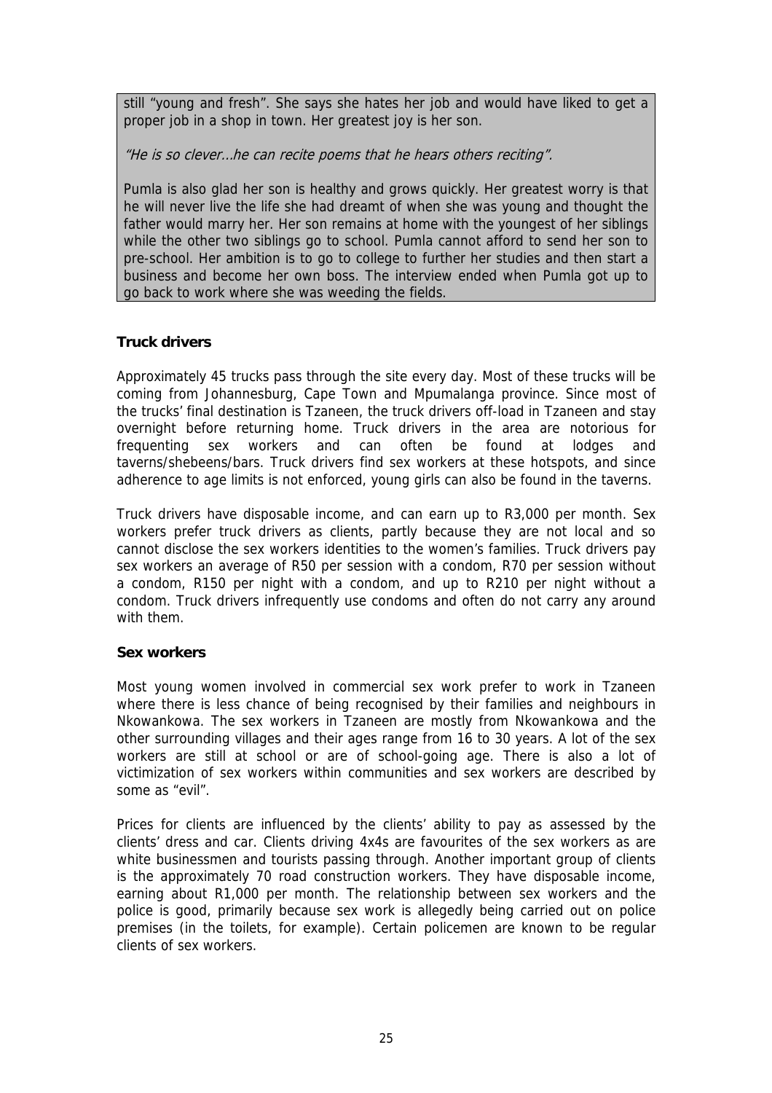still "young and fresh". She says she hates her job and would have liked to get a proper job in a shop in town. Her greatest joy is her son.

"He is so clever…he can recite poems that he hears others reciting".

Pumla is also glad her son is healthy and grows quickly. Her greatest worry is that he will never live the life she had dreamt of when she was young and thought the father would marry her. Her son remains at home with the youngest of her siblings while the other two siblings go to school. Pumla cannot afford to send her son to pre-school. Her ambition is to go to college to further her studies and then start a business and become her own boss. The interview ended when Pumla got up to go back to work where she was weeding the fields.

## **Truck drivers**

Approximately 45 trucks pass through the site every day. Most of these trucks will be coming from Johannesburg, Cape Town and Mpumalanga province. Since most of the trucks' final destination is Tzaneen, the truck drivers off-load in Tzaneen and stay overnight before returning home. Truck drivers in the area are notorious for frequenting sex workers and can often be found at lodges and taverns/shebeens/bars. Truck drivers find sex workers at these hotspots, and since adherence to age limits is not enforced, young girls can also be found in the taverns.

Truck drivers have disposable income, and can earn up to R3,000 per month. Sex workers prefer truck drivers as clients, partly because they are not local and so cannot disclose the sex workers identities to the women's families. Truck drivers pay sex workers an average of R50 per session with a condom, R70 per session without a condom, R150 per night with a condom, and up to R210 per night without a condom. Truck drivers infrequently use condoms and often do not carry any around with them.

## **Sex workers**

Most young women involved in commercial sex work prefer to work in Tzaneen where there is less chance of being recognised by their families and neighbours in Nkowankowa. The sex workers in Tzaneen are mostly from Nkowankowa and the other surrounding villages and their ages range from 16 to 30 years. A lot of the sex workers are still at school or are of school-going age. There is also a lot of victimization of sex workers within communities and sex workers are described by some as "evil".

Prices for clients are influenced by the clients' ability to pay as assessed by the clients' dress and car. Clients driving 4x4s are favourites of the sex workers as are white businessmen and tourists passing through. Another important group of clients is the approximately 70 road construction workers. They have disposable income, earning about R1,000 per month. The relationship between sex workers and the police is good, primarily because sex work is allegedly being carried out on police premises (in the toilets, for example). Certain policemen are known to be regular clients of sex workers.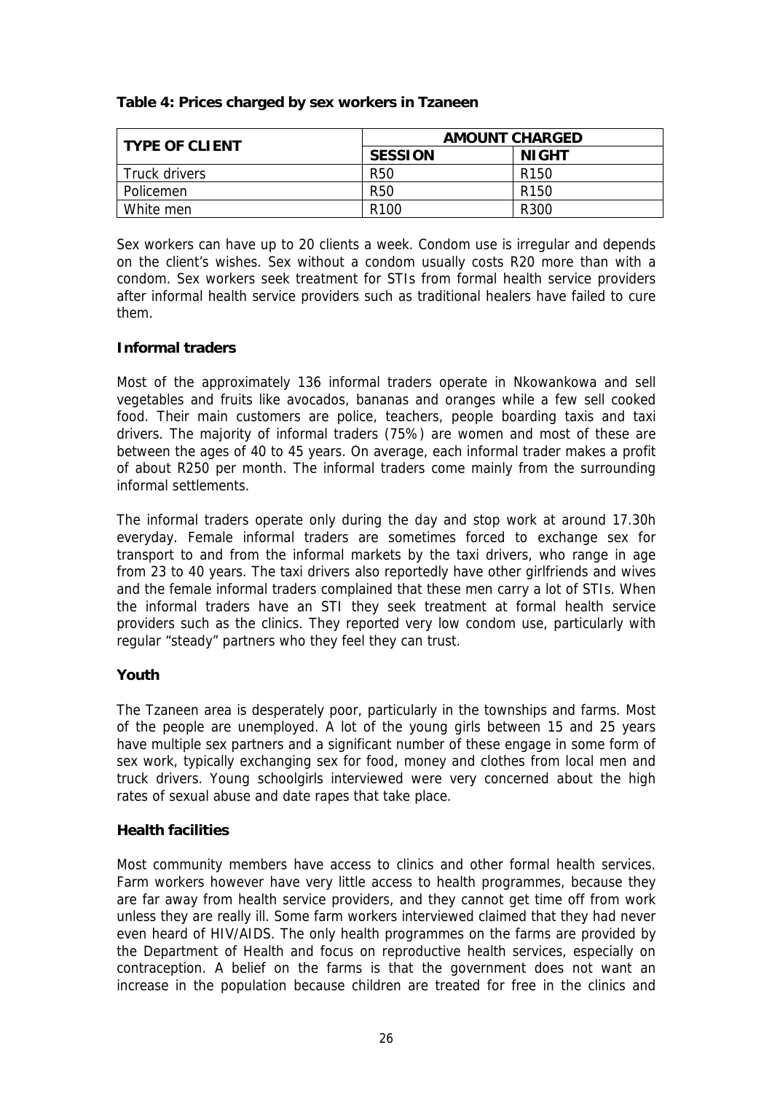| Table 4: Prices charged by sex workers in Tzaneen |
|---------------------------------------------------|
|---------------------------------------------------|

| <b>TYPE OF CLIENT</b> | <b>AMOUNT CHARGED</b> |                  |  |
|-----------------------|-----------------------|------------------|--|
|                       | <b>SESSION</b>        | <b>NIGHT</b>     |  |
| Truck drivers         | R <sub>50</sub>       | R <sub>150</sub> |  |
| Policemen             | R <sub>50</sub>       | R <sub>150</sub> |  |
| White men             | R <sub>100</sub>      | R <sub>300</sub> |  |

Sex workers can have up to 20 clients a week. Condom use is irregular and depends on the client's wishes. Sex without a condom usually costs R20 more than with a condom. Sex workers seek treatment for STIs from formal health service providers after informal health service providers such as traditional healers have failed to cure them.

## **Informal traders**

Most of the approximately 136 informal traders operate in Nkowankowa and sell vegetables and fruits like avocados, bananas and oranges while a few sell cooked food. Their main customers are police, teachers, people boarding taxis and taxi drivers. The majority of informal traders (75%) are women and most of these are between the ages of 40 to 45 years. On average, each informal trader makes a profit of about R250 per month. The informal traders come mainly from the surrounding informal settlements.

The informal traders operate only during the day and stop work at around 17.30h everyday. Female informal traders are sometimes forced to exchange sex for transport to and from the informal markets by the taxi drivers, who range in age from 23 to 40 years. The taxi drivers also reportedly have other girlfriends and wives and the female informal traders complained that these men carry a lot of STIs. When the informal traders have an STI they seek treatment at formal health service providers such as the clinics. They reported very low condom use, particularly with regular "steady" partners who they feel they can trust.

## **Youth**

The Tzaneen area is desperately poor, particularly in the townships and farms. Most of the people are unemployed. A lot of the young girls between 15 and 25 years have multiple sex partners and a significant number of these engage in some form of sex work, typically exchanging sex for food, money and clothes from local men and truck drivers. Young schoolgirls interviewed were very concerned about the high rates of sexual abuse and date rapes that take place.

## **Health facilities**

Most community members have access to clinics and other formal health services. Farm workers however have very little access to health programmes, because they are far away from health service providers, and they cannot get time off from work unless they are really ill. Some farm workers interviewed claimed that they had never even heard of HIV/AIDS. The only health programmes on the farms are provided by the Department of Health and focus on reproductive health services, especially on contraception. A belief on the farms is that the government does not want an increase in the population because children are treated for free in the clinics and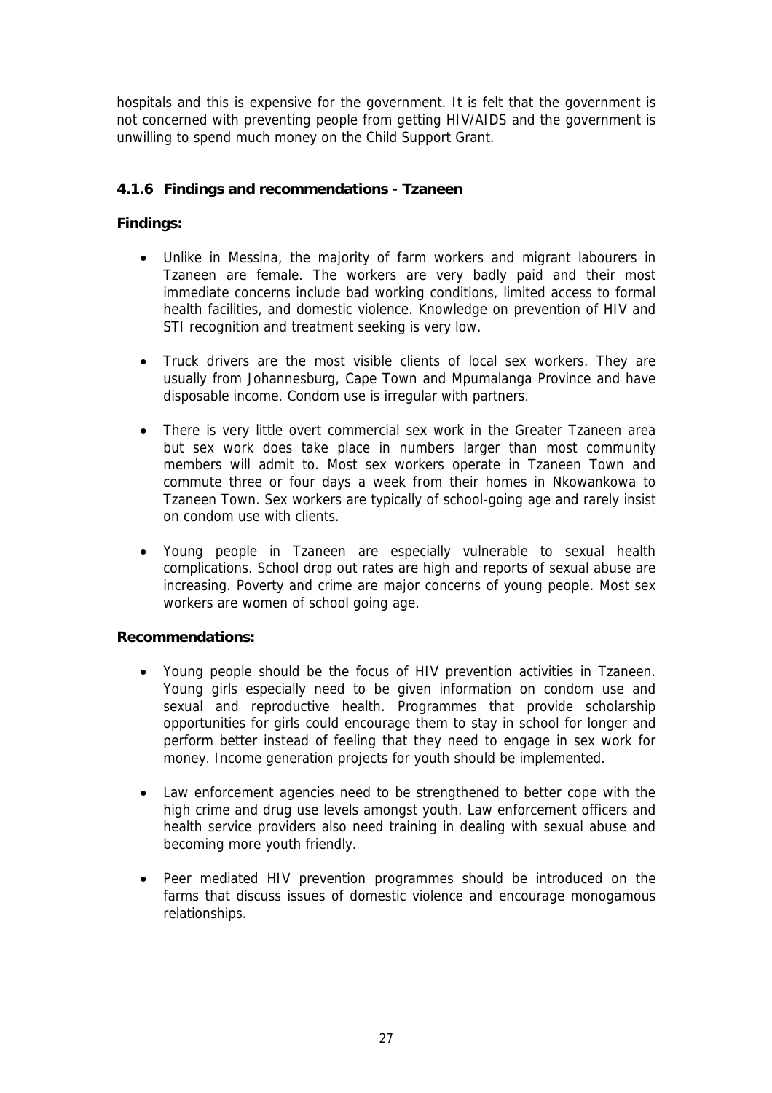hospitals and this is expensive for the government. It is felt that the government is not concerned with preventing people from getting HIV/AIDS and the government is unwilling to spend much money on the Child Support Grant.

## **4.1.6 Findings and recommendations - Tzaneen**

## **Findings:**

- Unlike in Messina, the majority of farm workers and migrant labourers in Tzaneen are female. The workers are very badly paid and their most immediate concerns include bad working conditions, limited access to formal health facilities, and domestic violence. Knowledge on prevention of HIV and STI recognition and treatment seeking is very low.
- Truck drivers are the most visible clients of local sex workers. They are usually from Johannesburg, Cape Town and Mpumalanga Province and have disposable income. Condom use is irregular with partners.
- There is very little overt commercial sex work in the Greater Tzaneen area but sex work does take place in numbers larger than most community members will admit to. Most sex workers operate in Tzaneen Town and commute three or four days a week from their homes in Nkowankowa to Tzaneen Town. Sex workers are typically of school-going age and rarely insist on condom use with clients.
- Young people in Tzaneen are especially vulnerable to sexual health complications. School drop out rates are high and reports of sexual abuse are increasing. Poverty and crime are major concerns of young people. Most sex workers are women of school going age.

#### **Recommendations:**

- Young people should be the focus of HIV prevention activities in Tzaneen. Young girls especially need to be given information on condom use and sexual and reproductive health. Programmes that provide scholarship opportunities for girls could encourage them to stay in school for longer and perform better instead of feeling that they need to engage in sex work for money. Income generation projects for youth should be implemented.
- Law enforcement agencies need to be strengthened to better cope with the high crime and drug use levels amongst youth. Law enforcement officers and health service providers also need training in dealing with sexual abuse and becoming more youth friendly.
- Peer mediated HIV prevention programmes should be introduced on the farms that discuss issues of domestic violence and encourage monogamous relationships.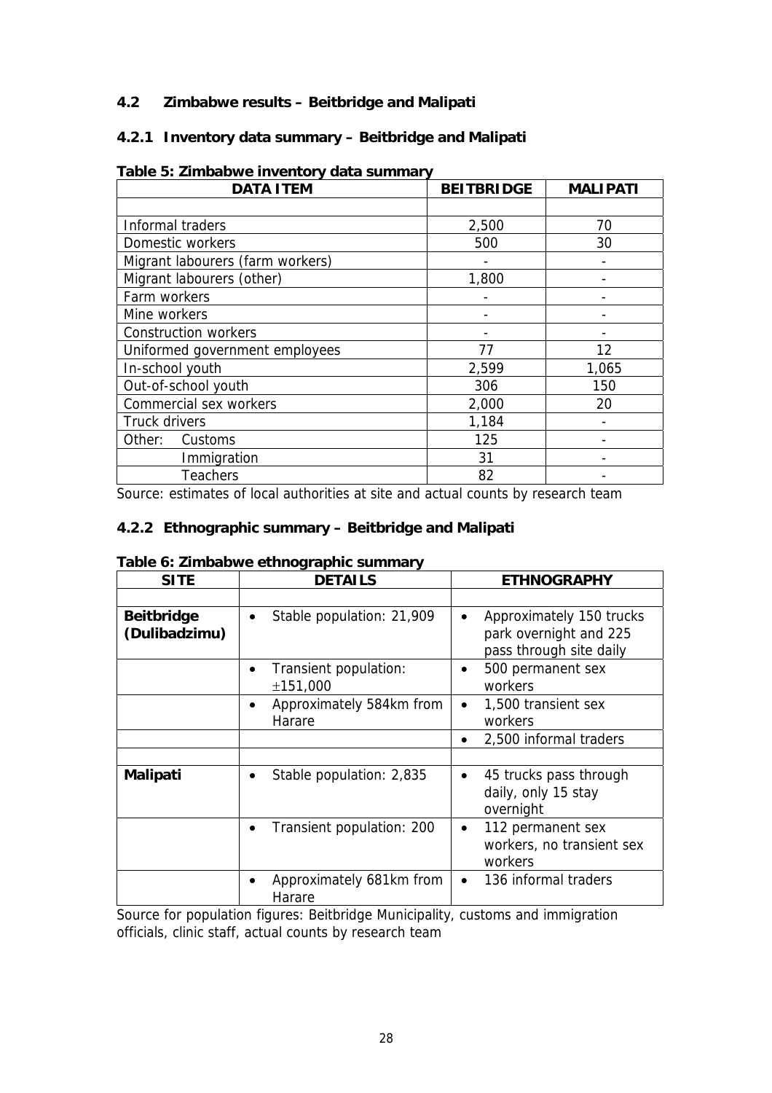## **4.2 Zimbabwe results – Beitbridge and Malipati**

## **4.2.1 Inventory data summary – Beitbridge and Malipati**

| <b>DATA ITEM</b>                 | <b>BEITBRIDGE</b> | <b>MALIPATI</b> |
|----------------------------------|-------------------|-----------------|
|                                  |                   |                 |
| Informal traders                 | 2,500             | 70              |
| Domestic workers                 | 500               | 30              |
| Migrant labourers (farm workers) |                   |                 |
| Migrant labourers (other)        | 1,800             |                 |
| Farm workers                     |                   |                 |
| Mine workers                     |                   |                 |
| <b>Construction workers</b>      |                   |                 |
| Uniformed government employees   | 77                | 12              |
| In-school youth                  | 2,599             | 1,065           |
| Out-of-school youth              | 306               | 150             |
| Commercial sex workers           | 2,000             | 20              |
| Truck drivers                    | 1,184             |                 |
| Other:<br>Customs                | 125               |                 |
| Immigration                      | 31                |                 |
| <b>Teachers</b>                  | 82                |                 |

## **Table 5: Zimbabwe inventory data summary**

Source: estimates of local authorities at site and actual counts by research team

## **4.2.2 Ethnographic summary – Beitbridge and Malipati**

|      |  | Table 6: Zimbabwe ethnographic summary |
|------|--|----------------------------------------|
| CITE |  | <b>DETAIL</b>                          |

| <b>SITE</b>                        | <b>DETAILS</b>                                  | <b>ETHNOGRAPHY</b>                                                                         |
|------------------------------------|-------------------------------------------------|--------------------------------------------------------------------------------------------|
|                                    |                                                 |                                                                                            |
| <b>Beitbridge</b><br>(Dulibadzimu) | Stable population: 21,909<br>$\bullet$          | Approximately 150 trucks<br>$\bullet$<br>park overnight and 225<br>pass through site daily |
|                                    | Transient population:<br>±151,000               | 500 permanent sex<br>$\bullet$<br>workers                                                  |
|                                    | Approximately 584km from<br>$\bullet$<br>Harare | 1,500 transient sex<br>$\bullet$<br>workers                                                |
|                                    |                                                 | 2,500 informal traders                                                                     |
|                                    |                                                 |                                                                                            |
| <b>Malipati</b>                    | Stable population: 2,835<br>$\bullet$           | 45 trucks pass through<br>$\bullet$<br>daily, only 15 stay<br>overnight                    |
|                                    | Transient population: 200                       | 112 permanent sex<br>$\bullet$<br>workers, no transient sex<br>workers                     |
|                                    | Approximately 681km from<br>Harare              | 136 informal traders<br>$\bullet$                                                          |

Source for population figures: Beitbridge Municipality, customs and immigration officials, clinic staff, actual counts by research team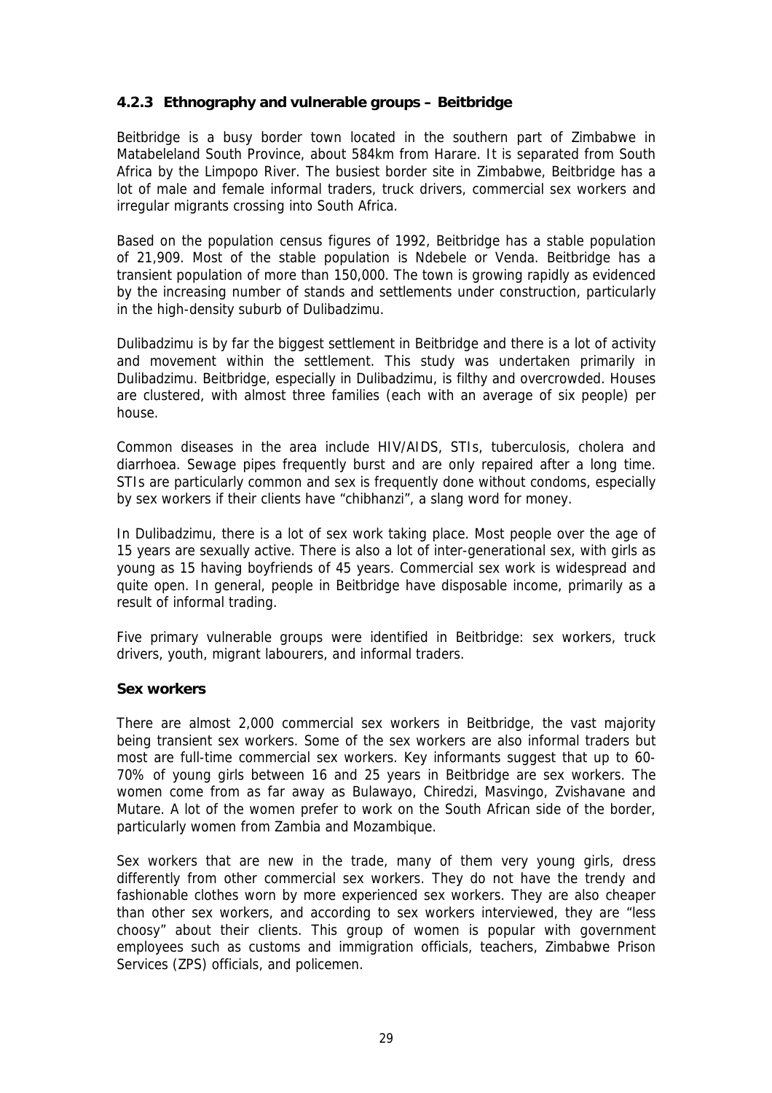## **4.2.3 Ethnography and vulnerable groups – Beitbridge**

Beitbridge is a busy border town located in the southern part of Zimbabwe in Matabeleland South Province, about 584km from Harare. It is separated from South Africa by the Limpopo River. The busiest border site in Zimbabwe, Beitbridge has a lot of male and female informal traders, truck drivers, commercial sex workers and irregular migrants crossing into South Africa.

Based on the population census figures of 1992, Beitbridge has a stable population of 21,909. Most of the stable population is Ndebele or Venda. Beitbridge has a transient population of more than 150,000. The town is growing rapidly as evidenced by the increasing number of stands and settlements under construction, particularly in the high-density suburb of Dulibadzimu.

Dulibadzimu is by far the biggest settlement in Beitbridge and there is a lot of activity and movement within the settlement. This study was undertaken primarily in Dulibadzimu. Beitbridge, especially in Dulibadzimu, is filthy and overcrowded. Houses are clustered, with almost three families (each with an average of six people) per house.

Common diseases in the area include HIV/AIDS, STIs, tuberculosis, cholera and diarrhoea. Sewage pipes frequently burst and are only repaired after a long time. STIs are particularly common and sex is frequently done without condoms, especially by sex workers if their clients have "chibhanzi", a slang word for money.

In Dulibadzimu, there is a lot of sex work taking place. Most people over the age of 15 years are sexually active. There is also a lot of inter-generational sex, with girls as young as 15 having boyfriends of 45 years. Commercial sex work is widespread and quite open. In general, people in Beitbridge have disposable income, primarily as a result of informal trading.

Five primary vulnerable groups were identified in Beitbridge: sex workers, truck drivers, youth, migrant labourers, and informal traders.

#### **Sex workers**

There are almost 2,000 commercial sex workers in Beitbridge, the vast majority being transient sex workers. Some of the sex workers are also informal traders but most are full-time commercial sex workers. Key informants suggest that up to 60- 70% of young girls between 16 and 25 years in Beitbridge are sex workers. The women come from as far away as Bulawayo, Chiredzi, Masvingo, Zvishavane and Mutare. A lot of the women prefer to work on the South African side of the border, particularly women from Zambia and Mozambique.

Sex workers that are new in the trade, many of them very young girls, dress differently from other commercial sex workers. They do not have the trendy and fashionable clothes worn by more experienced sex workers. They are also cheaper than other sex workers, and according to sex workers interviewed, they are "less choosy" about their clients. This group of women is popular with government employees such as customs and immigration officials, teachers, Zimbabwe Prison Services (ZPS) officials, and policemen.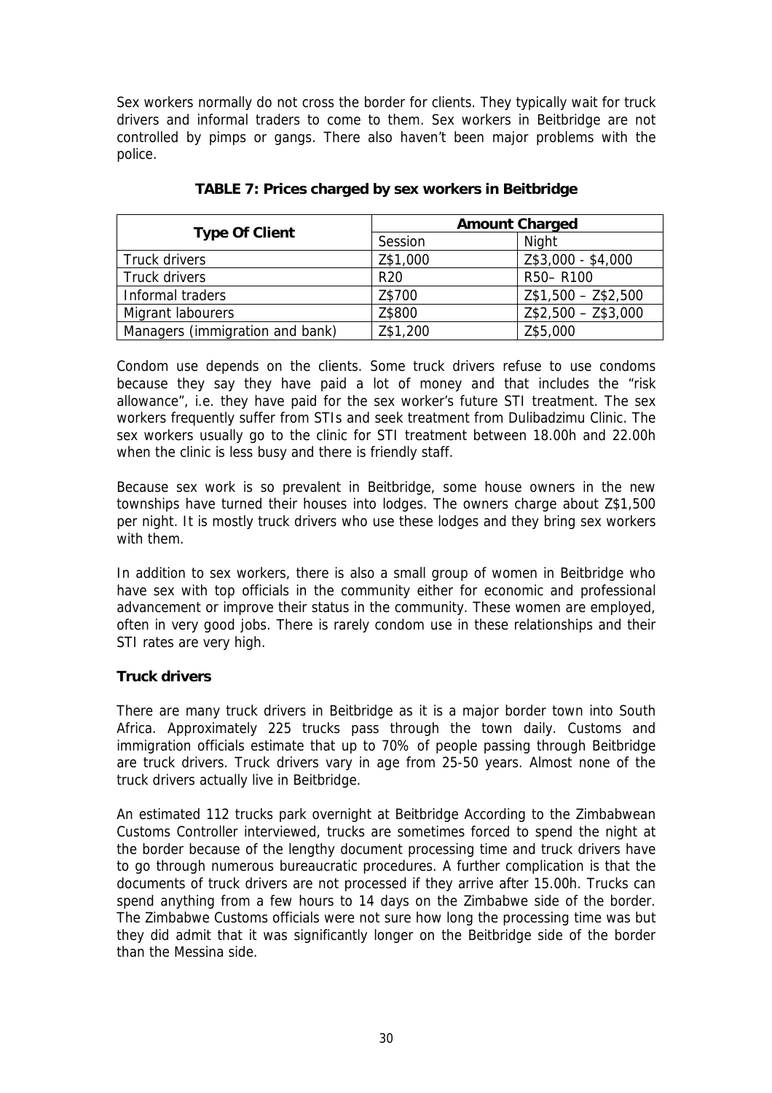Sex workers normally do not cross the border for clients. They typically wait for truck drivers and informal traders to come to them. Sex workers in Beitbridge are not controlled by pimps or gangs. There also haven't been major problems with the police.

|                                 | <b>Amount Charged</b> |                     |
|---------------------------------|-----------------------|---------------------|
| <b>Type Of Client</b>           | Session               | Night               |
| Truck drivers                   | Z\$1,000              | Z\$3,000 - \$4,000  |
| Truck drivers                   | R <sub>20</sub>       | R50-R100            |
| Informal traders                | Z\$700                | $Z$1,500 - Z$2,500$ |
| Migrant labourers               | Z\$800                | $Z$2,500 - Z$3,000$ |
| Managers (immigration and bank) | Z\$1,200              | Z\$5,000            |

**TABLE 7: Prices charged by sex workers in Beitbridge**

Condom use depends on the clients. Some truck drivers refuse to use condoms because they say they have paid a lot of money and that includes the "risk allowance", i.e. they have paid for the sex worker's future STI treatment. The sex workers frequently suffer from STIs and seek treatment from Dulibadzimu Clinic. The sex workers usually go to the clinic for STI treatment between 18.00h and 22.00h when the clinic is less busy and there is friendly staff.

Because sex work is so prevalent in Beitbridge, some house owners in the new townships have turned their houses into lodges. The owners charge about Z\$1,500 per night. It is mostly truck drivers who use these lodges and they bring sex workers with them.

In addition to sex workers, there is also a small group of women in Beitbridge who have sex with top officials in the community either for economic and professional advancement or improve their status in the community. These women are employed, often in very good jobs. There is rarely condom use in these relationships and their STI rates are very high.

## **Truck drivers**

There are many truck drivers in Beitbridge as it is a major border town into South Africa. Approximately 225 trucks pass through the town daily. Customs and immigration officials estimate that up to 70% of people passing through Beitbridge are truck drivers. Truck drivers vary in age from 25-50 years. Almost none of the truck drivers actually live in Beitbridge.

An estimated 112 trucks park overnight at Beitbridge According to the Zimbabwean Customs Controller interviewed, trucks are sometimes forced to spend the night at the border because of the lengthy document processing time and truck drivers have to go through numerous bureaucratic procedures. A further complication is that the documents of truck drivers are not processed if they arrive after 15.00h. Trucks can spend anything from a few hours to 14 days on the Zimbabwe side of the border. The Zimbabwe Customs officials were not sure how long the processing time was but they did admit that it was significantly longer on the Beitbridge side of the border than the Messina side.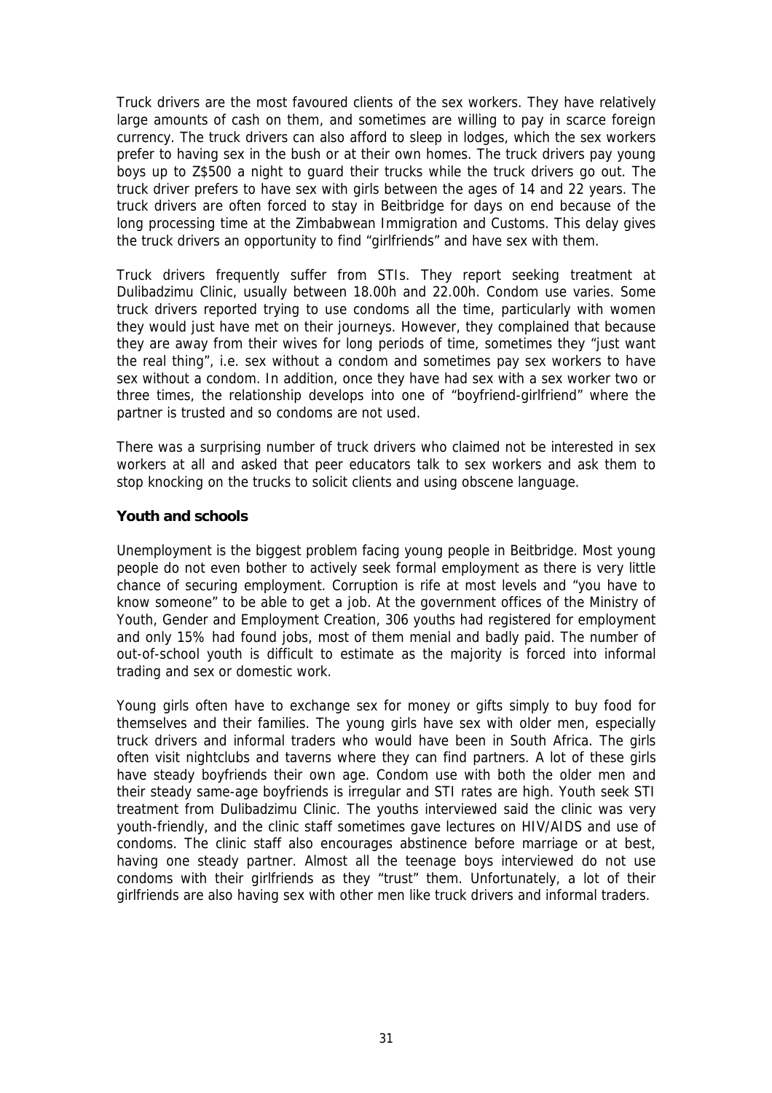Truck drivers are the most favoured clients of the sex workers. They have relatively large amounts of cash on them, and sometimes are willing to pay in scarce foreign currency. The truck drivers can also afford to sleep in lodges, which the sex workers prefer to having sex in the bush or at their own homes. The truck drivers pay young boys up to Z\$500 a night to guard their trucks while the truck drivers go out. The truck driver prefers to have sex with girls between the ages of 14 and 22 years. The truck drivers are often forced to stay in Beitbridge for days on end because of the long processing time at the Zimbabwean Immigration and Customs. This delay gives the truck drivers an opportunity to find "girlfriends" and have sex with them.

Truck drivers frequently suffer from STIs. They report seeking treatment at Dulibadzimu Clinic, usually between 18.00h and 22.00h. Condom use varies. Some truck drivers reported trying to use condoms all the time, particularly with women they would just have met on their journeys. However, they complained that because they are away from their wives for long periods of time, sometimes they "just want the real thing", i.e. sex without a condom and sometimes pay sex workers to have sex without a condom. In addition, once they have had sex with a sex worker two or three times, the relationship develops into one of "boyfriend-girlfriend" where the partner is trusted and so condoms are not used.

There was a surprising number of truck drivers who claimed not be interested in sex workers at all and asked that peer educators talk to sex workers and ask them to stop knocking on the trucks to solicit clients and using obscene language.

#### **Youth and schools**

Unemployment is the biggest problem facing young people in Beitbridge. Most young people do not even bother to actively seek formal employment as there is very little chance of securing employment. Corruption is rife at most levels and "you have to know someone" to be able to get a job. At the government offices of the Ministry of Youth, Gender and Employment Creation, 306 youths had registered for employment and only 15% had found jobs, most of them menial and badly paid. The number of out-of-school youth is difficult to estimate as the majority is forced into informal trading and sex or domestic work.

Young girls often have to exchange sex for money or gifts simply to buy food for themselves and their families. The young girls have sex with older men, especially truck drivers and informal traders who would have been in South Africa. The girls often visit nightclubs and taverns where they can find partners. A lot of these girls have steady boyfriends their own age. Condom use with both the older men and their steady same-age boyfriends is irregular and STI rates are high. Youth seek STI treatment from Dulibadzimu Clinic. The youths interviewed said the clinic was very youth-friendly, and the clinic staff sometimes gave lectures on HIV/AIDS and use of condoms. The clinic staff also encourages abstinence before marriage or at best, having one steady partner. Almost all the teenage boys interviewed do not use condoms with their girlfriends as they "trust" them. Unfortunately, a lot of their girlfriends are also having sex with other men like truck drivers and informal traders.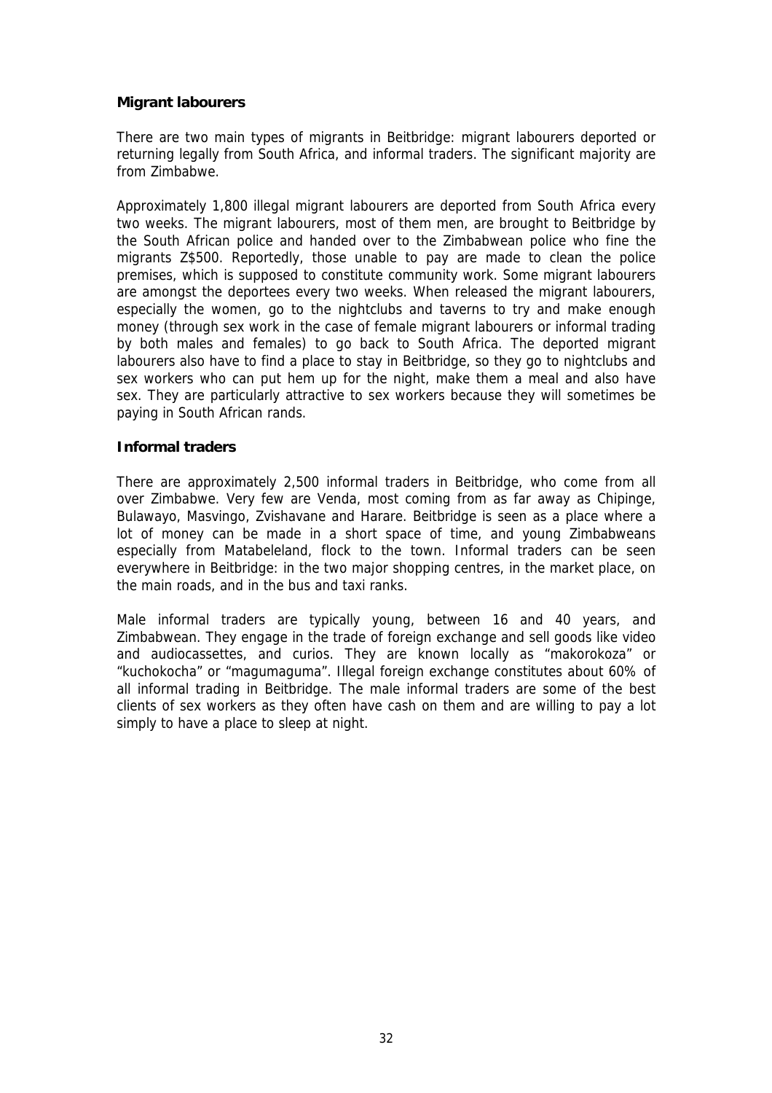#### **Migrant labourers**

There are two main types of migrants in Beitbridge: migrant labourers deported or returning legally from South Africa, and informal traders. The significant majority are from Zimbabwe.

Approximately 1,800 illegal migrant labourers are deported from South Africa every two weeks. The migrant labourers, most of them men, are brought to Beitbridge by the South African police and handed over to the Zimbabwean police who fine the migrants Z\$500. Reportedly, those unable to pay are made to clean the police premises, which is supposed to constitute community work. Some migrant labourers are amongst the deportees every two weeks. When released the migrant labourers, especially the women, go to the nightclubs and taverns to try and make enough money (through sex work in the case of female migrant labourers or informal trading by both males and females) to go back to South Africa. The deported migrant labourers also have to find a place to stay in Beitbridge, so they go to nightclubs and sex workers who can put hem up for the night, make them a meal and also have sex. They are particularly attractive to sex workers because they will sometimes be paying in South African rands.

#### **Informal traders**

There are approximately 2,500 informal traders in Beitbridge, who come from all over Zimbabwe. Very few are Venda, most coming from as far away as Chipinge, Bulawayo, Masvingo, Zvishavane and Harare. Beitbridge is seen as a place where a lot of money can be made in a short space of time, and young Zimbabweans especially from Matabeleland, flock to the town. Informal traders can be seen everywhere in Beitbridge: in the two major shopping centres, in the market place, on the main roads, and in the bus and taxi ranks.

Male informal traders are typically young, between 16 and 40 years, and Zimbabwean. They engage in the trade of foreign exchange and sell goods like video and audiocassettes, and curios. They are known locally as "makorokoza" or "kuchokocha" or "magumaguma". Illegal foreign exchange constitutes about 60% of all informal trading in Beitbridge. The male informal traders are some of the best clients of sex workers as they often have cash on them and are willing to pay a lot simply to have a place to sleep at night.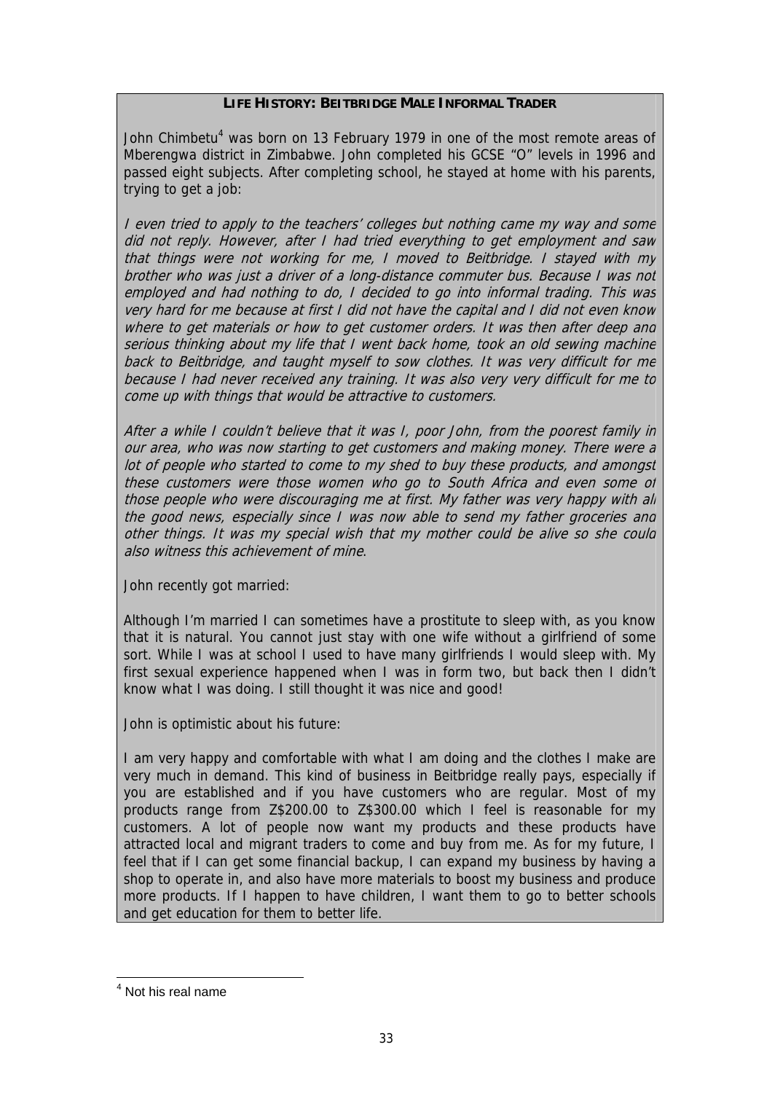#### **LIFE HISTORY: BEITBRIDGE MALE INFORMAL TRADER**

John Chimbetu<sup>[4](#page-32-0)</sup> was born on 13 February 1979 in one of the most remote areas of Mberengwa district in Zimbabwe. John completed his GCSE "O" levels in 1996 and passed eight subjects. After completing school, he stayed at home with his parents, trying to get a job:

I even tried to apply to the teachers' colleges but nothing came my way and some did not reply. However, after I had tried everything to get employment and saw that things were not working for me, I moved to Beitbridge. I stayed with my brother who was just a driver of a long-distance commuter bus. Because I was not employed and had nothing to do, I decided to go into informal trading. This was very hard for me because at first I did not have the capital and I did not even know where to get materials or how to get customer orders. It was then after deep and serious thinking about my life that I went back home, took an old sewing machine back to Beitbridge, and taught myself to sow clothes. It was very difficult for me because I had never received any training. It was also very very difficult for me to come up with things that would be attractive to customers.

After a while I couldn't believe that it was I, poor John, from the poorest family in our area, who was now starting to get customers and making money. There were <sup>a</sup> lot of people who started to come to my shed to buy these products, and amongst these customers were those women who go to South Africa and even some of those people who were discouraging me at first. My father was very happy with all the good news, especially since I was now able to send my father groceries and other things. It was my special wish that my mother could be alive so she could also witness this achievement of mine.

John recently got married:

Although I'm married I can sometimes have a prostitute to sleep with, as you know that it is natural. You cannot just stay with one wife without a girlfriend of some sort. While I was at school I used to have many girlfriends I would sleep with. My first sexual experience happened when I was in form two, but back then I didn't know what I was doing. I still thought it was nice and good!

John is optimistic about his future:

I am very happy and comfortable with what I am doing and the clothes I make are very much in demand. This kind of business in Beitbridge really pays, especially if you are established and if you have customers who are regular. Most of my products range from Z\$200.00 to Z\$300.00 which I feel is reasonable for my customers. A lot of people now want my products and these products have attracted local and migrant traders to come and buy from me. As for my future, I feel that if I can get some financial backup, I can expand my business by having a shop to operate in, and also have more materials to boost my business and produce more products. If I happen to have children, I want them to go to better schools and get education for them to better life.

<span id="page-32-0"></span>4 Not his real name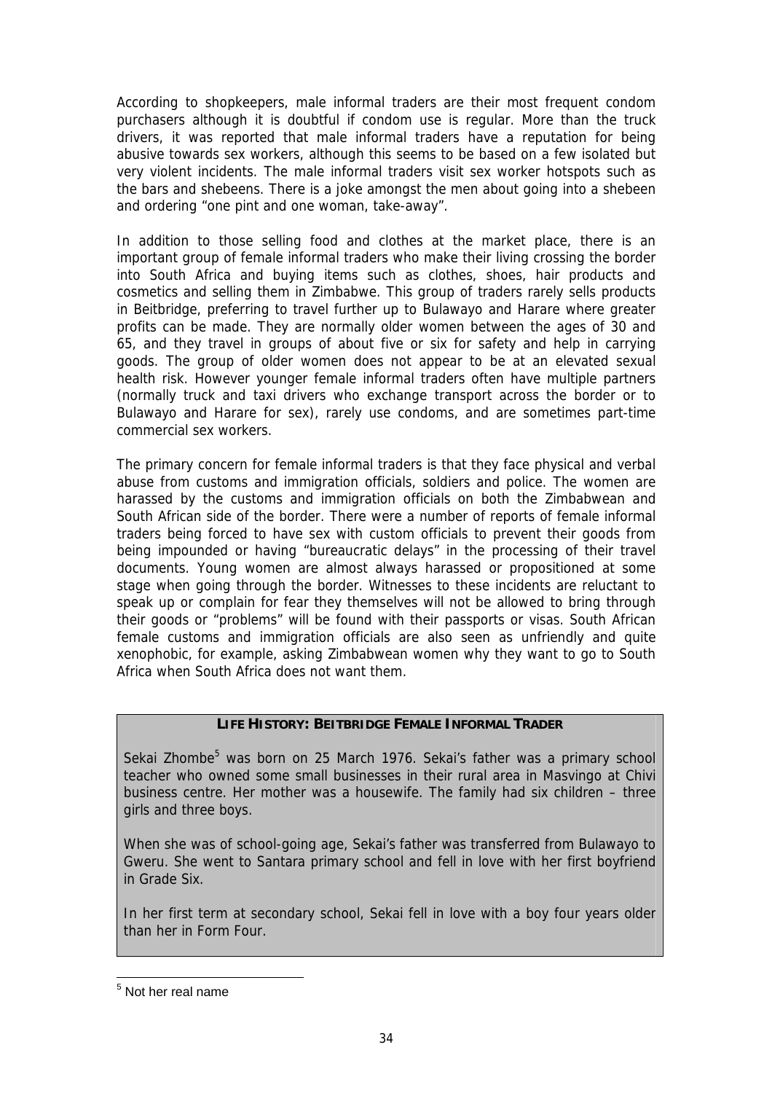According to shopkeepers, male informal traders are their most frequent condom purchasers although it is doubtful if condom use is regular. More than the truck drivers, it was reported that male informal traders have a reputation for being abusive towards sex workers, although this seems to be based on a few isolated but very violent incidents. The male informal traders visit sex worker hotspots such as the bars and shebeens. There is a joke amongst the men about going into a shebeen and ordering "one pint and one woman, take-away".

In addition to those selling food and clothes at the market place, there is an important group of female informal traders who make their living crossing the border into South Africa and buying items such as clothes, shoes, hair products and cosmetics and selling them in Zimbabwe. This group of traders rarely sells products in Beitbridge, preferring to travel further up to Bulawayo and Harare where greater profits can be made. They are normally older women between the ages of 30 and 65, and they travel in groups of about five or six for safety and help in carrying goods. The group of older women does not appear to be at an elevated sexual health risk. However younger female informal traders often have multiple partners (normally truck and taxi drivers who exchange transport across the border or to Bulawayo and Harare for sex), rarely use condoms, and are sometimes part-time commercial sex workers.

The primary concern for female informal traders is that they face physical and verbal abuse from customs and immigration officials, soldiers and police. The women are harassed by the customs and immigration officials on both the Zimbabwean and South African side of the border. There were a number of reports of female informal traders being forced to have sex with custom officials to prevent their goods from being impounded or having "bureaucratic delays" in the processing of their travel documents. Young women are almost always harassed or propositioned at some stage when going through the border. Witnesses to these incidents are reluctant to speak up or complain for fear they themselves will not be allowed to bring through their goods or "problems" will be found with their passports or visas. South African female customs and immigration officials are also seen as unfriendly and quite xenophobic, for example, asking Zimbabwean women why they want to go to South Africa when South Africa does not want them.

#### **LIFE HISTORY: BEITBRIDGE FEMALE INFORMAL TRADER**

Sekai Zhombe<sup>[5](#page-33-0)</sup> was born on 25 March 1976. Sekai's father was a primary school teacher who owned some small businesses in their rural area in Masvingo at Chivi business centre. Her mother was a housewife. The family had six children – three girls and three boys.

When she was of school-going age, Sekai's father was transferred from Bulawayo to Gweru. She went to Santara primary school and fell in love with her first boyfriend in Grade Six.

In her first term at secondary school, Sekai fell in love with a boy four years older than her in Form Four.

<span id="page-33-0"></span>5 Not her real name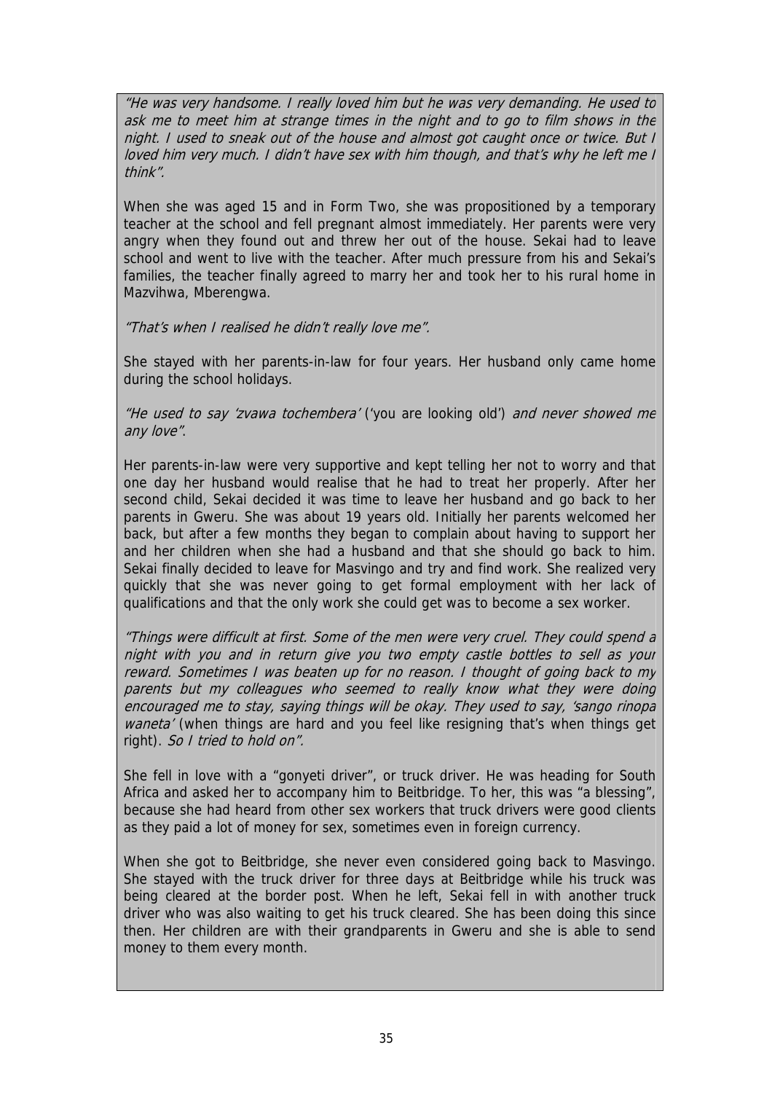"He was very handsome. I really loved him but he was very demanding. He used to ask me to meet him at strange times in the night and to go to film shows in the night. I used to sneak out of the house and almost got caught once or twice. But I loved him very much. I didn't have sex with him though, and that's why he left me I think".

When she was aged 15 and in Form Two, she was propositioned by a temporary teacher at the school and fell pregnant almost immediately. Her parents were very angry when they found out and threw her out of the house. Sekai had to leave school and went to live with the teacher. After much pressure from his and Sekai's families, the teacher finally agreed to marry her and took her to his rural home in Mazvihwa, Mberengwa.

"That's when I realised he didn't really love me".

She stayed with her parents-in-law for four years. Her husband only came home during the school holidays.

"He used to say 'zvawa tochembera' ('you are looking old') and never showed me any love".

Her parents-in-law were very supportive and kept telling her not to worry and that one day her husband would realise that he had to treat her properly. After her second child, Sekai decided it was time to leave her husband and go back to her parents in Gweru. She was about 19 years old. Initially her parents welcomed her back, but after a few months they began to complain about having to support her and her children when she had a husband and that she should go back to him. Sekai finally decided to leave for Masvingo and try and find work. She realized very quickly that she was never going to get formal employment with her lack of qualifications and that the only work she could get was to become a sex worker.

"Things were difficult at first. Some of the men were very cruel. They could spend a night with you and in return give you two empty castle bottles to sell as your reward. Sometimes I was beaten up for no reason. I thought of going back to my parents but my colleagues who seemed to really know what they were doing encouraged me to stay, saying things will be okay. They used to say, 'sango rinopa waneta' (when things are hard and you feel like resigning that's when things get right). So I tried to hold on".

She fell in love with a "gonyeti driver", or truck driver. He was heading for South Africa and asked her to accompany him to Beitbridge. To her, this was "a blessing", because she had heard from other sex workers that truck drivers were good clients as they paid a lot of money for sex, sometimes even in foreign currency.

When she got to Beitbridge, she never even considered going back to Masvingo. She stayed with the truck driver for three days at Beitbridge while his truck was being cleared at the border post. When he left, Sekai fell in with another truck driver who was also waiting to get his truck cleared. She has been doing this since then. Her children are with their grandparents in Gweru and she is able to send money to them every month.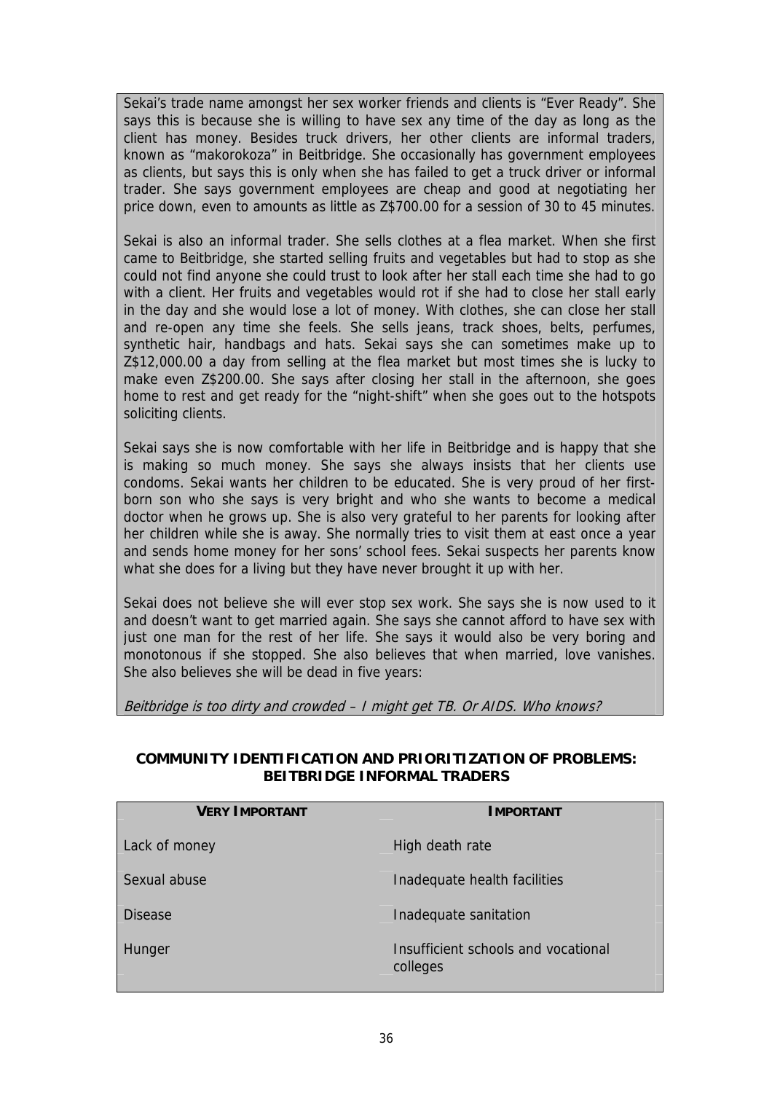Sekai's trade name amongst her sex worker friends and clients is "Ever Ready". She says this is because she is willing to have sex any time of the day as long as the client has money. Besides truck drivers, her other clients are informal traders, known as "makorokoza" in Beitbridge. She occasionally has government employees as clients, but says this is only when she has failed to get a truck driver or informal trader. She says government employees are cheap and good at negotiating her price down, even to amounts as little as Z\$700.00 for a session of 30 to 45 minutes.

Sekai is also an informal trader. She sells clothes at a flea market. When she first came to Beitbridge, she started selling fruits and vegetables but had to stop as she could not find anyone she could trust to look after her stall each time she had to go with a client. Her fruits and vegetables would rot if she had to close her stall early in the day and she would lose a lot of money. With clothes, she can close her stall and re-open any time she feels. She sells jeans, track shoes, belts, perfumes, synthetic hair, handbags and hats. Sekai says she can sometimes make up to Z\$12,000.00 a day from selling at the flea market but most times she is lucky to make even Z\$200.00. She says after closing her stall in the afternoon, she goes home to rest and get ready for the "night-shift" when she goes out to the hotspots soliciting clients.

Sekai says she is now comfortable with her life in Beitbridge and is happy that she is making so much money. She says she always insists that her clients use condoms. Sekai wants her children to be educated. She is very proud of her firstborn son who she says is very bright and who she wants to become a medical doctor when he grows up. She is also very grateful to her parents for looking after her children while she is away. She normally tries to visit them at east once a year and sends home money for her sons' school fees. Sekai suspects her parents know what she does for a living but they have never brought it up with her.

Sekai does not believe she will ever stop sex work. She says she is now used to it and doesn't want to get married again. She says she cannot afford to have sex with just one man for the rest of her life. She says it would also be very boring and monotonous if she stopped. She also believes that when married, love vanishes. She also believes she will be dead in five years:

Beitbridge is too dirty and crowded – I might get TB. Or AIDS. Who knows?

| <b>VERY IMPORTANT</b> | <b>IMPORTANT</b>                                |
|-----------------------|-------------------------------------------------|
| Lack of money         | High death rate                                 |
| Sexual abuse          | Inadequate health facilities                    |
| <b>Disease</b>        | Inadequate sanitation                           |
| Hunger                | Insufficient schools and vocational<br>colleges |

## **COMMUNITY IDENTIFICATION AND PRIORITIZATION OF PROBLEMS: BEITBRIDGE INFORMAL TRADERS**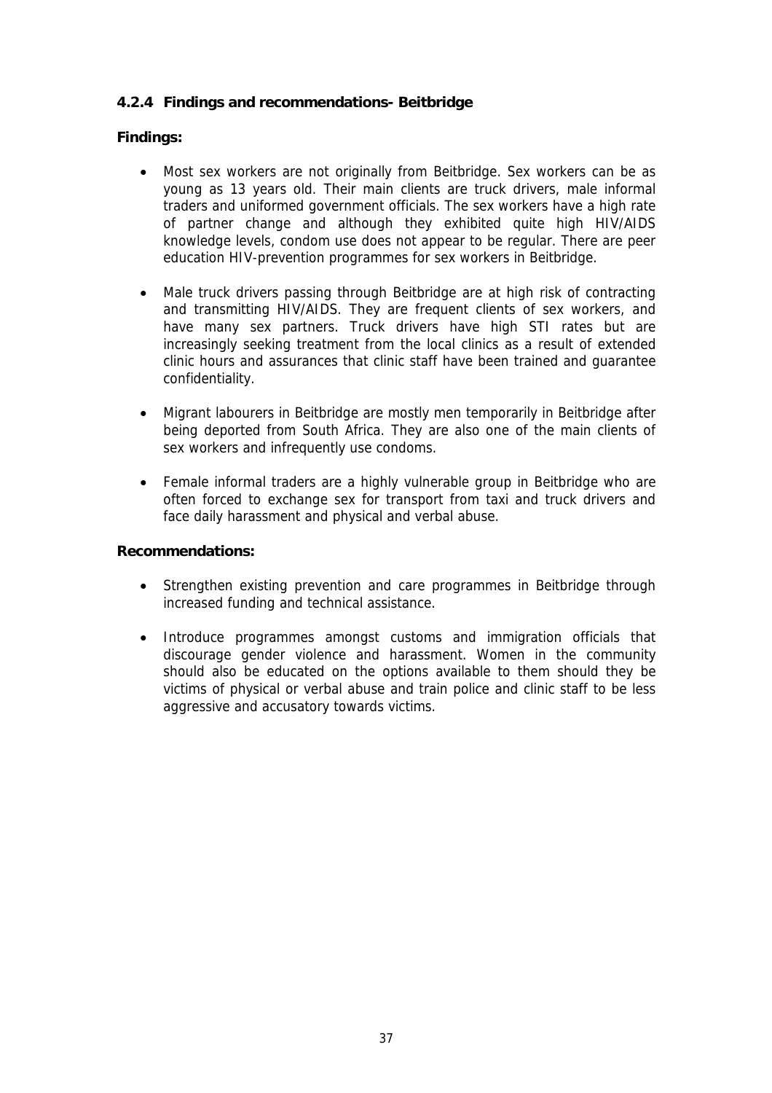## **4.2.4 Findings and recommendations- Beitbridge**

## **Findings:**

- Most sex workers are not originally from Beitbridge. Sex workers can be as young as 13 years old. Their main clients are truck drivers, male informal traders and uniformed government officials. The sex workers have a high rate of partner change and although they exhibited quite high HIV/AIDS knowledge levels, condom use does not appear to be regular. There are peer education HIV-prevention programmes for sex workers in Beitbridge.
- Male truck drivers passing through Beitbridge are at high risk of contracting and transmitting HIV/AIDS. They are frequent clients of sex workers, and have many sex partners. Truck drivers have high STI rates but are increasingly seeking treatment from the local clinics as a result of extended clinic hours and assurances that clinic staff have been trained and guarantee confidentiality.
- Migrant labourers in Beitbridge are mostly men temporarily in Beitbridge after being deported from South Africa. They are also one of the main clients of sex workers and infrequently use condoms.
- Female informal traders are a highly vulnerable group in Beitbridge who are often forced to exchange sex for transport from taxi and truck drivers and face daily harassment and physical and verbal abuse.

#### **Recommendations:**

- Strengthen existing prevention and care programmes in Beitbridge through increased funding and technical assistance.
- Introduce programmes amongst customs and immigration officials that discourage gender violence and harassment. Women in the community should also be educated on the options available to them should they be victims of physical or verbal abuse and train police and clinic staff to be less aggressive and accusatory towards victims.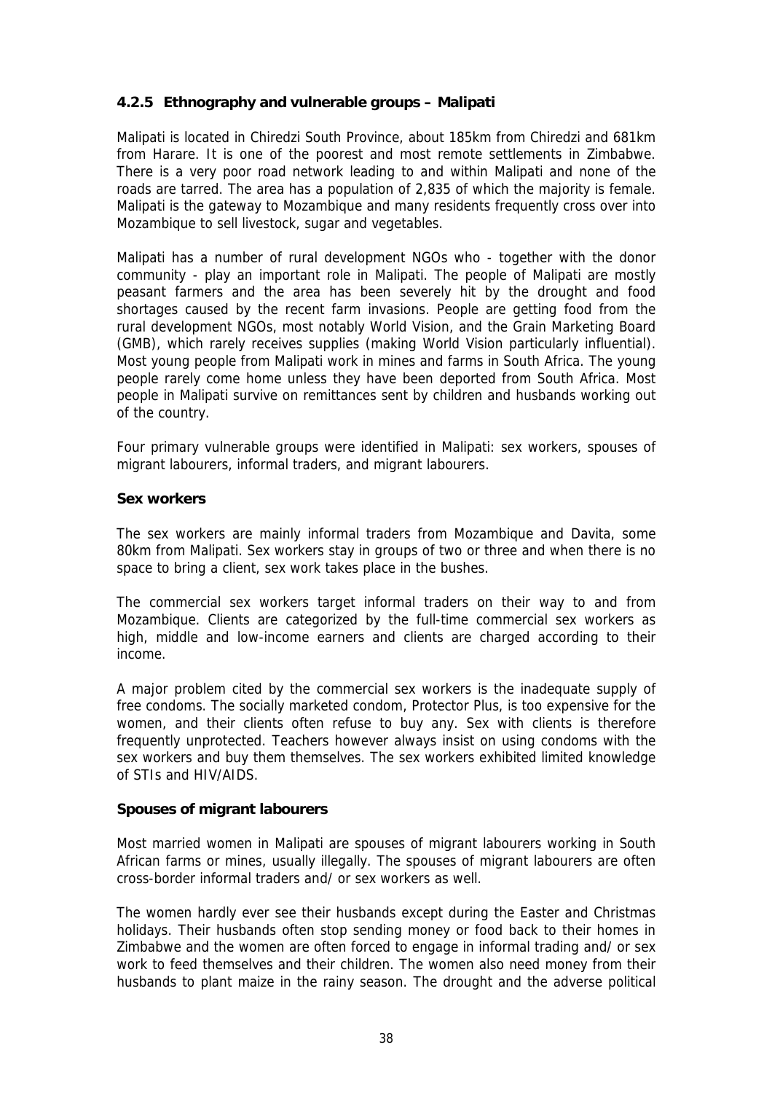## **4.2.5 Ethnography and vulnerable groups – Malipati**

Malipati is located in Chiredzi South Province, about 185km from Chiredzi and 681km from Harare. It is one of the poorest and most remote settlements in Zimbabwe. There is a very poor road network leading to and within Malipati and none of the roads are tarred. The area has a population of 2,835 of which the majority is female. Malipati is the gateway to Mozambique and many residents frequently cross over into Mozambique to sell livestock, sugar and vegetables.

Malipati has a number of rural development NGOs who - together with the donor community - play an important role in Malipati. The people of Malipati are mostly peasant farmers and the area has been severely hit by the drought and food shortages caused by the recent farm invasions. People are getting food from the rural development NGOs, most notably World Vision, and the Grain Marketing Board (GMB), which rarely receives supplies (making World Vision particularly influential). Most young people from Malipati work in mines and farms in South Africa. The young people rarely come home unless they have been deported from South Africa. Most people in Malipati survive on remittances sent by children and husbands working out of the country.

Four primary vulnerable groups were identified in Malipati: sex workers, spouses of migrant labourers, informal traders, and migrant labourers.

#### **Sex workers**

The sex workers are mainly informal traders from Mozambique and Davita, some 80km from Malipati. Sex workers stay in groups of two or three and when there is no space to bring a client, sex work takes place in the bushes.

The commercial sex workers target informal traders on their way to and from Mozambique. Clients are categorized by the full-time commercial sex workers as high, middle and low-income earners and clients are charged according to their income.

A major problem cited by the commercial sex workers is the inadequate supply of free condoms. The socially marketed condom, Protector Plus, is too expensive for the women, and their clients often refuse to buy any. Sex with clients is therefore frequently unprotected. Teachers however always insist on using condoms with the sex workers and buy them themselves. The sex workers exhibited limited knowledge of STIs and HIV/AIDS.

#### **Spouses of migrant labourers**

Most married women in Malipati are spouses of migrant labourers working in South African farms or mines, usually illegally. The spouses of migrant labourers are often cross-border informal traders and/ or sex workers as well.

The women hardly ever see their husbands except during the Easter and Christmas holidays. Their husbands often stop sending money or food back to their homes in Zimbabwe and the women are often forced to engage in informal trading and/ or sex work to feed themselves and their children. The women also need money from their husbands to plant maize in the rainy season. The drought and the adverse political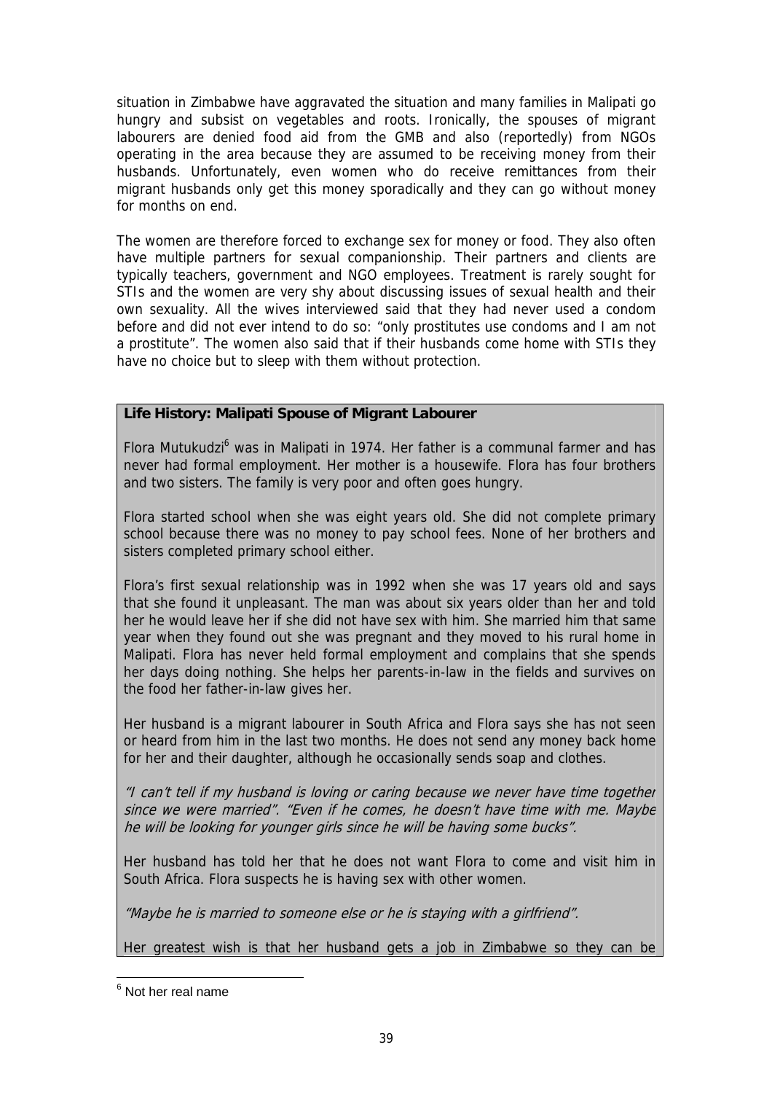situation in Zimbabwe have aggravated the situation and many families in Malipati go hungry and subsist on vegetables and roots. Ironically, the spouses of migrant labourers are denied food aid from the GMB and also (reportedly) from NGOs operating in the area because they are assumed to be receiving money from their husbands. Unfortunately, even women who do receive remittances from their migrant husbands only get this money sporadically and they can go without money for months on end.

The women are therefore forced to exchange sex for money or food. They also often have multiple partners for sexual companionship. Their partners and clients are typically teachers, government and NGO employees. Treatment is rarely sought for STIs and the women are very shy about discussing issues of sexual health and their own sexuality. All the wives interviewed said that they had never used a condom before and did not ever intend to do so: "only prostitutes use condoms and I am not a prostitute". The women also said that if their husbands come home with STIs they have no choice but to sleep with them without protection.

## **Life History: Malipati Spouse of Migrant Labourer**

Flora Mutukudzi<sup>[6](#page-38-0)</sup> was in Malipati in 1974. Her father is a communal farmer and has never had formal employment. Her mother is a housewife. Flora has four brothers and two sisters. The family is very poor and often goes hungry.

Flora started school when she was eight years old. She did not complete primary school because there was no money to pay school fees. None of her brothers and sisters completed primary school either.

Flora's first sexual relationship was in 1992 when she was 17 years old and says that she found it unpleasant. The man was about six years older than her and told her he would leave her if she did not have sex with him. She married him that same year when they found out she was pregnant and they moved to his rural home in Malipati. Flora has never held formal employment and complains that she spends her days doing nothing. She helps her parents-in-law in the fields and survives on the food her father-in-law gives her.

Her husband is a migrant labourer in South Africa and Flora says she has not seen or heard from him in the last two months. He does not send any money back home for her and their daughter, although he occasionally sends soap and clothes.

"I can't tell if my husband is loving or caring because we never have time together since we were married". "Even if he comes, he doesn't have time with me. Maybe he will be looking for younger girls since he will be having some bucks".

Her husband has told her that he does not want Flora to come and visit him in South Africa. Flora suspects he is having sex with other women.

"Maybe he is married to someone else or he is staying with a girlfriend".

Her greatest wish is that her husband gets a job in Zimbabwe so they can be

<span id="page-38-0"></span>e<br><sup>6</sup> Not her real name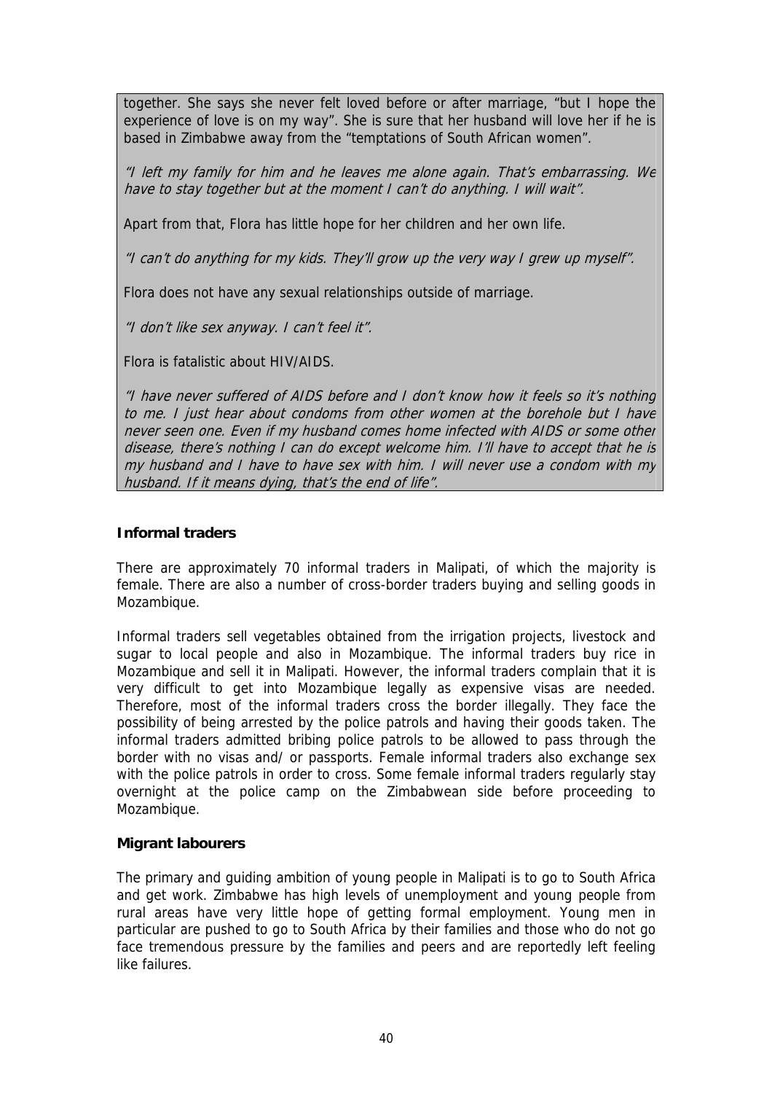together. She says she never felt loved before or after marriage, "but I hope the experience of love is on my way". She is sure that her husband will love her if he is based in Zimbabwe away from the "temptations of South African women".

"I left my family for him and he leaves me alone again. That's embarrassing. We have to stay together but at the moment I can't do anything. I will wait".

Apart from that, Flora has little hope for her children and her own life.

"I can't do anything for my kids. They'll grow up the very way I grew up myself".

Flora does not have any sexual relationships outside of marriage.

"I don't like sex anyway. I can't feel it".

Flora is fatalistic about HIV/AIDS.

"I have never suffered of AIDS before and I don't know how it feels so it's nothing to me. I just hear about condoms from other women at the borehole but I have never seen one. Even if my husband comes home infected with AIDS or some other disease, there's nothing I can do except welcome him. I'll have to accept that he is my husband and I have to have sex with him. I will never use a condom with my husband. If it means dying, that's the end of life".

#### **Informal traders**

There are approximately 70 informal traders in Malipati, of which the majority is female. There are also a number of cross-border traders buying and selling goods in Mozambique.

Informal traders sell vegetables obtained from the irrigation projects, livestock and sugar to local people and also in Mozambique. The informal traders buy rice in Mozambique and sell it in Malipati. However, the informal traders complain that it is very difficult to get into Mozambique legally as expensive visas are needed. Therefore, most of the informal traders cross the border illegally. They face the possibility of being arrested by the police patrols and having their goods taken. The informal traders admitted bribing police patrols to be allowed to pass through the border with no visas and/ or passports. Female informal traders also exchange sex with the police patrols in order to cross. Some female informal traders regularly stay overnight at the police camp on the Zimbabwean side before proceeding to Mozambique.

#### **Migrant labourers**

The primary and guiding ambition of young people in Malipati is to go to South Africa and get work. Zimbabwe has high levels of unemployment and young people from rural areas have very little hope of getting formal employment. Young men in particular are pushed to go to South Africa by their families and those who do not go face tremendous pressure by the families and peers and are reportedly left feeling like failures.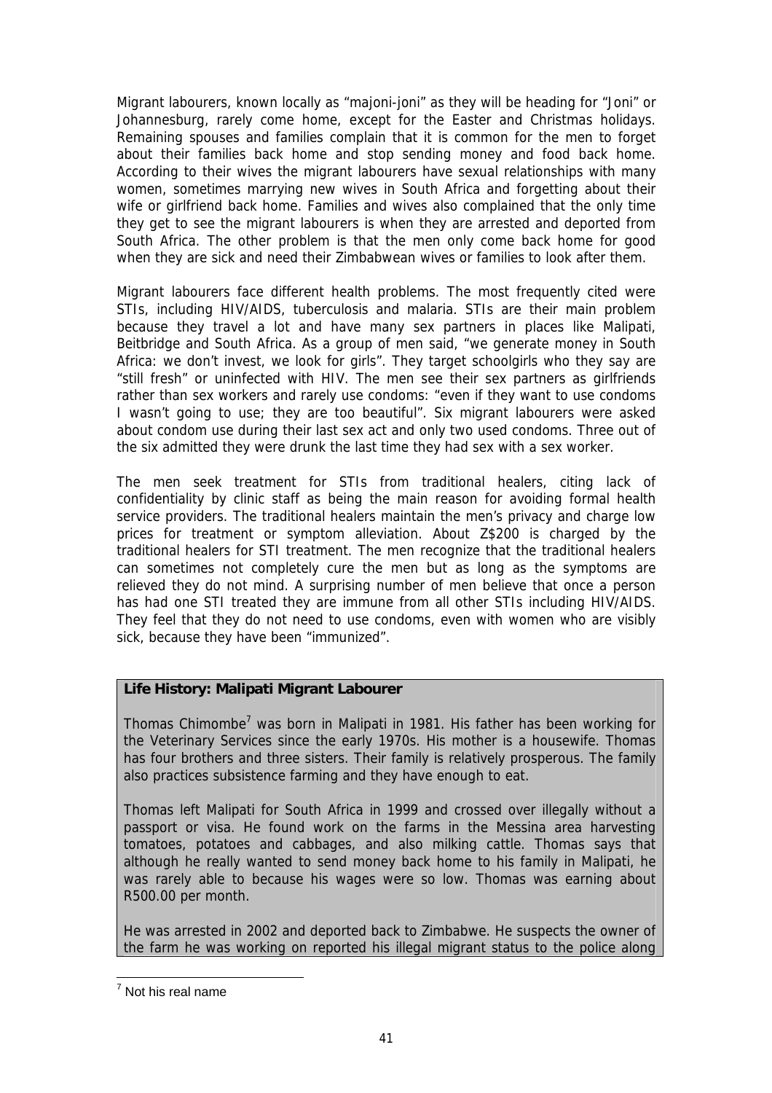Migrant labourers, known locally as "majoni-joni" as they will be heading for "Joni" or Johannesburg, rarely come home, except for the Easter and Christmas holidays. Remaining spouses and families complain that it is common for the men to forget about their families back home and stop sending money and food back home. According to their wives the migrant labourers have sexual relationships with many women, sometimes marrying new wives in South Africa and forgetting about their wife or girlfriend back home. Families and wives also complained that the only time they get to see the migrant labourers is when they are arrested and deported from South Africa. The other problem is that the men only come back home for good when they are sick and need their Zimbabwean wives or families to look after them.

Migrant labourers face different health problems. The most frequently cited were STIs, including HIV/AIDS, tuberculosis and malaria. STIs are their main problem because they travel a lot and have many sex partners in places like Malipati, Beitbridge and South Africa. As a group of men said, "we generate money in South Africa: we don't invest, we look for girls". They target schoolgirls who they say are "still fresh" or uninfected with HIV. The men see their sex partners as girlfriends rather than sex workers and rarely use condoms: "even if they want to use condoms I wasn't going to use; they are too beautiful". Six migrant labourers were asked about condom use during their last sex act and only two used condoms. Three out of the six admitted they were drunk the last time they had sex with a sex worker.

The men seek treatment for STIs from traditional healers, citing lack of confidentiality by clinic staff as being the main reason for avoiding formal health service providers. The traditional healers maintain the men's privacy and charge low prices for treatment or symptom alleviation. About Z\$200 is charged by the traditional healers for STI treatment. The men recognize that the traditional healers can sometimes not completely cure the men but as long as the symptoms are relieved they do not mind. A surprising number of men believe that once a person has had one STI treated they are immune from all other STIs including HIV/AIDS. They feel that they do not need to use condoms, even with women who are visibly sick, because they have been "immunized".

## **Life History: Malipati Migrant Labourer**

Thomas Chimombe<sup>[7](#page-40-0)</sup> was born in Malipati in 1981. His father has been working for the Veterinary Services since the early 1970s. His mother is a housewife. Thomas has four brothers and three sisters. Their family is relatively prosperous. The family also practices subsistence farming and they have enough to eat.

Thomas left Malipati for South Africa in 1999 and crossed over illegally without a passport or visa. He found work on the farms in the Messina area harvesting tomatoes, potatoes and cabbages, and also milking cattle. Thomas says that although he really wanted to send money back home to his family in Malipati, he was rarely able to because his wages were so low. Thomas was earning about R500.00 per month.

He was arrested in 2002 and deported back to Zimbabwe. He suspects the owner of the farm he was working on reported his illegal migrant status to the police along

<span id="page-40-0"></span>7 Not his real name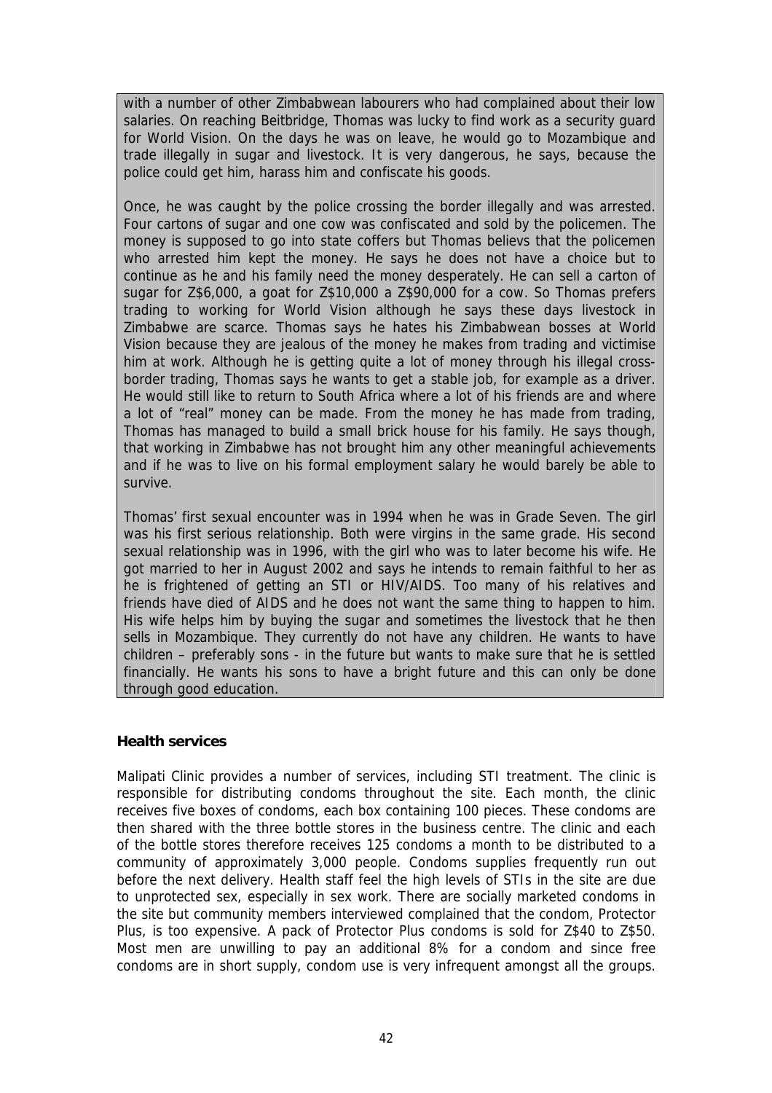with a number of other Zimbabwean labourers who had complained about their low salaries. On reaching Beitbridge, Thomas was lucky to find work as a security guard for World Vision. On the days he was on leave, he would go to Mozambique and trade illegally in sugar and livestock. It is very dangerous, he says, because the police could get him, harass him and confiscate his goods.

Once, he was caught by the police crossing the border illegally and was arrested. Four cartons of sugar and one cow was confiscated and sold by the policemen. The money is supposed to go into state coffers but Thomas believs that the policemen who arrested him kept the money. He says he does not have a choice but to continue as he and his family need the money desperately. He can sell a carton of sugar for Z\$6,000, a goat for Z\$10,000 a Z\$90,000 for a cow. So Thomas prefers trading to working for World Vision although he says these days livestock in Zimbabwe are scarce. Thomas says he hates his Zimbabwean bosses at World Vision because they are jealous of the money he makes from trading and victimise him at work. Although he is getting quite a lot of money through his illegal crossborder trading, Thomas says he wants to get a stable job, for example as a driver. He would still like to return to South Africa where a lot of his friends are and where a lot of "real" money can be made. From the money he has made from trading, Thomas has managed to build a small brick house for his family. He says though, that working in Zimbabwe has not brought him any other meaningful achievements and if he was to live on his formal employment salary he would barely be able to survive.

Thomas' first sexual encounter was in 1994 when he was in Grade Seven. The girl was his first serious relationship. Both were virgins in the same grade. His second sexual relationship was in 1996, with the girl who was to later become his wife. He got married to her in August 2002 and says he intends to remain faithful to her as he is frightened of getting an STI or HIV/AIDS. Too many of his relatives and friends have died of AIDS and he does not want the same thing to happen to him. His wife helps him by buying the sugar and sometimes the livestock that he then sells in Mozambique. They currently do not have any children. He wants to have children – preferably sons - in the future but wants to make sure that he is settled financially. He wants his sons to have a bright future and this can only be done through good education.

#### **Health services**

Malipati Clinic provides a number of services, including STI treatment. The clinic is responsible for distributing condoms throughout the site. Each month, the clinic receives five boxes of condoms, each box containing 100 pieces. These condoms are then shared with the three bottle stores in the business centre. The clinic and each of the bottle stores therefore receives 125 condoms a month to be distributed to a community of approximately 3,000 people. Condoms supplies frequently run out before the next delivery. Health staff feel the high levels of STIs in the site are due to unprotected sex, especially in sex work. There are socially marketed condoms in the site but community members interviewed complained that the condom, Protector Plus, is too expensive. A pack of Protector Plus condoms is sold for Z\$40 to Z\$50. Most men are unwilling to pay an additional 8% for a condom and since free condoms are in short supply, condom use is very infrequent amongst all the groups.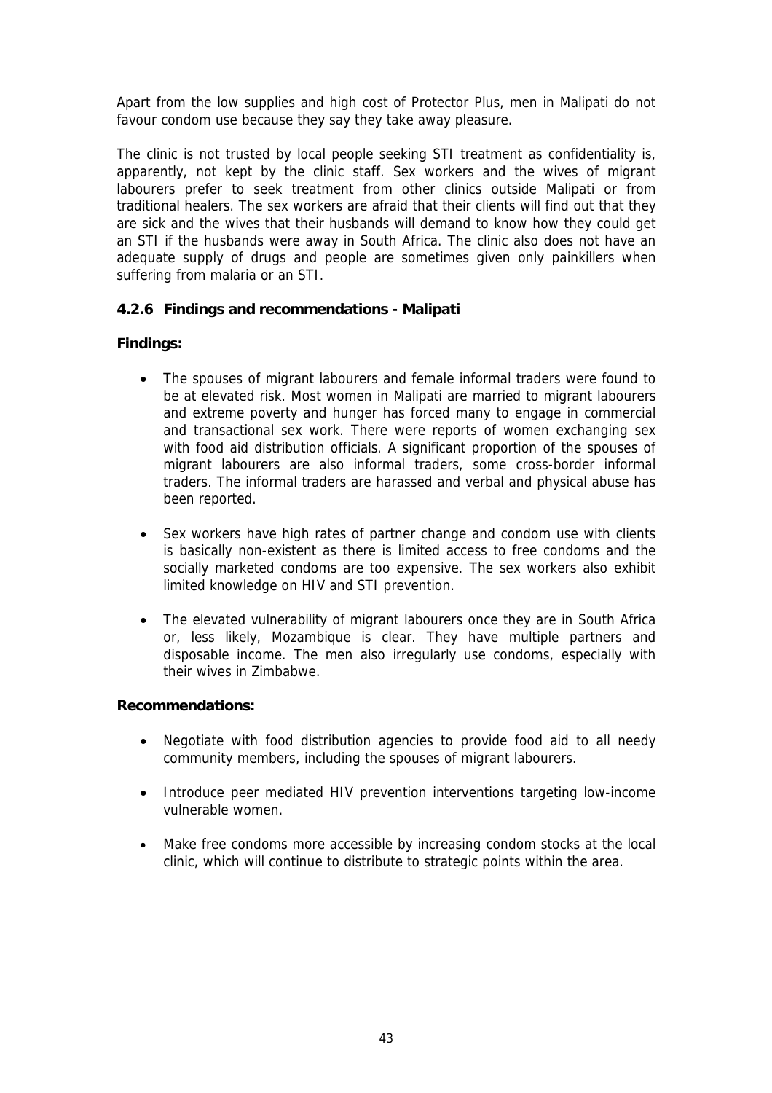Apart from the low supplies and high cost of Protector Plus, men in Malipati do not favour condom use because they say they take away pleasure.

The clinic is not trusted by local people seeking STI treatment as confidentiality is, apparently, not kept by the clinic staff. Sex workers and the wives of migrant labourers prefer to seek treatment from other clinics outside Malipati or from traditional healers. The sex workers are afraid that their clients will find out that they are sick and the wives that their husbands will demand to know how they could get an STI if the husbands were away in South Africa. The clinic also does not have an adequate supply of drugs and people are sometimes given only painkillers when suffering from malaria or an STI.

## **4.2.6 Findings and recommendations - Malipati**

## **Findings:**

- The spouses of migrant labourers and female informal traders were found to be at elevated risk. Most women in Malipati are married to migrant labourers and extreme poverty and hunger has forced many to engage in commercial and transactional sex work. There were reports of women exchanging sex with food aid distribution officials. A significant proportion of the spouses of migrant labourers are also informal traders, some cross-border informal traders. The informal traders are harassed and verbal and physical abuse has been reported.
- Sex workers have high rates of partner change and condom use with clients is basically non-existent as there is limited access to free condoms and the socially marketed condoms are too expensive. The sex workers also exhibit limited knowledge on HIV and STI prevention.
- The elevated vulnerability of migrant labourers once they are in South Africa or, less likely, Mozambique is clear. They have multiple partners and disposable income. The men also irregularly use condoms, especially with their wives in Zimbabwe.

#### **Recommendations:**

- Negotiate with food distribution agencies to provide food aid to all needy community members, including the spouses of migrant labourers.
- Introduce peer mediated HIV prevention interventions targeting low-income vulnerable women.
- Make free condoms more accessible by increasing condom stocks at the local clinic, which will continue to distribute to strategic points within the area.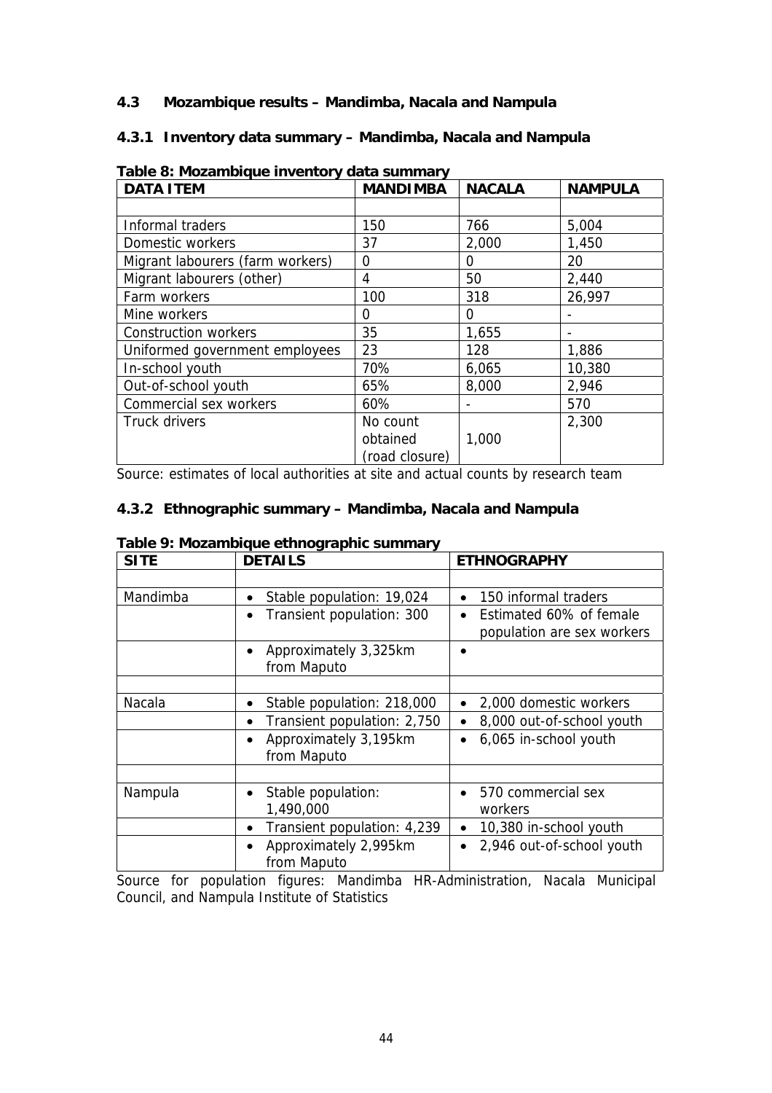### **4.3 Mozambique results – Mandimba, Nacala and Nampula**

## **4.3.1 Inventory data summary – Mandimba, Nacala and Nampula**

| <b>DATA ITEM</b>                 | <b>MANDIMBA</b> | <b>NACALA</b> | <b>NAMPULA</b> |
|----------------------------------|-----------------|---------------|----------------|
|                                  |                 |               |                |
| Informal traders                 | 150             | 766           | 5,004          |
| Domestic workers                 | 37              | 2,000         | 1,450          |
| Migrant labourers (farm workers) | 0               | 0             | 20             |
| Migrant labourers (other)        | 4               | 50            | 2,440          |
| Farm workers                     | 100             | 318           | 26,997         |
| Mine workers                     | 0               | 0             |                |
| <b>Construction workers</b>      | 35              | 1,655         |                |
| Uniformed government employees   | 23              | 128           | 1,886          |
| In-school youth                  | 70%             | 6,065         | 10,380         |
| Out-of-school youth              | 65%             | 8,000         | 2,946          |
| Commercial sex workers           | 60%             |               | 570            |
| Truck drivers                    | No count        |               | 2,300          |
|                                  | obtained        | 1,000         |                |
|                                  | (road closure)  |               |                |

**Table 8: Mozambique inventory data summary** 

Source: estimates of local authorities at site and actual counts by research team

## **4.3.2 Ethnographic summary – Mandimba, Nacala and Nampula**

| <b>SITE</b> | <b>DETAILS</b>                           | <b>ETHNOGRAPHY</b>                     |
|-------------|------------------------------------------|----------------------------------------|
|             |                                          |                                        |
| Mandimba    | Stable population: 19,024<br>٠           | 150 informal traders<br>$\bullet$      |
|             | Transient population: 300<br>$\bullet$   | Estimated 60% of female<br>$\bullet$   |
|             |                                          | population are sex workers             |
|             | Approximately 3,325km<br>$\bullet$       |                                        |
|             | from Maputo                              |                                        |
|             |                                          |                                        |
| Nacala      | Stable population: 218,000<br>$\bullet$  | 2,000 domestic workers<br>$\bullet$    |
|             | Transient population: 2,750<br>$\bullet$ | 8,000 out-of-school youth<br>$\bullet$ |
|             | Approximately 3,195km<br>$\bullet$       | 6,065 in-school youth<br>$\bullet$     |
|             | from Maputo                              |                                        |
|             |                                          |                                        |
| Nampula     | Stable population:<br>$\bullet$          | 570 commercial sex<br>$\bullet$        |
|             | 1,490,000                                | workers                                |
|             | Transient population: 4,239<br>$\bullet$ | 10,380 in-school youth<br>$\bullet$    |
|             | Approximately 2,995km<br>$\bullet$       | 2,946 out-of-school youth<br>$\bullet$ |
|             | from Maputo                              |                                        |

#### **Table 9: Mozambique ethnographic summary**

Source for population figures: Mandimba HR-Administration, Nacala Municipal Council, and Nampula Institute of Statistics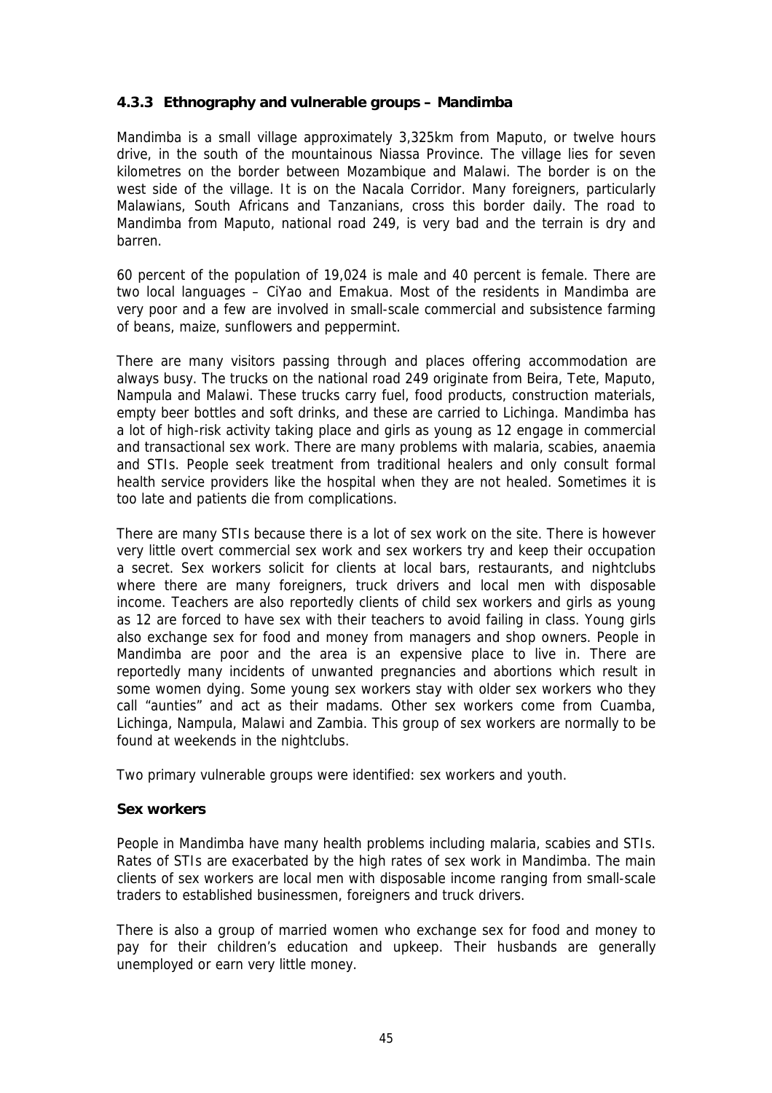## **4.3.3 Ethnography and vulnerable groups – Mandimba**

Mandimba is a small village approximately 3,325km from Maputo, or twelve hours drive, in the south of the mountainous Niassa Province. The village lies for seven kilometres on the border between Mozambique and Malawi. The border is on the west side of the village. It is on the Nacala Corridor. Many foreigners, particularly Malawians, South Africans and Tanzanians, cross this border daily. The road to Mandimba from Maputo, national road 249, is very bad and the terrain is dry and barren.

60 percent of the population of 19,024 is male and 40 percent is female. There are two local languages – CiYao and Emakua. Most of the residents in Mandimba are very poor and a few are involved in small-scale commercial and subsistence farming of beans, maize, sunflowers and peppermint.

There are many visitors passing through and places offering accommodation are always busy. The trucks on the national road 249 originate from Beira, Tete, Maputo, Nampula and Malawi. These trucks carry fuel, food products, construction materials, empty beer bottles and soft drinks, and these are carried to Lichinga. Mandimba has a lot of high-risk activity taking place and girls as young as 12 engage in commercial and transactional sex work. There are many problems with malaria, scabies, anaemia and STIs. People seek treatment from traditional healers and only consult formal health service providers like the hospital when they are not healed. Sometimes it is too late and patients die from complications.

There are many STIs because there is a lot of sex work on the site. There is however very little overt commercial sex work and sex workers try and keep their occupation a secret. Sex workers solicit for clients at local bars, restaurants, and nightclubs where there are many foreigners, truck drivers and local men with disposable income. Teachers are also reportedly clients of child sex workers and girls as young as 12 are forced to have sex with their teachers to avoid failing in class. Young girls also exchange sex for food and money from managers and shop owners. People in Mandimba are poor and the area is an expensive place to live in. There are reportedly many incidents of unwanted pregnancies and abortions which result in some women dying. Some young sex workers stay with older sex workers who they call "aunties" and act as their madams. Other sex workers come from Cuamba, Lichinga, Nampula, Malawi and Zambia. This group of sex workers are normally to be found at weekends in the nightclubs.

Two primary vulnerable groups were identified: sex workers and youth.

#### **Sex workers**

People in Mandimba have many health problems including malaria, scabies and STIs. Rates of STIs are exacerbated by the high rates of sex work in Mandimba. The main clients of sex workers are local men with disposable income ranging from small-scale traders to established businessmen, foreigners and truck drivers.

There is also a group of married women who exchange sex for food and money to pay for their children's education and upkeep. Their husbands are generally unemployed or earn very little money.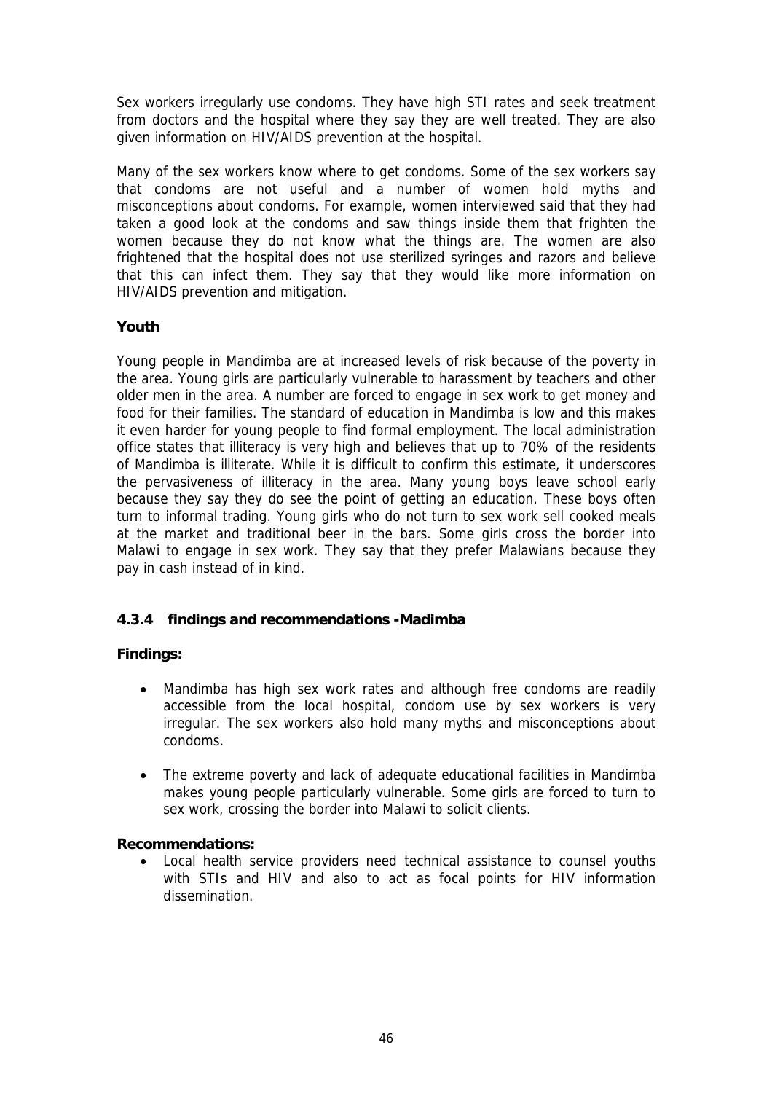Sex workers irregularly use condoms. They have high STI rates and seek treatment from doctors and the hospital where they say they are well treated. They are also given information on HIV/AIDS prevention at the hospital.

Many of the sex workers know where to get condoms. Some of the sex workers say that condoms are not useful and a number of women hold myths and misconceptions about condoms. For example, women interviewed said that they had taken a good look at the condoms and saw things inside them that frighten the women because they do not know what the things are. The women are also frightened that the hospital does not use sterilized syringes and razors and believe that this can infect them. They say that they would like more information on HIV/AIDS prevention and mitigation.

## **Youth**

Young people in Mandimba are at increased levels of risk because of the poverty in the area. Young girls are particularly vulnerable to harassment by teachers and other older men in the area. A number are forced to engage in sex work to get money and food for their families. The standard of education in Mandimba is low and this makes it even harder for young people to find formal employment. The local administration office states that illiteracy is very high and believes that up to 70% of the residents of Mandimba is illiterate. While it is difficult to confirm this estimate, it underscores the pervasiveness of illiteracy in the area. Many young boys leave school early because they say they do see the point of getting an education. These boys often turn to informal trading. Young girls who do not turn to sex work sell cooked meals at the market and traditional beer in the bars. Some girls cross the border into Malawi to engage in sex work. They say that they prefer Malawians because they pay in cash instead of in kind.

## **4.3.4 findings and recommendations -Madimba**

## **Findings:**

- Mandimba has high sex work rates and although free condoms are readily accessible from the local hospital, condom use by sex workers is very irregular. The sex workers also hold many myths and misconceptions about condoms.
- The extreme poverty and lack of adequate educational facilities in Mandimba makes young people particularly vulnerable. Some girls are forced to turn to sex work, crossing the border into Malawi to solicit clients.

## **Recommendations:**

• Local health service providers need technical assistance to counsel youths with STIs and HIV and also to act as focal points for HIV information dissemination.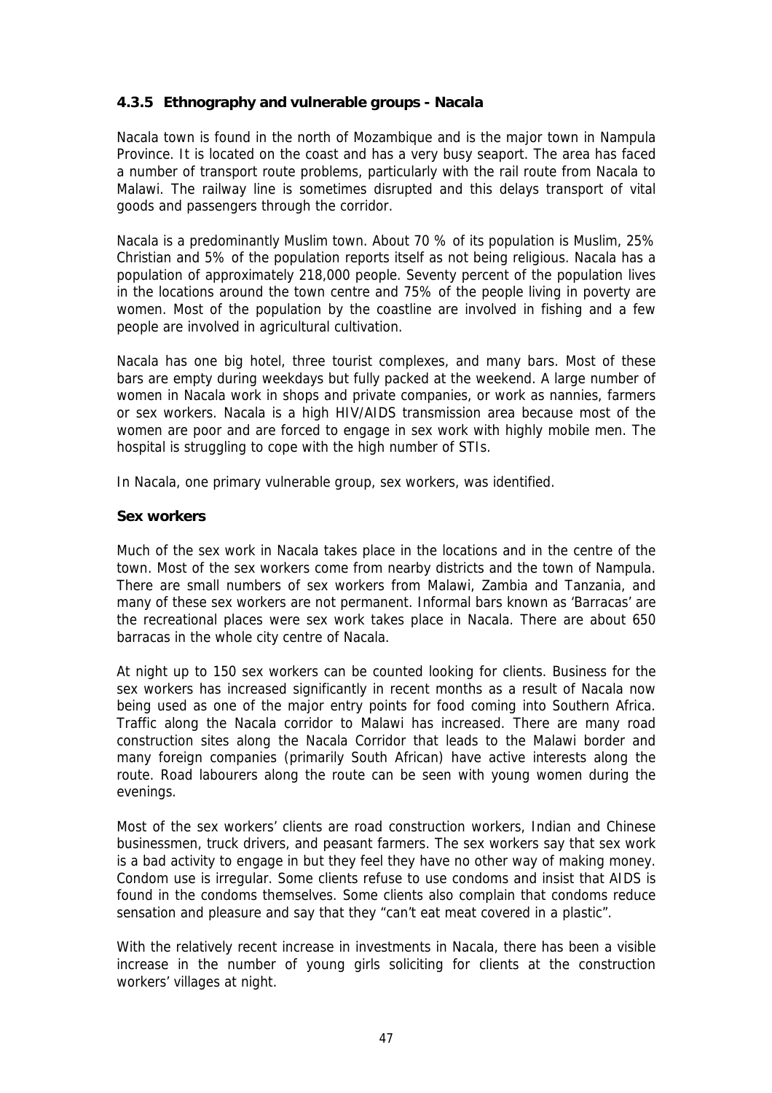## **4.3.5 Ethnography and vulnerable groups - Nacala**

Nacala town is found in the north of Mozambique and is the major town in Nampula Province. It is located on the coast and has a very busy seaport. The area has faced a number of transport route problems, particularly with the rail route from Nacala to Malawi. The railway line is sometimes disrupted and this delays transport of vital goods and passengers through the corridor.

Nacala is a predominantly Muslim town. About 70 % of its population is Muslim, 25% Christian and 5% of the population reports itself as not being religious. Nacala has a population of approximately 218,000 people. Seventy percent of the population lives in the locations around the town centre and 75% of the people living in poverty are women. Most of the population by the coastline are involved in fishing and a few people are involved in agricultural cultivation.

Nacala has one big hotel, three tourist complexes, and many bars. Most of these bars are empty during weekdays but fully packed at the weekend. A large number of women in Nacala work in shops and private companies, or work as nannies, farmers or sex workers. Nacala is a high HIV/AIDS transmission area because most of the women are poor and are forced to engage in sex work with highly mobile men. The hospital is struggling to cope with the high number of STIs.

In Nacala, one primary vulnerable group, sex workers, was identified.

#### **Sex workers**

Much of the sex work in Nacala takes place in the locations and in the centre of the town. Most of the sex workers come from nearby districts and the town of Nampula. There are small numbers of sex workers from Malawi, Zambia and Tanzania, and many of these sex workers are not permanent. Informal bars known as 'Barracas' are the recreational places were sex work takes place in Nacala. There are about 650 barracas in the whole city centre of Nacala.

At night up to 150 sex workers can be counted looking for clients. Business for the sex workers has increased significantly in recent months as a result of Nacala now being used as one of the major entry points for food coming into Southern Africa. Traffic along the Nacala corridor to Malawi has increased. There are many road construction sites along the Nacala Corridor that leads to the Malawi border and many foreign companies (primarily South African) have active interests along the route. Road labourers along the route can be seen with young women during the evenings.

Most of the sex workers' clients are road construction workers, Indian and Chinese businessmen, truck drivers, and peasant farmers. The sex workers say that sex work is a bad activity to engage in but they feel they have no other way of making money. Condom use is irregular. Some clients refuse to use condoms and insist that AIDS is found in the condoms themselves. Some clients also complain that condoms reduce sensation and pleasure and say that they "can't eat meat covered in a plastic".

With the relatively recent increase in investments in Nacala, there has been a visible increase in the number of young girls soliciting for clients at the construction workers' villages at night.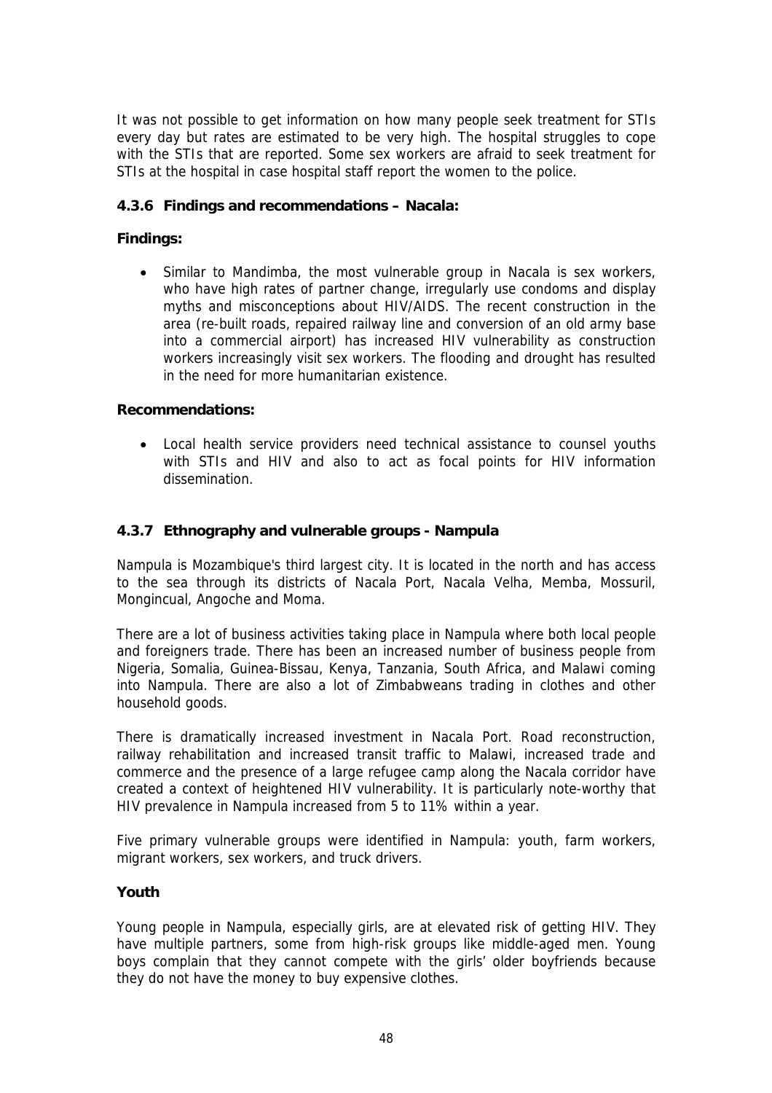It was not possible to get information on how many people seek treatment for STIs every day but rates are estimated to be very high. The hospital struggles to cope with the STIs that are reported. Some sex workers are afraid to seek treatment for STIs at the hospital in case hospital staff report the women to the police.

## **4.3.6 Findings and recommendations – Nacala:**

## **Findings:**

Similar to Mandimba, the most vulnerable group in Nacala is sex workers, who have high rates of partner change, irregularly use condoms and display myths and misconceptions about HIV/AIDS. The recent construction in the area (re-built roads, repaired railway line and conversion of an old army base into a commercial airport) has increased HIV vulnerability as construction workers increasingly visit sex workers. The flooding and drought has resulted in the need for more humanitarian existence.

#### **Recommendations:**

• Local health service providers need technical assistance to counsel youths with STIs and HIV and also to act as focal points for HIV information dissemination.

## **4.3.7 Ethnography and vulnerable groups - Nampula**

Nampula is Mozambique's third largest city. It is located in the north and has access to the sea through its districts of Nacala Port, Nacala Velha, Memba, Mossuril, Mongincual, Angoche and Moma.

There are a lot of business activities taking place in Nampula where both local people and foreigners trade. There has been an increased number of business people from Nigeria, Somalia, Guinea-Bissau, Kenya, Tanzania, South Africa, and Malawi coming into Nampula. There are also a lot of Zimbabweans trading in clothes and other household goods.

There is dramatically increased investment in Nacala Port. Road reconstruction, railway rehabilitation and increased transit traffic to Malawi, increased trade and commerce and the presence of a large refugee camp along the Nacala corridor have created a context of heightened HIV vulnerability. It is particularly note-worthy that HIV prevalence in Nampula increased from 5 to 11% within a year.

Five primary vulnerable groups were identified in Nampula: youth, farm workers, migrant workers, sex workers, and truck drivers.

#### **Youth**

Young people in Nampula, especially girls, are at elevated risk of getting HIV. They have multiple partners, some from high-risk groups like middle-aged men. Young boys complain that they cannot compete with the girls' older boyfriends because they do not have the money to buy expensive clothes.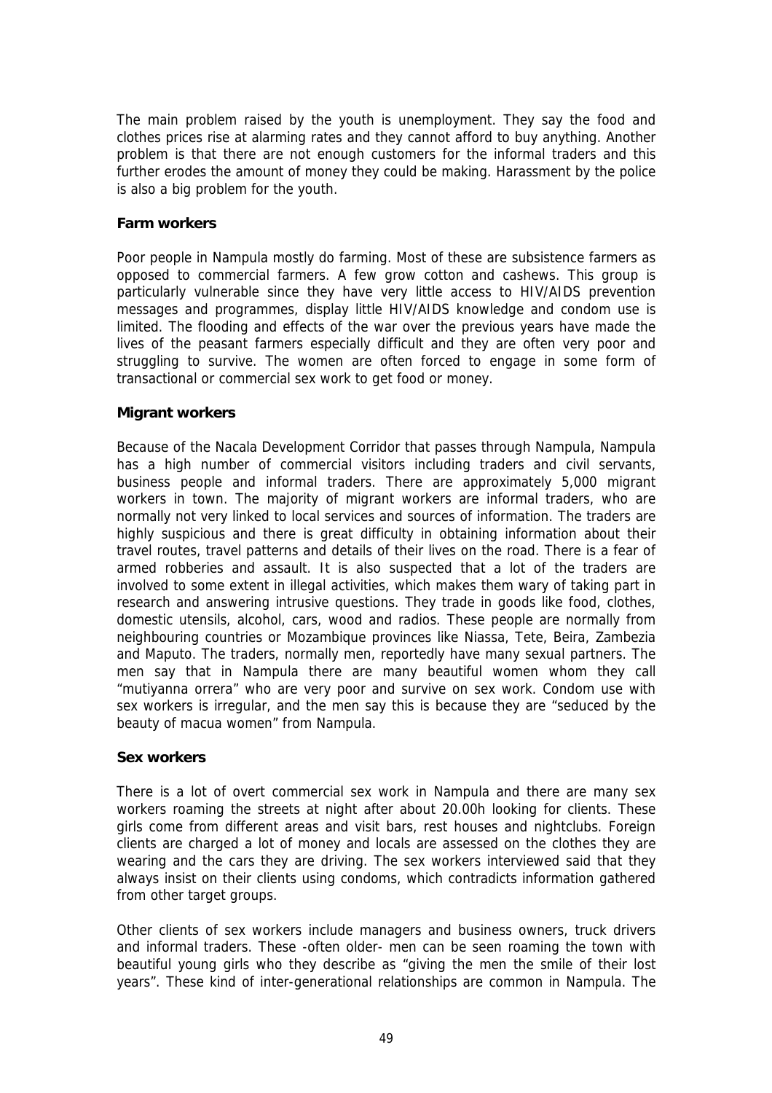The main problem raised by the youth is unemployment. They say the food and clothes prices rise at alarming rates and they cannot afford to buy anything. Another problem is that there are not enough customers for the informal traders and this further erodes the amount of money they could be making. Harassment by the police is also a big problem for the youth.

#### **Farm workers**

Poor people in Nampula mostly do farming. Most of these are subsistence farmers as opposed to commercial farmers. A few grow cotton and cashews. This group is particularly vulnerable since they have very little access to HIV/AIDS prevention messages and programmes, display little HIV/AIDS knowledge and condom use is limited. The flooding and effects of the war over the previous years have made the lives of the peasant farmers especially difficult and they are often very poor and struggling to survive. The women are often forced to engage in some form of transactional or commercial sex work to get food or money.

#### **Migrant workers**

Because of the Nacala Development Corridor that passes through Nampula, Nampula has a high number of commercial visitors including traders and civil servants, business people and informal traders. There are approximately 5,000 migrant workers in town. The majority of migrant workers are informal traders, who are normally not very linked to local services and sources of information. The traders are highly suspicious and there is great difficulty in obtaining information about their travel routes, travel patterns and details of their lives on the road. There is a fear of armed robberies and assault. It is also suspected that a lot of the traders are involved to some extent in illegal activities, which makes them wary of taking part in research and answering intrusive questions. They trade in goods like food, clothes, domestic utensils, alcohol, cars, wood and radios. These people are normally from neighbouring countries or Mozambique provinces like Niassa, Tete, Beira, Zambezia and Maputo. The traders, normally men, reportedly have many sexual partners. The men say that in Nampula there are many beautiful women whom they call "mutiyanna orrera" who are very poor and survive on sex work. Condom use with sex workers is irregular, and the men say this is because they are "seduced by the beauty of macua women" from Nampula.

#### **Sex workers**

There is a lot of overt commercial sex work in Nampula and there are many sex workers roaming the streets at night after about 20.00h looking for clients. These girls come from different areas and visit bars, rest houses and nightclubs. Foreign clients are charged a lot of money and locals are assessed on the clothes they are wearing and the cars they are driving. The sex workers interviewed said that they always insist on their clients using condoms, which contradicts information gathered from other target groups.

Other clients of sex workers include managers and business owners, truck drivers and informal traders. These -often older- men can be seen roaming the town with beautiful young girls who they describe as "giving the men the smile of their lost years". These kind of inter-generational relationships are common in Nampula. The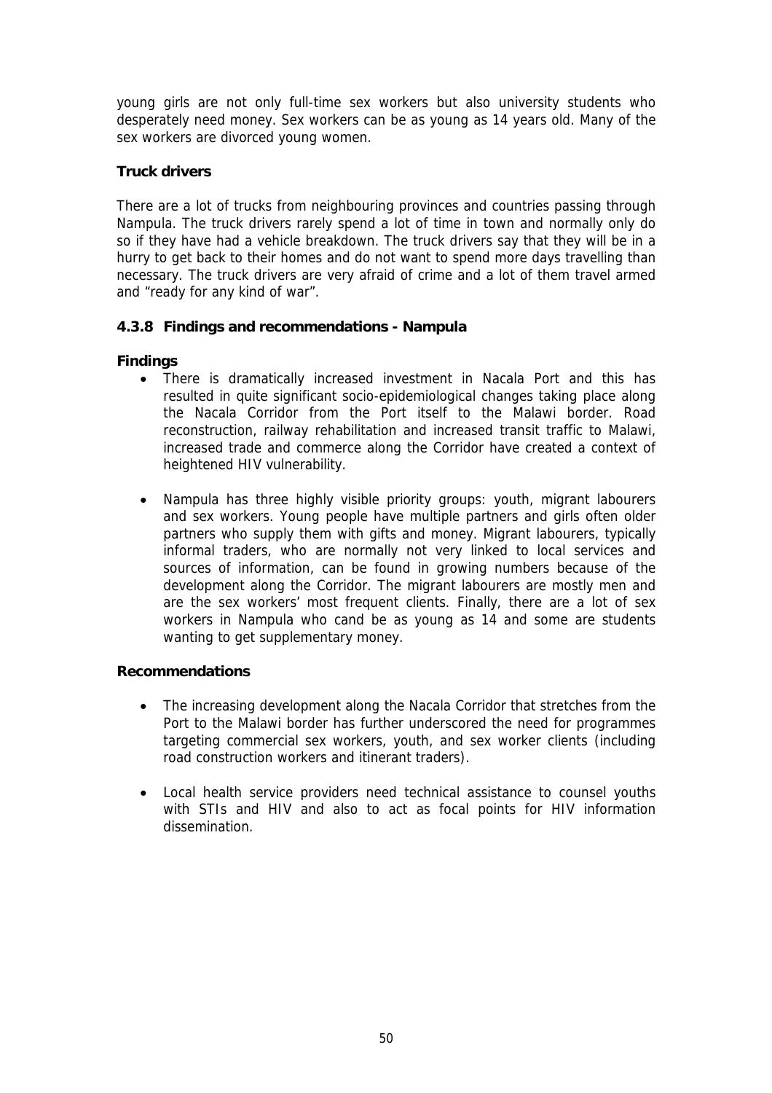young girls are not only full-time sex workers but also university students who desperately need money. Sex workers can be as young as 14 years old. Many of the sex workers are divorced young women.

## **Truck drivers**

There are a lot of trucks from neighbouring provinces and countries passing through Nampula. The truck drivers rarely spend a lot of time in town and normally only do so if they have had a vehicle breakdown. The truck drivers say that they will be in a hurry to get back to their homes and do not want to spend more days travelling than necessary. The truck drivers are very afraid of crime and a lot of them travel armed and "ready for any kind of war".

## **4.3.8 Findings and recommendations - Nampula**

## **Findings**

- There is dramatically increased investment in Nacala Port and this has resulted in quite significant socio-epidemiological changes taking place along the Nacala Corridor from the Port itself to the Malawi border. Road reconstruction, railway rehabilitation and increased transit traffic to Malawi, increased trade and commerce along the Corridor have created a context of heightened HIV vulnerability.
- Nampula has three highly visible priority groups: youth, migrant labourers and sex workers. Young people have multiple partners and girls often older partners who supply them with gifts and money. Migrant labourers, typically informal traders, who are normally not very linked to local services and sources of information, can be found in growing numbers because of the development along the Corridor. The migrant labourers are mostly men and are the sex workers' most frequent clients. Finally, there are a lot of sex workers in Nampula who cand be as young as 14 and some are students wanting to get supplementary money.

#### **Recommendations**

- The increasing development along the Nacala Corridor that stretches from the Port to the Malawi border has further underscored the need for programmes targeting commercial sex workers, youth, and sex worker clients (including road construction workers and itinerant traders).
- Local health service providers need technical assistance to counsel youths with STIs and HIV and also to act as focal points for HIV information dissemination.